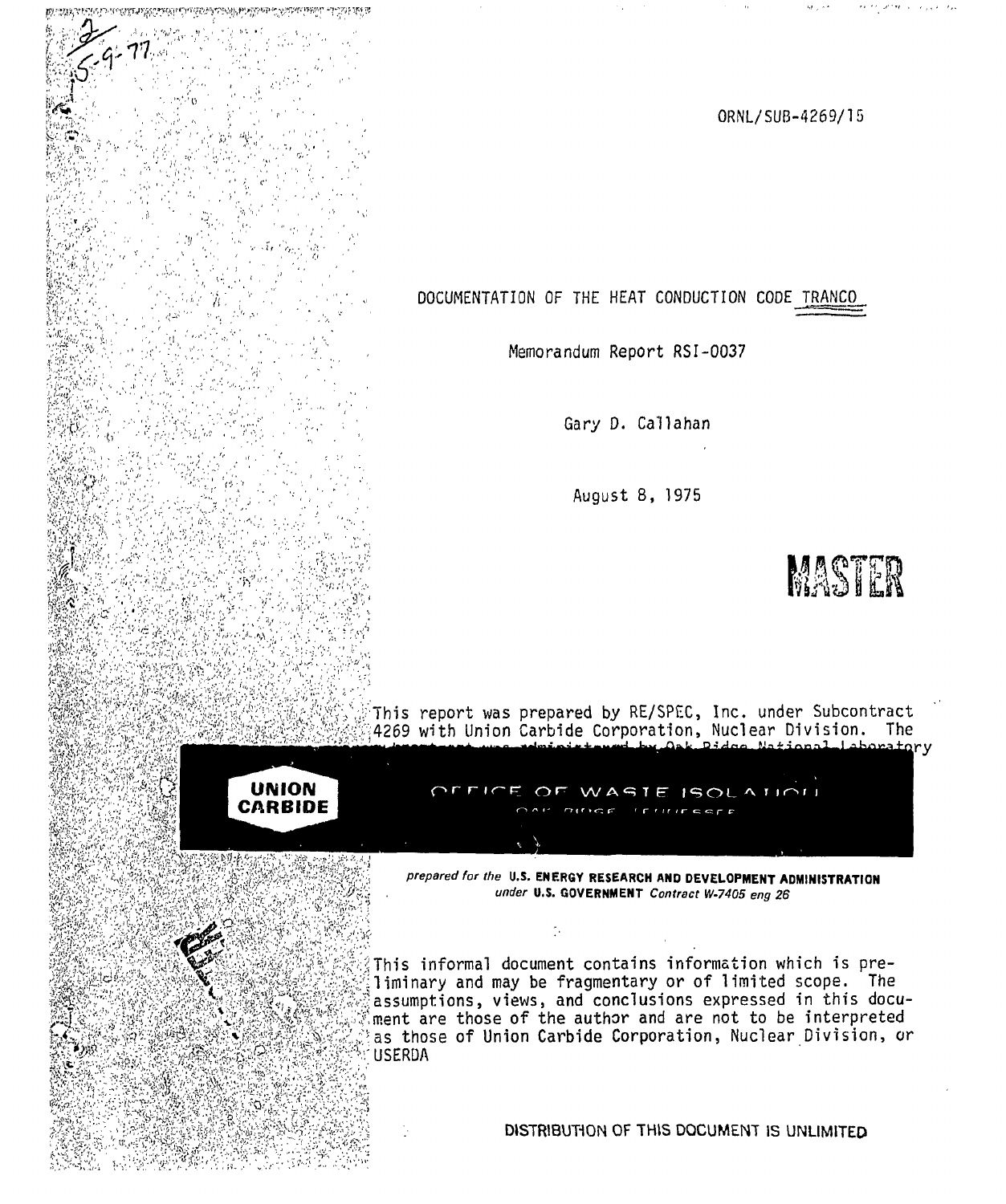ORNL/SUB-4269/15

**DOCUMENTATION OF THE HEAT CONDUCTION CODE TRANCO** 

**Memorandum Report RSI-0037** 

**Gary D. Callahan** 

' **August 8, 1975** 



**This report was prepared by RE/SPEC, Inc. under Subcontract 4269 with Union Carbide Corporation, Nuclear Division. The** 



**H** 

**PERUMANE** 

**v' "v** 

**<sup>1</sup>***W***H r I v** *K* VI w i

 $\mathcal{S}^{(y)}_{\mu\nu}$ **i " w** 

? ?" «

**t\*** ( 1

**t** 

**I .f?** 

**JV "v- ••** 

'!( <sup>1</sup> ' ,

**IfS y** 

 $\frac{1}{2}$ **f** 

**i®.** 

 $\sim$ ill *a* 

I

**V /** 

WASTE ISOLATION  $\bigcirc$ 

*prepared for the* **U.S. ENERGY RESEARCH AND DEVELOPMENT ADMINISTRATION**  *under* **U.S. GOVERNMENT** *Contract W-7405 eng 26* 

**This informal document contains information which is preliminary and may be fragmentary or of limited scope. The assumptions, viewss and conclusions expressed in this document are those of the author and are not to be interpreted as those of Union Carbide Corporation, Nuclear Division, or USERDA** 

DISTRIBUTION OF THIS DOCUMENT IS UNLIMITED.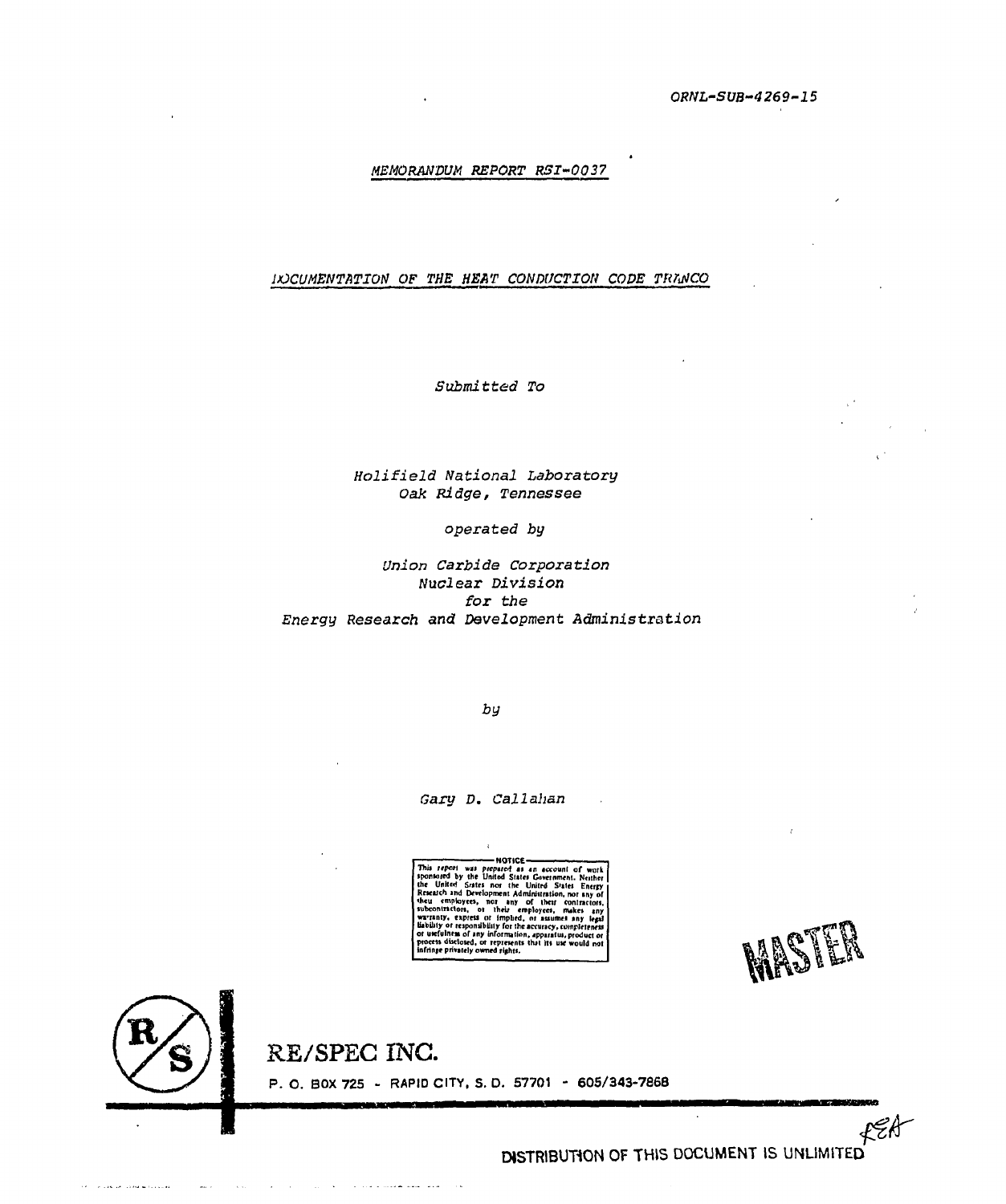ORNL-SUB-4269-15

# MEMORANDUM REPORT RSI-0037

## INCUMENTATION OF THE HEAT CONDUCTION CODE TRANCO

Submitted To

# Holifield National Laboratory Oak Ridge, Tennessee

#### operated by

Union Carbide Corporation Nuclear Division for the Energy Research and Development Administration

by

Gary D. Callahan

 $\epsilon$ 

This report was prepared as an account of work<br>sponnored by the United States Government. Neither<br>the United States nor the United States Energy<br>Renarch and Development Administration, nor any of<br>Renarch and Development Ad -NOTICE-

**MAST** 

a ta watan kacamatan Kabupat

 $\mathcal{L}^{\mathcal{A}}$ 



 $\sim$   $\sim$ 

 $\sim 10^7$ 

of concentration of the material control

RE/SPEC INC.

الأعطا المطاعا للأعطاء والمارود والمتحدث والمتحدث

P. O. BOX 725 - RAPID CITY, S. D. 57701 - 605/343-7868

 $fggf$ DISTRIBUTION OF THIS DOCUMENT IS UNLIMITED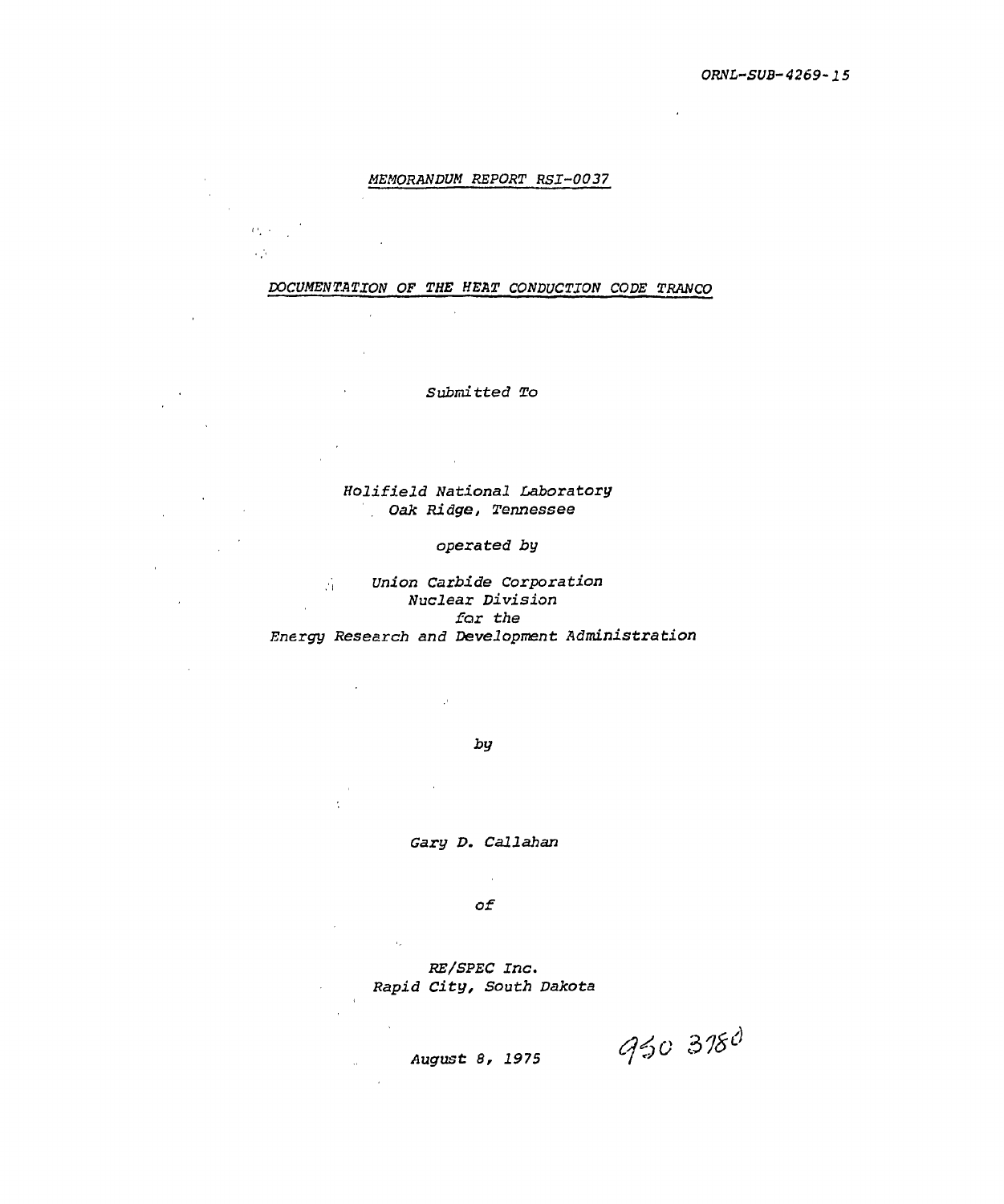## *MEMORANDUM REPORT RSI-0037*

*i* •

уý

i,

*DOCUMENTATION OF THE HEAT CONDUCTION CODE TRANCO* 

*Submitted To* 

*Holifield National Laboratory Oak Ridge, Tennessee* 

## *operated by*

*Union Carbide Corporation Nuclear Division for the Energy Research and Development Administration* 

*by* 

J.

*Gary D. Callahan* 

 $\mathcal{L}$ *of* 

*RE/SPEC Inc. Rapid City, South Dakota* 

 $\alpha_{\rm g}$ 

 $\sim$ 

*August 8, 1975* 

950 3780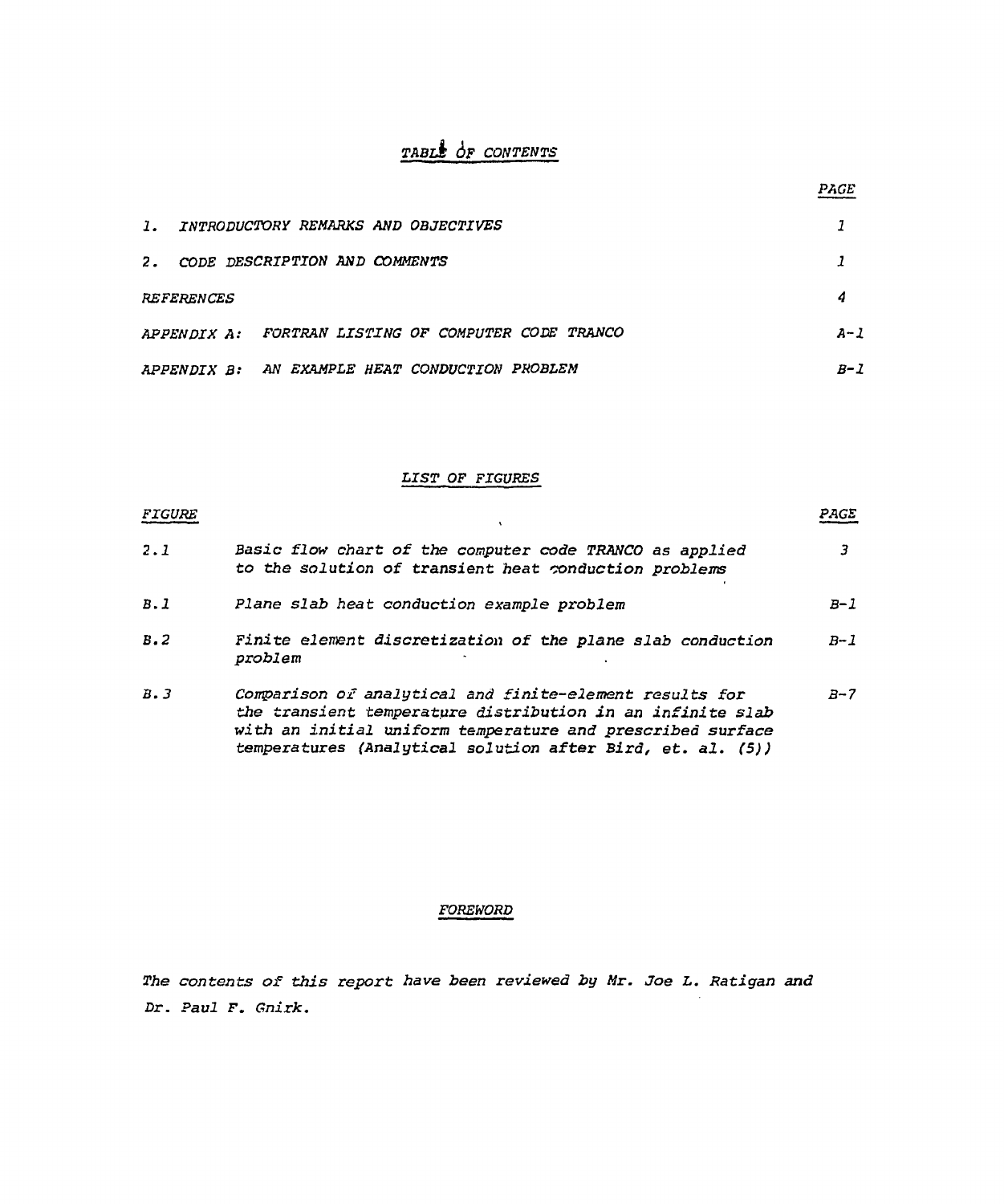# *TABlk 6F CONTENTS*

| $\mathbf{1}$ . | <i>INTRODUCTORY REMARKS AND OBJECTIVES</i>          |     |
|----------------|-----------------------------------------------------|-----|
|                | 2. CODE DESCRIPTION AND COMMENTS                    |     |
|                | <i><b>REFERENCES</b></i>                            | 4   |
|                | APPENDIX A: FORTRAN LISTING OF COMPUTER CODE TRANCO | A-1 |
|                | APPENDIX B: AN EXAMPLE HEAT CONDUCTION PROBLEM      | B-1 |

*PACE* 

# *LIST OF FIGURES*

| FIGURE |                                                                                                                                                                                                                                                   | PAGE  |
|--------|---------------------------------------------------------------------------------------------------------------------------------------------------------------------------------------------------------------------------------------------------|-------|
| 2.1    | Basic flow chart of the computer code TRANCO as applied<br>to the solution of transient heat conduction problems                                                                                                                                  |       |
| B.1    | Plane slab heat conduction example problem                                                                                                                                                                                                        | $B-1$ |
| B.2    | Finite element discretization of the plane slab conduction<br>problem                                                                                                                                                                             | $B-1$ |
| B.3    | Comparison of analytical and finite-element results for<br>the transient temperature distribution in an infinite slab<br>with an initial uniform temperature and prescribed surface<br>temperatures (Analytical solution after Bird, et. al. (5)) | $B-7$ |

# *FOREWORD*

*The contents of this report have been reviewed by Mr. Joe L. Ratigan and Dr. Paul F. Gnirk.*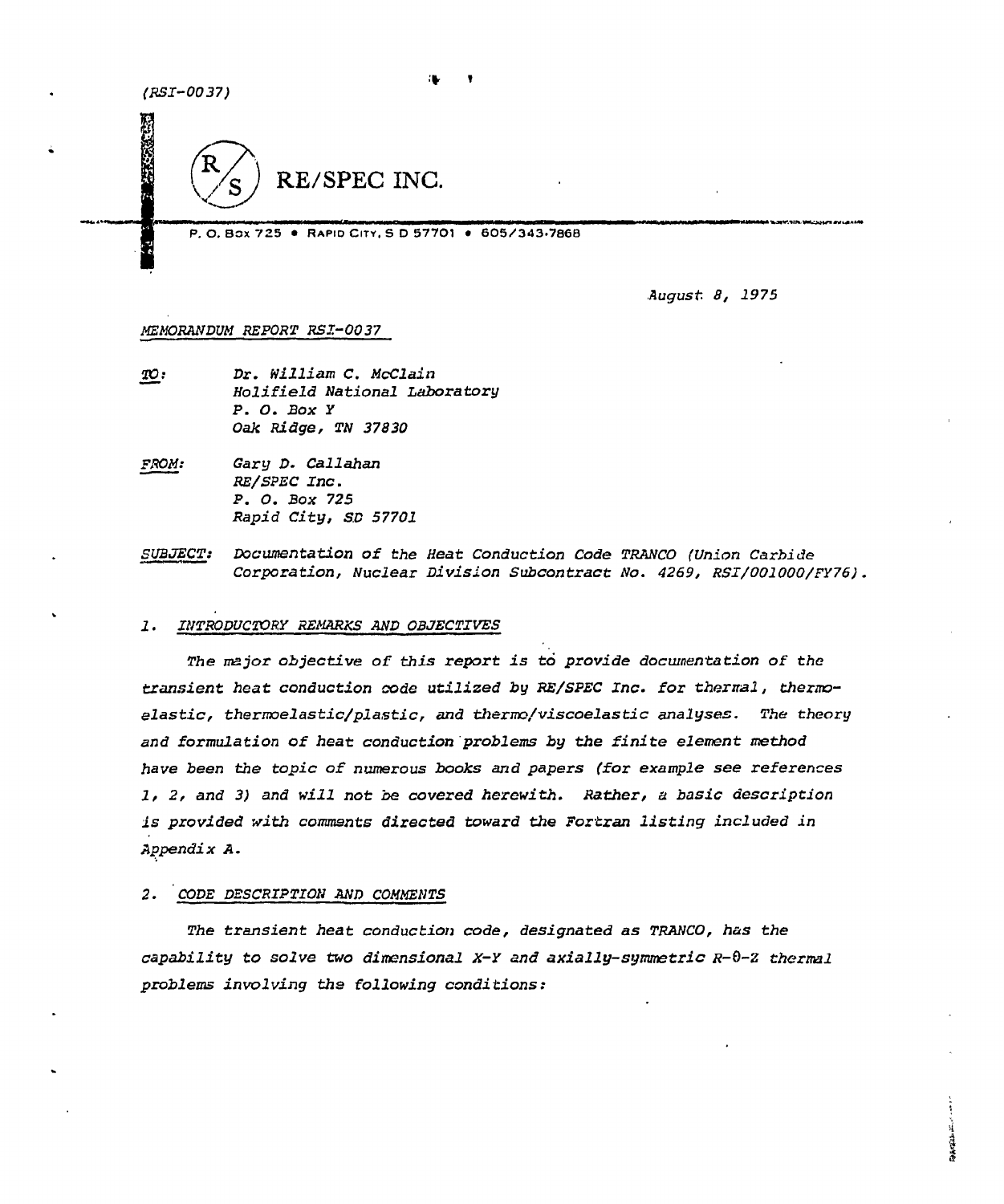**TERSON** 



P.O. Box 725 · RAPID CITY, S.D. 57701 · 605/343-7868

August 8, 1975

**RACTAL** 

#### *MEMORANDUM REPORT RSI-0037*

- *TO: Dr. William C. McClaiii Holifield National Laboratory P. O. Box Y Oak Ridge, TN 37830*
- *FROM: Gary D. Callahan RE/SPEC Inc. P. O. Box 725 Rapid City, SO 57701*
- *SUBJECT: Documentation of the Heat Conduction Code TRANCO (Union Carbide Corporation, Nuclear Division Subcontract No. 4269, RSI/001000/FY76).*

#### *1. INTRODUCTORY REMARKS AND OBJECTIVES*

*The major objective of this report is to provide documentation of the transient heat conduction code utilized by RE/SPEC Inc. for thermal, thermoelastic, thermoelastic/plastic, and therirc/viscoelastic analyses. The theory and formulation of* **heat** *conduction problems by the finite element method have been the topic of numerous books* **and** *papers (for example see references 1, 2, and 3) and will not be covered herewith. Rather, a basic description is provided with comments directed toward the Fortran listing included in Appendix A.* 

## *2. CODE DESCRIPTION AND COMMENTS*

*The transient heat conduction code, designated as TRANCO, has the capability to solve two dimensional X-Y and axially-symmetric R-Q-Z thermal problems involving ths following conditions:*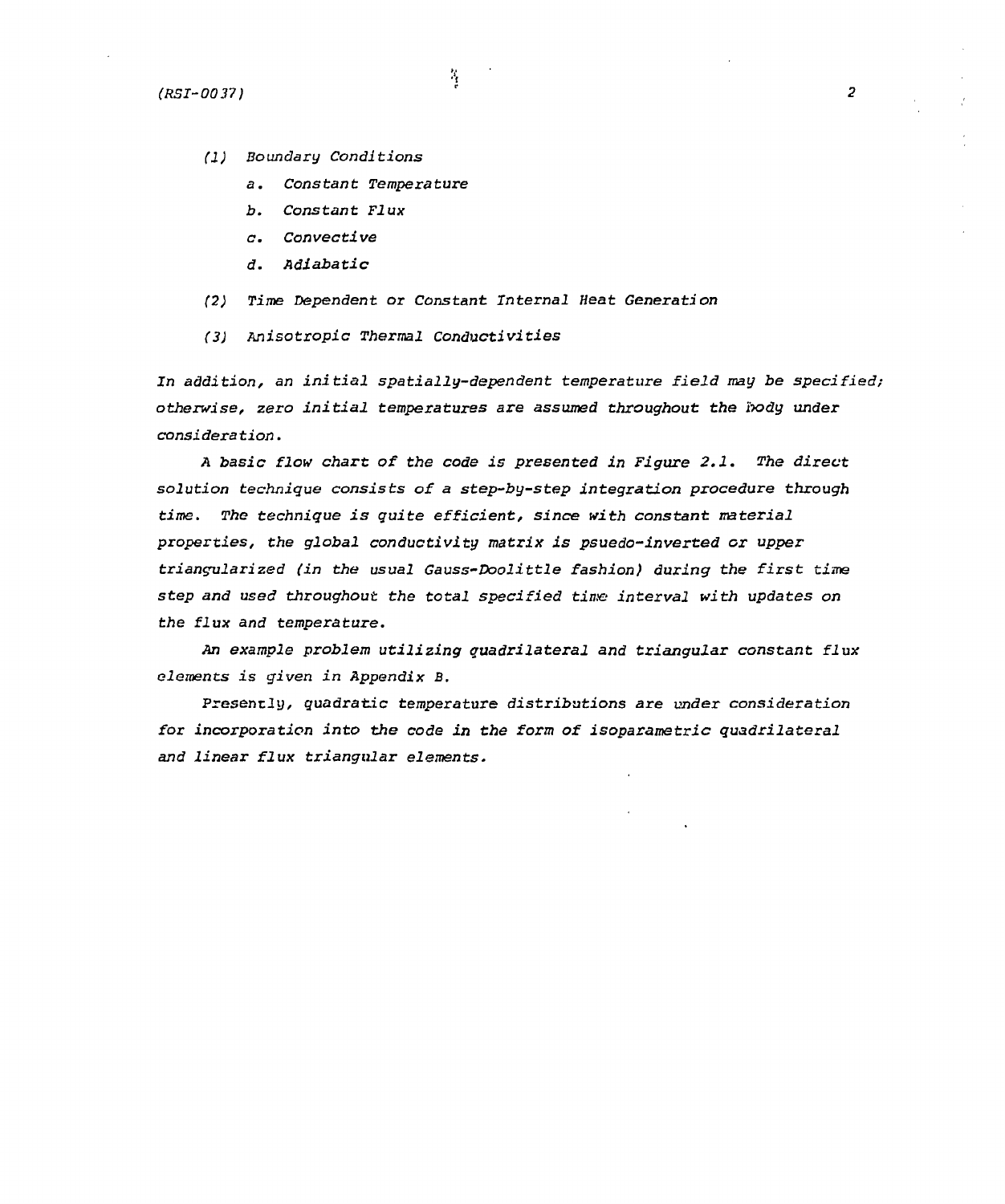*(RSI-00 37} 2* 

- *(J) Boundary Conditions* 
	- *a. Constant Temperature*
	- *b. Constant Flux*
	- *c. Convective*
	- *d. Rdiabatic*
- *(2) Time Dependent or Constant Internal Heat Generation*

 $\mathcal{I}_\mathrm{f}$ 

*(3) Anisotropic Thermal Conductivities* 

*In addition, an initial spatially-dependent temperature field may be specified; otherwise, zero initial temperatures are assumed throughout the body under consideration.* 

*A basic flow chart of the code is presented in Figure 2.1. The direct solution technique consists of a step-by-step integration procedure through time. The technique i s quite efficient , since with constant material properties, the global conductivity matrix is psuedo-inverted or upper triangularized (in the usual Gauss-Doolittle fashion) during the first time step and used throughout the total specified time interval with updates on the flux and temperature.* 

*An example problem utilizing quadrilateral and triangular constant flux elements is given in Appendix B.* 

**Presently,** *quadratic temperature distributions are under consideration for incorporation into the code in the form of isoparametric quadrilateral and linear flux triangular elements.*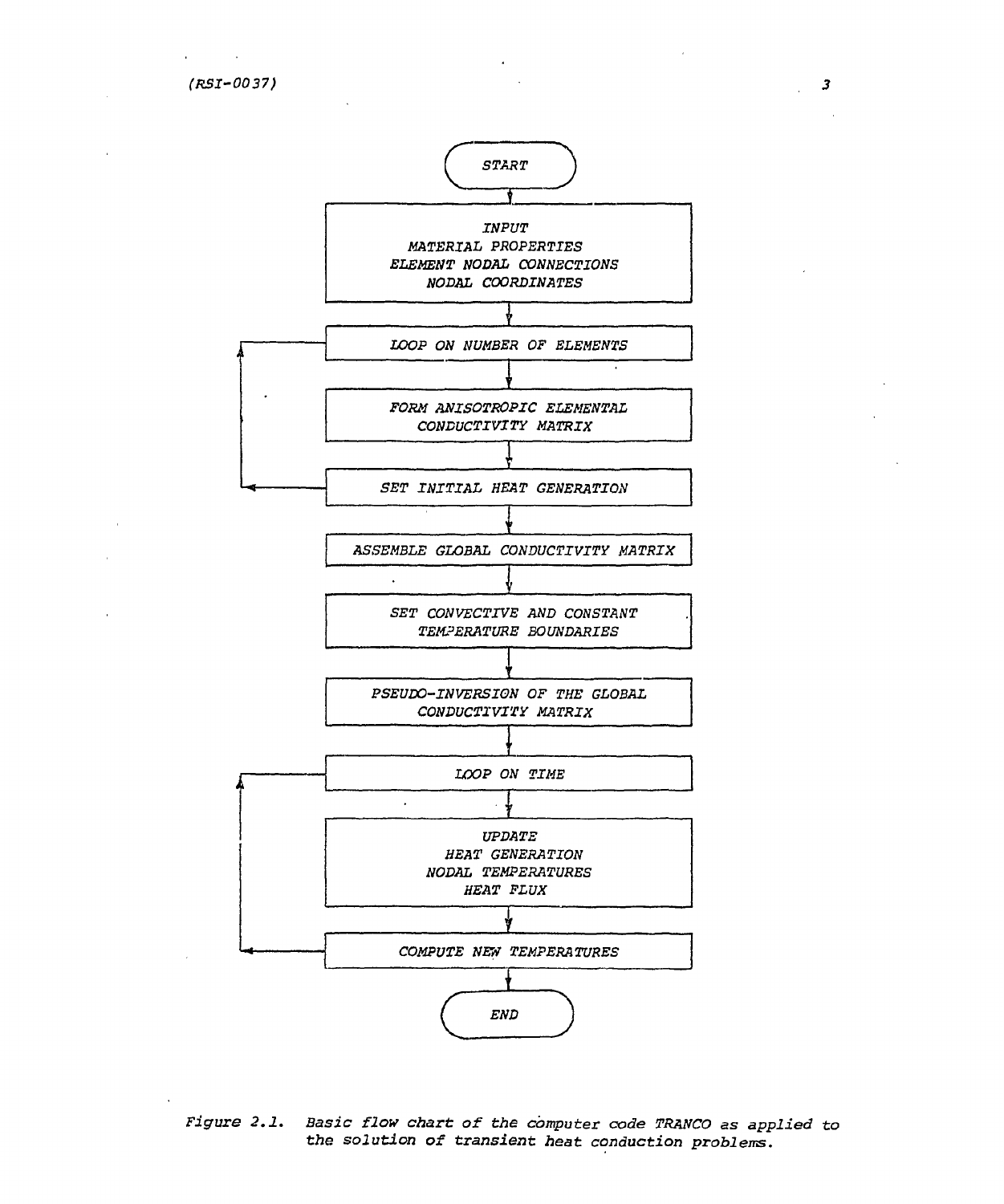

*Figure 2.1. Basic flow chart of the computer code TRANCO as applied to the solution of transient heat conduction problems.*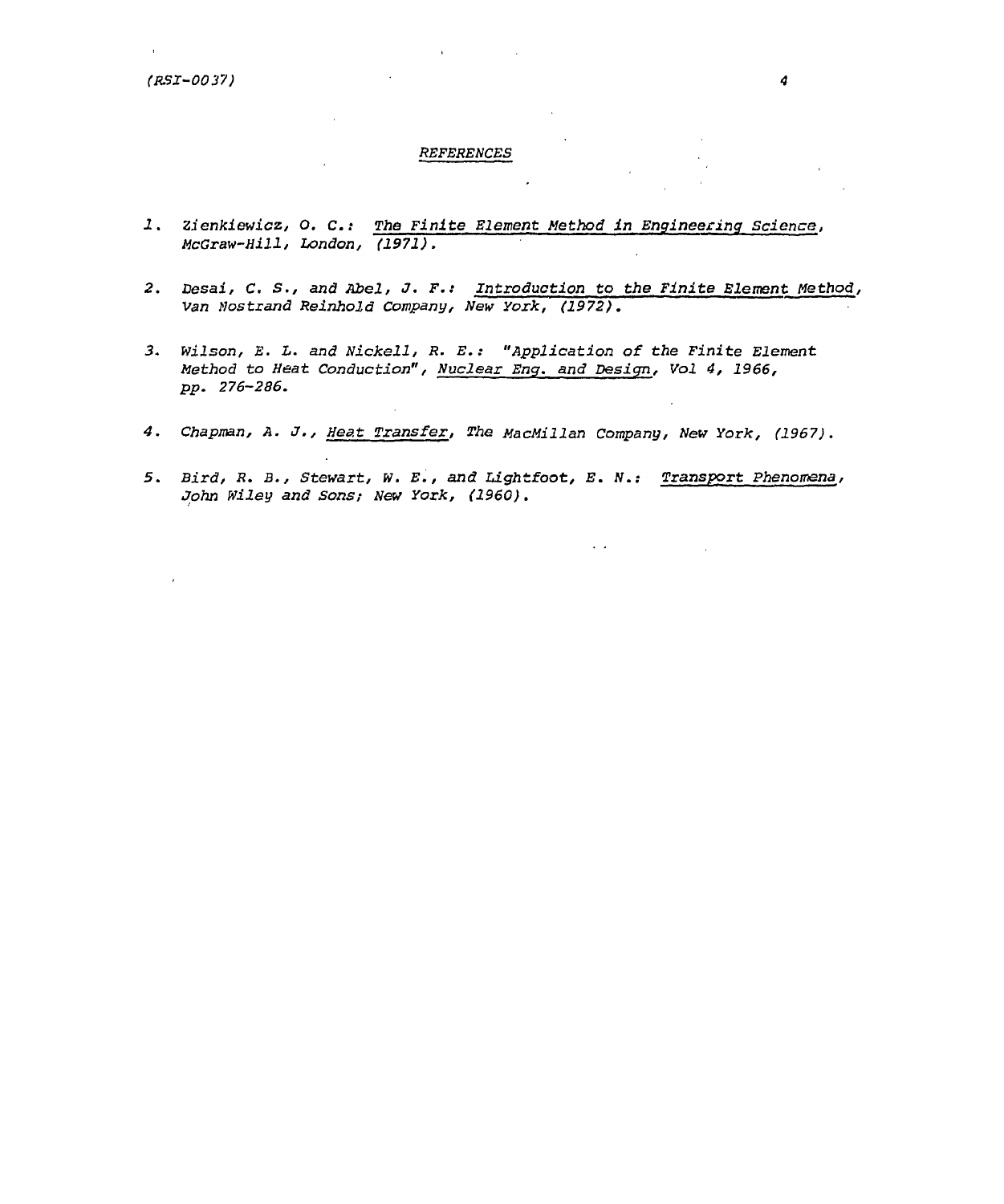#### *REFERENCES*

- *1. Zienkiewicz, O. C.: The Finite Element Method in Engineering Science, McGraw-Hill, London, (1971).*
- *2. Desai, C. S., and* **Abel,** *J. F.: Introduction to the Finite Element Method, Van ilostrand Reinhold Company, New York, (1972).*
- *3. Wilson, E. L. and Nickell, R. E.: "Application of the Finite Element Method to Heat Conduction", Nuclear Eng. and Design, Vol 4, 1966, pp. 276-286.*
- *4. Chapman, A. J. , Heat Transfer, The MacMillan Company, New York, (1967).*
- *5. Bird, R. B., Stewart, w. E., and Lightfoot, E. N.: Transport Phenomena, John Wiley and Sons; New York, (1960).*

 $\epsilon$  .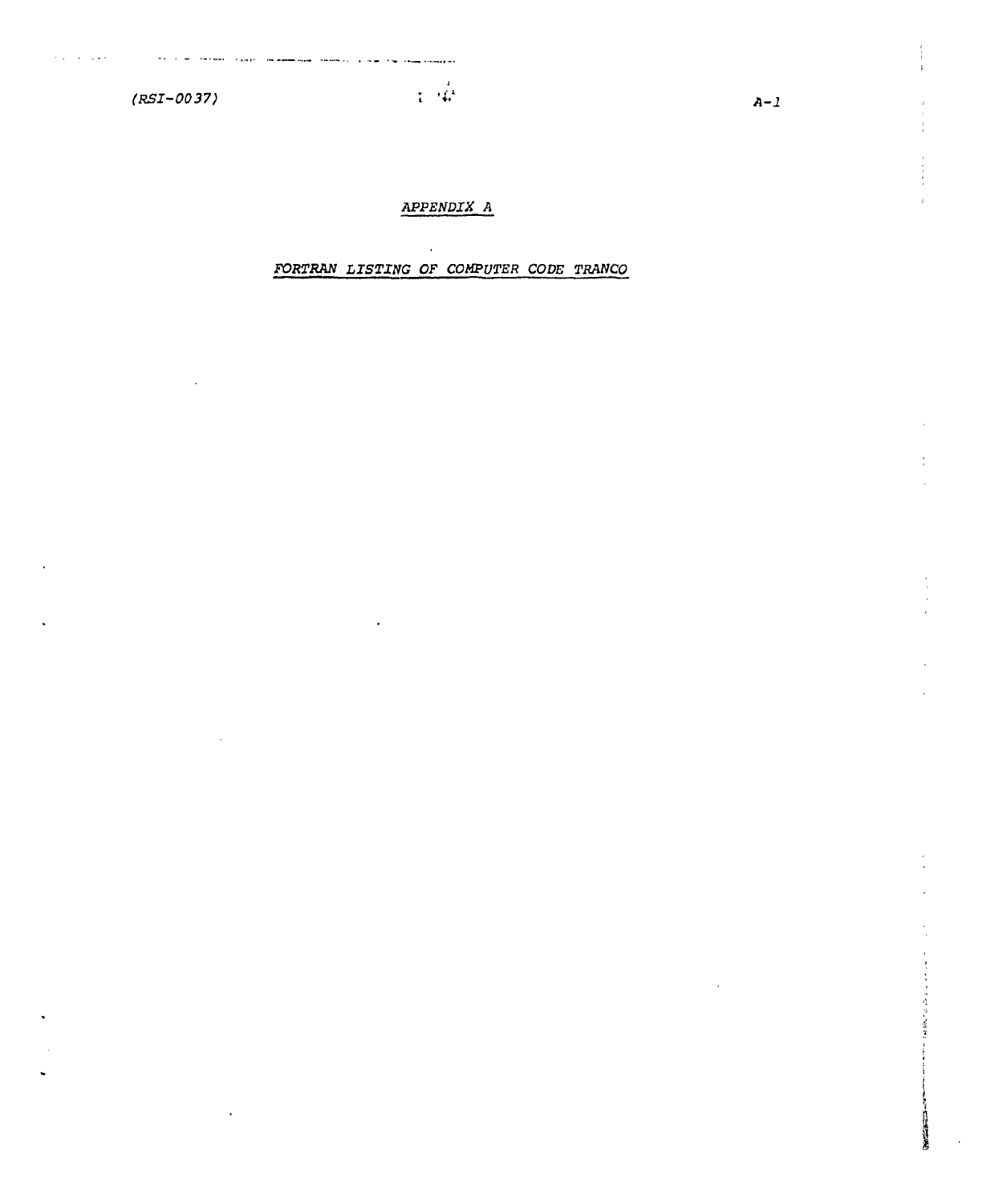$(RSI - 0037)$ 

and the complete complete the complete section of the complete complete the complete section of the complete section of the complete section of the complete section of the complete section of the complete section of the co

 $\alpha$  . The set  $\alpha$ 

 $\sim$ 

# APPENDIX A

 $\sim 10^{12}$ 

# FORTRAN LISTING OF COMPUTER CODE TRANCO

 $A-1$ 

( ) 是 ( ) 是 ( )

この時代の かんしょう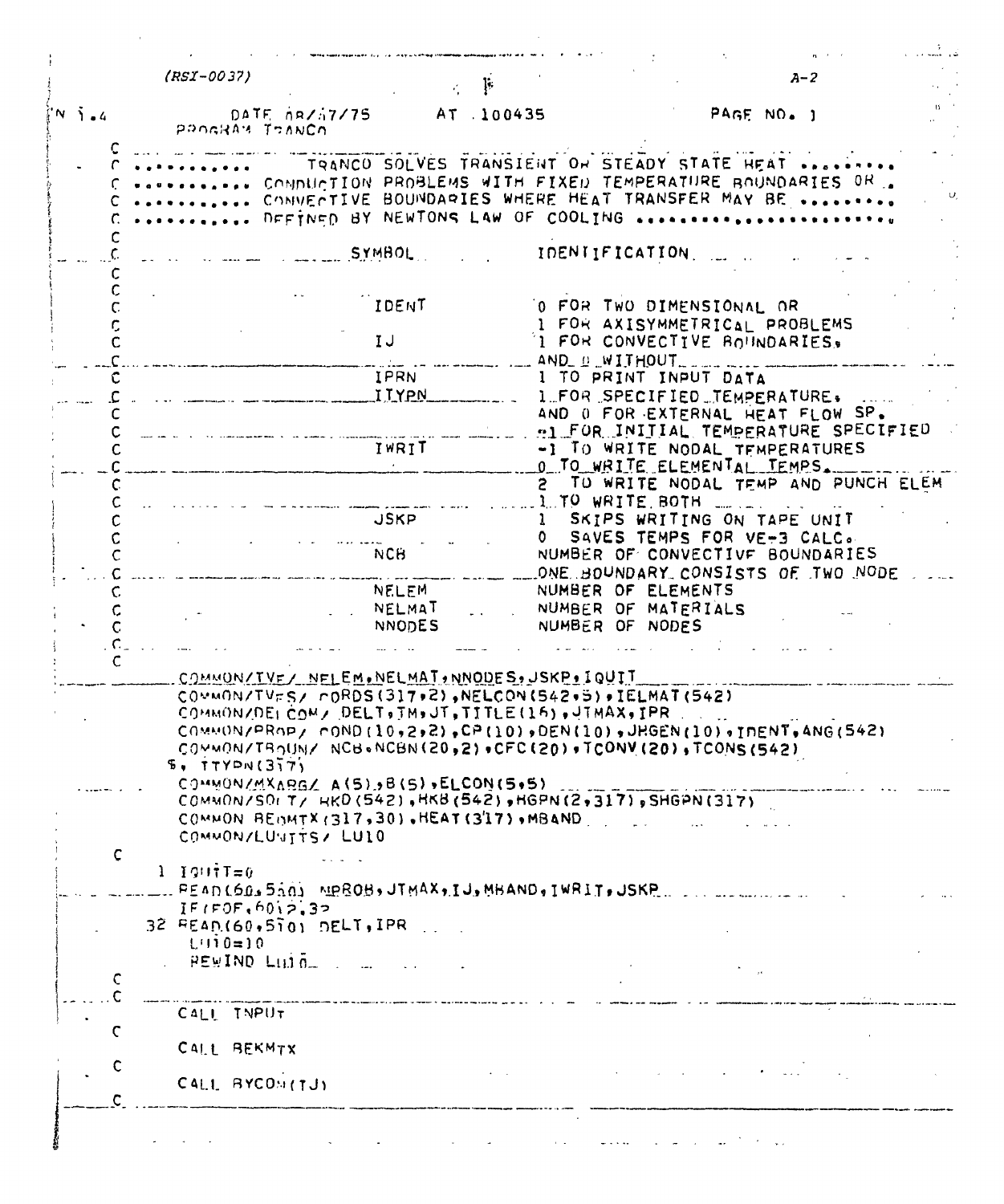|                      | $(RST-0037)$                                                                                                                                                                 | Ţ.                                                                                                                                                                                                |              |                                        | $A - 2$                                                                  |  |
|----------------------|------------------------------------------------------------------------------------------------------------------------------------------------------------------------------|---------------------------------------------------------------------------------------------------------------------------------------------------------------------------------------------------|--------------|----------------------------------------|--------------------------------------------------------------------------|--|
| $'N$ $\tilde{J}$ $4$ | DATE $0R/17/75$<br>PROGRAM TRANCO                                                                                                                                            | AT .100435                                                                                                                                                                                        |              |                                        | PAGE NO. 1                                                               |  |
|                      |                                                                                                                                                                              | TRANCO SOLVES TRANSIENT ON STEADY STATE HEAT<br>CONDUCTION PROBLEMS WITH FIXED TEMPERATURE BOUNDARIES OR<br>COMMENTIVE BOUNDARIES WHERE HEAT TRANSFER MAY BE<br>DEFINED BY NEWTONS LAW OF COOLING |              |                                        |                                                                          |  |
|                      |                                                                                                                                                                              | <b>SYMBOL</b>                                                                                                                                                                                     |              | IDENTIFICATION                         |                                                                          |  |
|                      |                                                                                                                                                                              | IDENT                                                                                                                                                                                             |              |                                        | O FOR TWO DIMENSIONAL OR<br>I FOR AXISYMMETRICAL PROBLEMS                |  |
| c                    |                                                                                                                                                                              | IJ                                                                                                                                                                                                |              | AND_D_WITHOUT__                        | 1 FOR CONVECTIVE BOUNDARIES,                                             |  |
|                      |                                                                                                                                                                              | <b>IPRN</b>                                                                                                                                                                                       |              | I TO PRINT INPUT DATA                  |                                                                          |  |
|                      |                                                                                                                                                                              | <b>ITYPN</b>                                                                                                                                                                                      |              |                                        | I FOR SPECIFIED TEMPERATURE.                                             |  |
|                      |                                                                                                                                                                              |                                                                                                                                                                                                   |              |                                        | AND O FOR EXTERNAL HEAT FLOW SP.<br>AL FOR INITIAL TEMPERATURE SPECIFIED |  |
|                      |                                                                                                                                                                              | IWRIT                                                                                                                                                                                             |              |                                        | -1 TO WRITE NODAL TEMPERATURES<br>O TO WRITE ELEMENTAL TEMPS.            |  |
|                      |                                                                                                                                                                              |                                                                                                                                                                                                   |              | 1. TO WRITE BOTH                       | 2 TO WRITE NODAL TEMP AND PUNCH ELEM                                     |  |
|                      |                                                                                                                                                                              | <b>JSKP</b>                                                                                                                                                                                       | $\mathbf{1}$ |                                        | SKIPS WRITING ON TAPE UNIT<br>SAVES TEMPS FOR VE-3 CALC.                 |  |
|                      |                                                                                                                                                                              | <b>NCH</b>                                                                                                                                                                                        |              |                                        | NUMBER OF CONVECTIVE BOUNDARIES<br>ONE BOUNDARY CONSISTS OF TWO NODE     |  |
|                      |                                                                                                                                                                              | <b>NELEM</b>                                                                                                                                                                                      |              | NUMBER OF ELEMENTS                     |                                                                          |  |
|                      |                                                                                                                                                                              | NELMAT<br><b>NNODES</b>                                                                                                                                                                           |              | NUMBER OF MATERIALS<br>NUMBER OF NODES |                                                                          |  |
|                      |                                                                                                                                                                              |                                                                                                                                                                                                   |              |                                        |                                                                          |  |
|                      |                                                                                                                                                                              |                                                                                                                                                                                                   |              |                                        |                                                                          |  |
|                      | COMMON/TVE/ NELEM.NELMAT, NNOUES, JSKP. IQUIT                                                                                                                                |                                                                                                                                                                                                   |              |                                        |                                                                          |  |
|                      | $COMMON/TVFS/~PORDS(317*2)$ , NELCON(542+5), IELMAT(542)                                                                                                                     |                                                                                                                                                                                                   |              |                                        |                                                                          |  |
|                      | COMMON/DELCOM/ DELT. TM.JT, TITLE(16), JTMAX, IPR                                                                                                                            |                                                                                                                                                                                                   |              |                                        |                                                                          |  |
|                      | $COMMUNDNPRNP / COND (10, 2, 2) P CP (10) P DEN (10) JHGEN (10) JIPENT, ANG (542)$<br>COMMON/TROUN/ NCB+NCBN(20,2)+CFC(20)+TCONV(20),TCONS(542)<br>$F_{\theta}$ , TTYPN(317) |                                                                                                                                                                                                   |              |                                        |                                                                          |  |
|                      | COMMON/MXARGZ A(5), B(5), ELCON(5,5)                                                                                                                                         |                                                                                                                                                                                                   |              |                                        |                                                                          |  |
|                      | $COMMONSD(T/HR0(542),HK8(542))$ , $R3(2,317)$ , SHGPN(317)                                                                                                                   |                                                                                                                                                                                                   |              |                                        |                                                                          |  |
|                      | COMMON BEOMTX (317,30), HEAT (3'17), MBAND                                                                                                                                   |                                                                                                                                                                                                   |              |                                        |                                                                          |  |
|                      | COMMON/LUVITTS/ LUIO                                                                                                                                                         |                                                                                                                                                                                                   |              |                                        |                                                                          |  |
| C                    |                                                                                                                                                                              |                                                                                                                                                                                                   |              |                                        |                                                                          |  |
|                      | 1 $IQU\hat{\tau}T=0$                                                                                                                                                         |                                                                                                                                                                                                   |              |                                        |                                                                          |  |
|                      | L. READ(60,550) NRROB, JTMAX, IJ, MBAND, IWRIT, JSKP                                                                                                                         |                                                                                                                                                                                                   |              |                                        |                                                                          |  |
|                      | IFIFOF, 6012.32                                                                                                                                                              |                                                                                                                                                                                                   |              |                                        |                                                                          |  |
|                      |                                                                                                                                                                              |                                                                                                                                                                                                   |              |                                        |                                                                          |  |
|                      | 32 READ(60,510) DELT, IPR<br>$L(110=)0$                                                                                                                                      |                                                                                                                                                                                                   |              |                                        |                                                                          |  |
|                      |                                                                                                                                                                              |                                                                                                                                                                                                   |              |                                        |                                                                          |  |
|                      | $PEWIND$ Lii $\bar{0}$ $\ldots$ $\ldots$                                                                                                                                     |                                                                                                                                                                                                   |              |                                        |                                                                          |  |
| C                    |                                                                                                                                                                              |                                                                                                                                                                                                   |              |                                        |                                                                          |  |
|                      | CALL INPUT                                                                                                                                                                   | .<br>In case of called a meter has elected in color as the color of the color same and espanse of the calendarism called                                                                          |              |                                        |                                                                          |  |
|                      |                                                                                                                                                                              |                                                                                                                                                                                                   |              |                                        |                                                                          |  |
|                      |                                                                                                                                                                              |                                                                                                                                                                                                   |              |                                        |                                                                          |  |
| C                    | CALL BEKMTX                                                                                                                                                                  |                                                                                                                                                                                                   |              |                                        |                                                                          |  |
| C<br>$\mathsf{C}$    | CALL BYCOS(TJ)                                                                                                                                                               |                                                                                                                                                                                                   |              |                                        |                                                                          |  |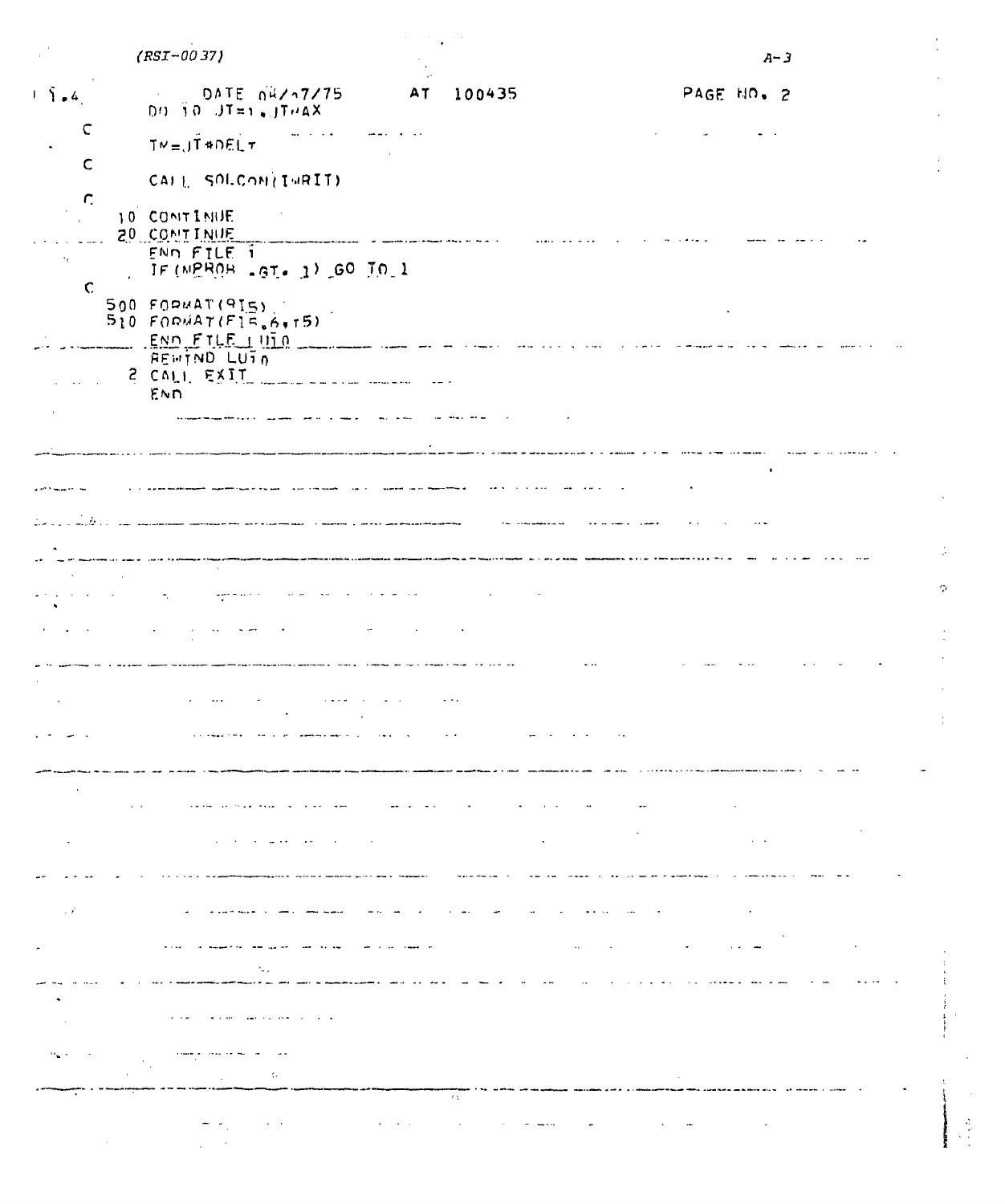|                                    | $(RST - 0037)$                                                                                                                                                                                                                |                                                                   |                                                                                                                                                                                                                                  | $A - 3$                     |    |
|------------------------------------|-------------------------------------------------------------------------------------------------------------------------------------------------------------------------------------------------------------------------------|-------------------------------------------------------------------|----------------------------------------------------------------------------------------------------------------------------------------------------------------------------------------------------------------------------------|-----------------------------|----|
| $1 - \tilde{1}$ = 4                | DATE 04/17/75<br>$00 \text{ for } J$ T=1, JTHAX                                                                                                                                                                               | AT<br>100435                                                      |                                                                                                                                                                                                                                  | PAGE NO. 2                  |    |
| C                                  | $TV = J\overline{T}$ #DEL $\tau$                                                                                                                                                                                              |                                                                   |                                                                                                                                                                                                                                  |                             |    |
| $\mathsf{C}$                       | CALL SOLCON(IWRIT)                                                                                                                                                                                                            |                                                                   |                                                                                                                                                                                                                                  |                             |    |
| $\mathcal{L}$                      | 10 CONTINUE<br>20 CONTINUE                                                                                                                                                                                                    |                                                                   |                                                                                                                                                                                                                                  |                             |    |
| $\cdot$ .                          | ENN FILE 1<br>IF (NEROB -GT. 1) GO TO 1                                                                                                                                                                                       | أأدا المالكة المداين يتعاقد المستعدد متسير والقمر                 |                                                                                                                                                                                                                                  |                             |    |
| $\mathbf C$                        | $500$ FORMAT(915)<br>$510$ FORMAT(F15.6,15)                                                                                                                                                                                   |                                                                   |                                                                                                                                                                                                                                  |                             |    |
|                                    | END FILE UID<br>REWTND LUTA<br>$2$ CALI EXIT                                                                                                                                                                                  |                                                                   |                                                                                                                                                                                                                                  |                             |    |
|                                    | END                                                                                                                                                                                                                           |                                                                   |                                                                                                                                                                                                                                  |                             |    |
|                                    |                                                                                                                                                                                                                               |                                                                   |                                                                                                                                                                                                                                  |                             |    |
|                                    |                                                                                                                                                                                                                               |                                                                   | la se de la constitución de la constitución de la constitución de la constitución de la constitución de la con<br>La constitución de la constitución de la constitución de la constitución de la constitución de la constitución |                             |    |
|                                    | .<br>1. Колондон — 1.<br>Добле достой с созданно редактивным заменимам в место дательных от македонография американские выродников.                                                                                           |                                                                   |                                                                                                                                                                                                                                  |                             |    |
|                                    |                                                                                                                                                                                                                               |                                                                   |                                                                                                                                                                                                                                  |                             |    |
|                                    | متاسات والتاريخ<br>agressive                                                                                                                                                                                                  |                                                                   |                                                                                                                                                                                                                                  |                             | O. |
|                                    |                                                                                                                                                                                                                               |                                                                   |                                                                                                                                                                                                                                  |                             |    |
|                                    |                                                                                                                                                                                                                               |                                                                   |                                                                                                                                                                                                                                  |                             |    |
|                                    |                                                                                                                                                                                                                               | <b>Contract Contract</b>                                          |                                                                                                                                                                                                                                  |                             |    |
|                                    |                                                                                                                                                                                                                               |                                                                   |                                                                                                                                                                                                                                  |                             |    |
| $\sim 100$ km s $^{-1}$            | $\mathcal{A}=\mathcal{A}$ , and $\mathcal{A}=\mathcal{A}$<br>المتعجز فالدافع المحاسبات                                                                                                                                        | $\Delta \Delta \phi = \Delta \phi + \Delta \phi + \Delta \phi$    |                                                                                                                                                                                                                                  |                             |    |
|                                    |                                                                                                                                                                                                                               |                                                                   |                                                                                                                                                                                                                                  | $\Delta \sim 100$           |    |
|                                    |                                                                                                                                                                                                                               |                                                                   |                                                                                                                                                                                                                                  |                             |    |
| $\mathcal{L}(\mathcal{L}_1)$ , and |                                                                                                                                                                                                                               | المواد المواديات                                                  |                                                                                                                                                                                                                                  |                             |    |
|                                    | القدامة المدارا مديهها كمالا المتحملة المارية المتحدث                                                                                                                                                                         | المنتقل المدارين للسا                                             | $\sim$ 440 $\sim$ 100 $\sim$                                                                                                                                                                                                     | $\sim 10^{-10}$             |    |
|                                    |                                                                                                                                                                                                                               |                                                                   |                                                                                                                                                                                                                                  |                             |    |
|                                    | and the second contract $\mathbf{u}$ .                                                                                                                                                                                        |                                                                   |                                                                                                                                                                                                                                  |                             |    |
|                                    | created a consideration of the control of the control of the control of the control of the control of the control of the control of the control of the control of the control of the control of the control of the control of |                                                                   |                                                                                                                                                                                                                                  |                             |    |
|                                    | $\mathcal{A}=\mathcal{A}$                                                                                                                                                                                                     | in A<br>$\bullet$ , $\bullet$ , $\bullet$ , $\bullet$ , $\bullet$ | $\mathcal{O}(\mathcal{A})$ , and $\mathcal{O}(\mathcal{A})$ , we have<br><b>Contractor</b>                                                                                                                                       | $\mathcal{A}=\{1,2,3,4,6\}$ |    |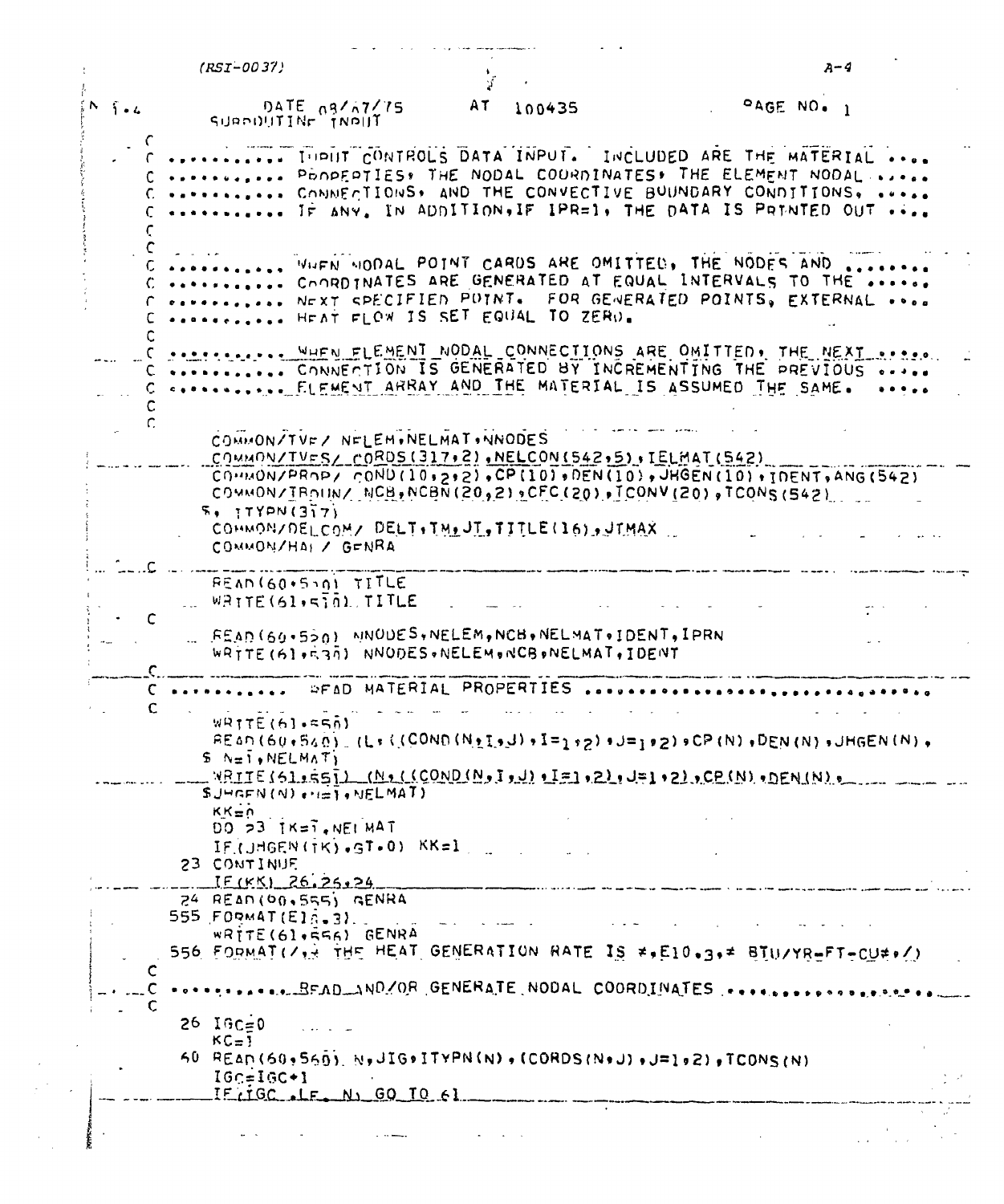|                   | $(RST-0037)$                            |                                                                                                        |    |        |                                                                                                                                                                                                                                | A-4 |
|-------------------|-----------------------------------------|--------------------------------------------------------------------------------------------------------|----|--------|--------------------------------------------------------------------------------------------------------------------------------------------------------------------------------------------------------------------------------|-----|
| $N = \frac{1}{2}$ | SUPPOUTINE TINPUT                       | DATE $0.9767775$                                                                                       | 2T | 100435 | $OAGE NO_{0}$                                                                                                                                                                                                                  |     |
|                   |                                         |                                                                                                        |    |        | IUPHT CONTROLS DATA INPUT. INCLUDED ARE THE MATERIAL<br>PROPERTIES, THE NODAL COURDINATES, THE ELEMENT NODAL<br>CONNECTIONS, AND THE CONVECTIVE BUUNDARY CONDITIONS,<br>IF ANY, IN ADDITION, IF IPR=1, THE DATA IS PRINTED OUT |     |
|                   |                                         | HEAT FLOW IS SET EQUAL TO ZERN.                                                                        |    |        | WHEN MODAL POINT CARDS ARE OMITTED, THE NODES AND<br>COORDINATES ARE GENERATED AT EQUAL INTERVALS TO THE<br>NEXT SPECIFIED POINT. FOR GENERATED POINTS, EXTERNAL                                                               |     |
|                   |                                         |                                                                                                        |    |        | WHEN FLEMENT NODAL CONNECTIONS ARE OMITTED, THE NEXT<br>CONNECTION IS GENERATED BY INCREMENTING THE PREVIOUS<br>CONNECTIVE FLEMENT ARRAY AND THE MATERIAL IS ASSUMED THE SAME.                                                 |     |
|                   |                                         | COMMON/TVF/ NFLEM.NELMAT.NNODES<br>COMMON/TVES/ CORDS(317,2), NELCON(542,5), IELMAT(542)               |    |        | $COMVPRNP$ , $COND(10, p, q)$ , $CPI(10)$ , $DEN(10)$ , $HGEN(10)$ , $HGEN(10)$ , $IDENT$ , $ANG(542)$<br>COMMON/TROUN/ NCB, NCBN (20,2) OFC (20), TCONV (20), TCONS (542)                                                     |     |
|                   | $5, 11$ YPN $(317)$                     | COHMON/DELCOM/ DELT. TM. JT, TITLE(16), JTMAX<br>COMMON/HAI / GENRA                                    |    |        |                                                                                                                                                                                                                                |     |
|                   |                                         | READ (60.510) TITLE<br>WRITE(61,5) OL TITLE                                                            |    |        |                                                                                                                                                                                                                                |     |
|                   |                                         | FEAD (60+550) MNOUES, NELEM, NCB, NELMAT, IDENT, IPRN<br>WRTTE (61+E30) NNODES.NELEM.NCB.NELMAT, IDENT |    |        |                                                                                                                                                                                                                                |     |
|                   |                                         | <b>DEAD MATERIAL PROPERTIES</b>                                                                        |    |        |                                                                                                                                                                                                                                |     |
|                   | $WRTTE(61-550)$<br>$S \sim 1$ , NELMAT) |                                                                                                        |    |        | $F_{0}$ (60.540) (L:((COND (Notion) + I=1.2) + J=1.2) = CP (N) + DEN (N) + JHGEN (N) +<br>$N$ RITE(51.55) (N.((COND(N.)),L=1.2),J=1.2),CP(N).DEN(N),                                                                           |     |
|                   | $KK = 0$                                | $SJHGFN(N) \leftrightarrow \pm 1$ , $NELMAT$                                                           |    |        |                                                                                                                                                                                                                                |     |
|                   | 23 CONTINUE                             | $DO 23$ $IK=7$ , $NEIMAT$<br>IF (JHGEN (TK) .GT.0) KK=1<br>IF(KK) 26.25.24                             |    |        |                                                                                                                                                                                                                                |     |
|                   | 555 FORMAT(E16.3)                       | $24$ READ(00.555) GENRA<br>$W$ RITE(61,556) GENRA                                                      |    |        | .<br>Although the continuum of the particular special and appears in the same and support of property and property<br>556 FORMAT(/** THE HEAT GENERATION RATE IS ** E10.3.* BIU/YR=FT-CU#./)                                   |     |
|                   |                                         |                                                                                                        |    |        |                                                                                                                                                                                                                                |     |
| C                 | $26 \t16c = 0$                          |                                                                                                        |    |        |                                                                                                                                                                                                                                |     |
|                   | $KC=1$                                  |                                                                                                        |    |        | $60$ READ( $60,9560$ ), N,JIG+ITYPN(N),(CORDS(N+J),J=1,2),TCONS(N)                                                                                                                                                             |     |
|                   | $IGC = IGC + 1$                         | IF IGC . LF NJ GO TO 61                                                                                |    |        |                                                                                                                                                                                                                                |     |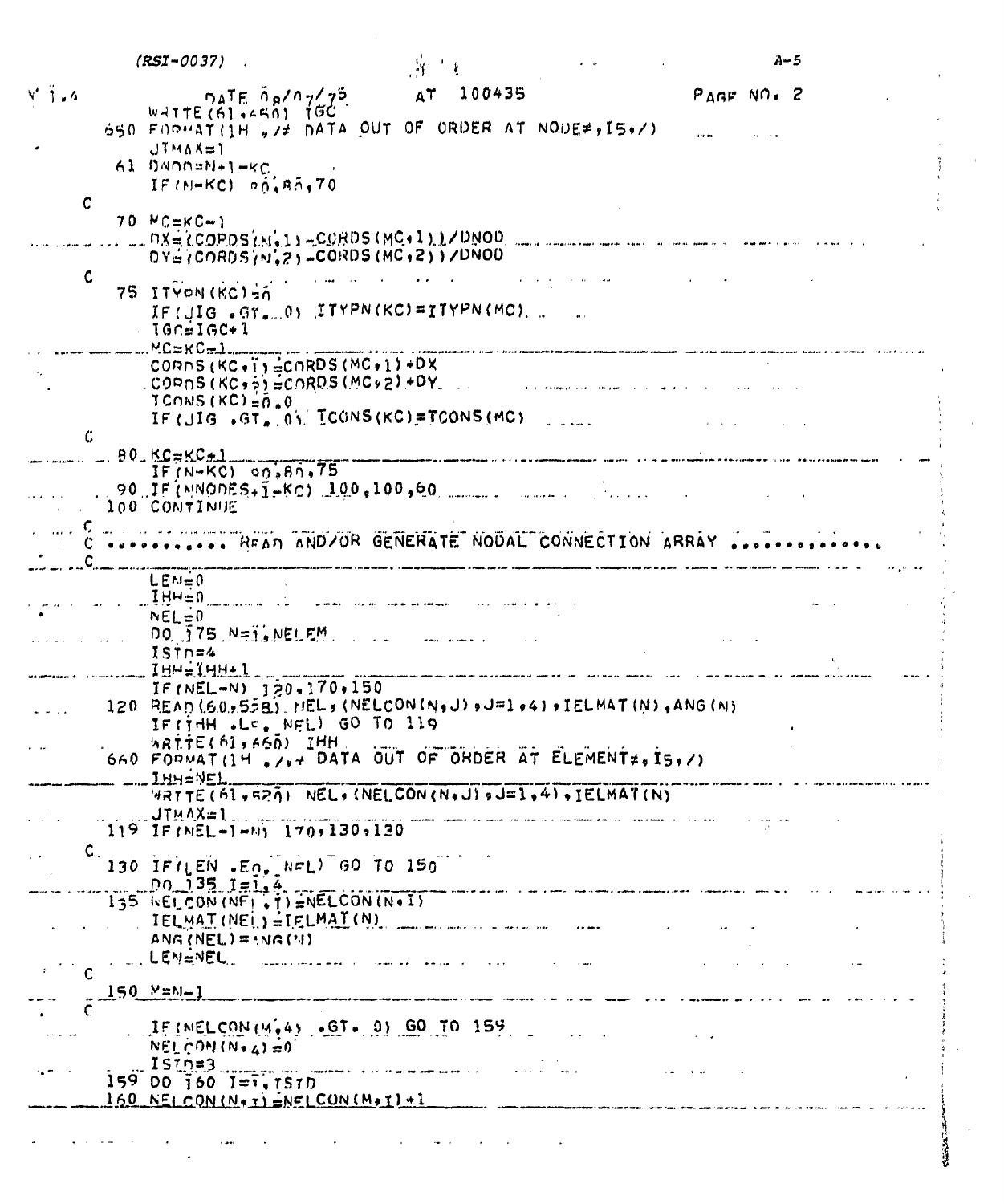|                         | $(RST - 0037)$                                                                                                                   |                                                                                                                                                                                                                                | A–5                                                                                                                  |
|-------------------------|----------------------------------------------------------------------------------------------------------------------------------|--------------------------------------------------------------------------------------------------------------------------------------------------------------------------------------------------------------------------------|----------------------------------------------------------------------------------------------------------------------|
| $V = \frac{1}{2}$ , $4$ | $\mathcal{A}$ TE $\mathcal{A}$ $\mathcal{A}$ $\mathcal{A}$ $\mathcal{A}$ $\mathcal{A}$                                           | AT 100435                                                                                                                                                                                                                      | $PAGF$ NO. 2                                                                                                         |
|                         | $WATTE(6)$ , $450$ ) $100$<br>650 FORMAT (1H , /* DATA OUT OF ORDER AT NODE*, IS./)                                              |                                                                                                                                                                                                                                |                                                                                                                      |
|                         | $JTMAX=1$<br>61 DNOD=N+1-KC<br>IF (M-KC) $\overline{a}$ $\overline{b}$ , $\overline{a}$ $\overline{b}$ , $\overline{7}$ 0        |                                                                                                                                                                                                                                |                                                                                                                      |
| C                       | $70$ $MC=KC-1$<br>$L = 0.8 = (COPDS(M+1) - CGRDS(MC+1)) / CDNOD$                                                                 |                                                                                                                                                                                                                                |                                                                                                                      |
| $\mathsf{C}$            | $DYII$ (CORDS $(N1, 2)$ -CORDS (MC, 2))/DNOD                                                                                     |                                                                                                                                                                                                                                |                                                                                                                      |
|                         | 75 ITYON (KC) 50<br>IF (JIG . GT. 0) ITYPN (KC)=ITYPN (MC).<br>$\sqrt{16}$ c=IGC+1<br>MC=KC=1                                    |                                                                                                                                                                                                                                |                                                                                                                      |
|                         | CORNS (KC.T)=CORDS (MC.1)+DX<br>CORNS (KC, 5) =CORDS (MC, 2) +DY.<br>$TCONS (KCI = 0.0$                                          |                                                                                                                                                                                                                                | $\overline{a}$ , and $\overline{a}$ , $\overline{a}$ , $\overline{a}$ , $\overline{a}$                               |
| $\mathcal{C}$           | IF (JIG .GT. ON TOONS (KC)=TOONS (MC)<br>$90. K$ C $\approx$ KC $\pm$ 1                                                          |                                                                                                                                                                                                                                | a na macha<br>$\sim$ and a measurement matrice of the late $\sim$                                                    |
|                         | $IF(N-KC)$ $00,80,75$<br>100 CONTINUE                                                                                            |                                                                                                                                                                                                                                |                                                                                                                      |
|                         | READ ANDZOR GENERATE NODAL CONNECTION ARRAY                                                                                      |                                                                                                                                                                                                                                |                                                                                                                      |
|                         | $LEM=0$                                                                                                                          |                                                                                                                                                                                                                                |                                                                                                                      |
|                         | $I$ $H$ $H \equiv 0$<br>$NEL = 0$<br>DO 175 N=1, NELEM.                                                                          | an and the second company of the second company of the second company of the second company of the second company of the second company of the second company of the second company of the second company of the second compan |                                                                                                                      |
|                         | $ISTn=4$<br>$IHH = IHH + 1$                                                                                                      |                                                                                                                                                                                                                                |                                                                                                                      |
|                         | $IF(NEL=N)$ $120.170.150$<br>120 READ (60,5558), HEL, (NELCON (N,J) , J=1,44), IELMAT (N), ANG (N)<br>IFITHH .LE. NEL) GO TO 119 |                                                                                                                                                                                                                                |                                                                                                                      |
|                         | $W$ RITE( $61,66$ ) IHH<br>640 FORMAT(1H, $y_{y+}$ DATA OUT OF ORDER AT ELEMENT#, 15, $y$ )<br>$-m$ IHH=NEL                      |                                                                                                                                                                                                                                |                                                                                                                      |
|                         | WRTTE (61,520) NEL, (NELCON (N.J) , J=1, 4), IELMAT (N)<br>UTMAX=1<br>$119$ IF (NEL-1-N) $170, 130, 130$                         |                                                                                                                                                                                                                                | .<br>الأمام الأراد المالي المتحدة موم الأمام المتحدة المتحدة المراكب المراكب المتحدة المتحدة المتحدة المتحدة المتحدة |
| $\mathsf{C}$ .          | 130 IFILEN .EO. NEL) 60 TO 150                                                                                                   |                                                                                                                                                                                                                                |                                                                                                                      |
|                         | $0.135$ $1 = 1.4$<br>$135$ KELCON (NF), $125$ WELCON (N.1)                                                                       |                                                                                                                                                                                                                                | .<br>Marine wa kutoka kutoka kwa kutoka wa kutoka kutoka kutoka kutoka kwa matu wa kutoka kutoka mwaka wa kutoka ku  |
|                         | IELMAT(NEL)=IELMAT(N)<br>$ANG(NEL) = MC(1)$                                                                                      |                                                                                                                                                                                                                                |                                                                                                                      |
|                         | $\mathbb{L}$ . LEN=NEL $\mathbb{L}$<br>$150$ $N = N - 1$                                                                         | and the company of the company of the company of the company of the company of the company of the company of the company of the company of the company of the company of the company of the company of the company of the comp | .<br>Angelo langua dida sayara kata tanggang mata tanggang mata mata masa masa masa ang masa na manggara ang pagpag  |
|                         | $15$ (NELCON (4.4) .GT. 0) GO TO 159<br>$NEL$ $COM(N+A) = 0$<br>ISTNS                                                            |                                                                                                                                                                                                                                |                                                                                                                      |
|                         | $159$ 00 $160$ $1=1$ , $1510$<br>$150$ NELCON (No T) $NFCCON(M,1)$ +1                                                            |                                                                                                                                                                                                                                |                                                                                                                      |
|                         |                                                                                                                                  |                                                                                                                                                                                                                                |                                                                                                                      |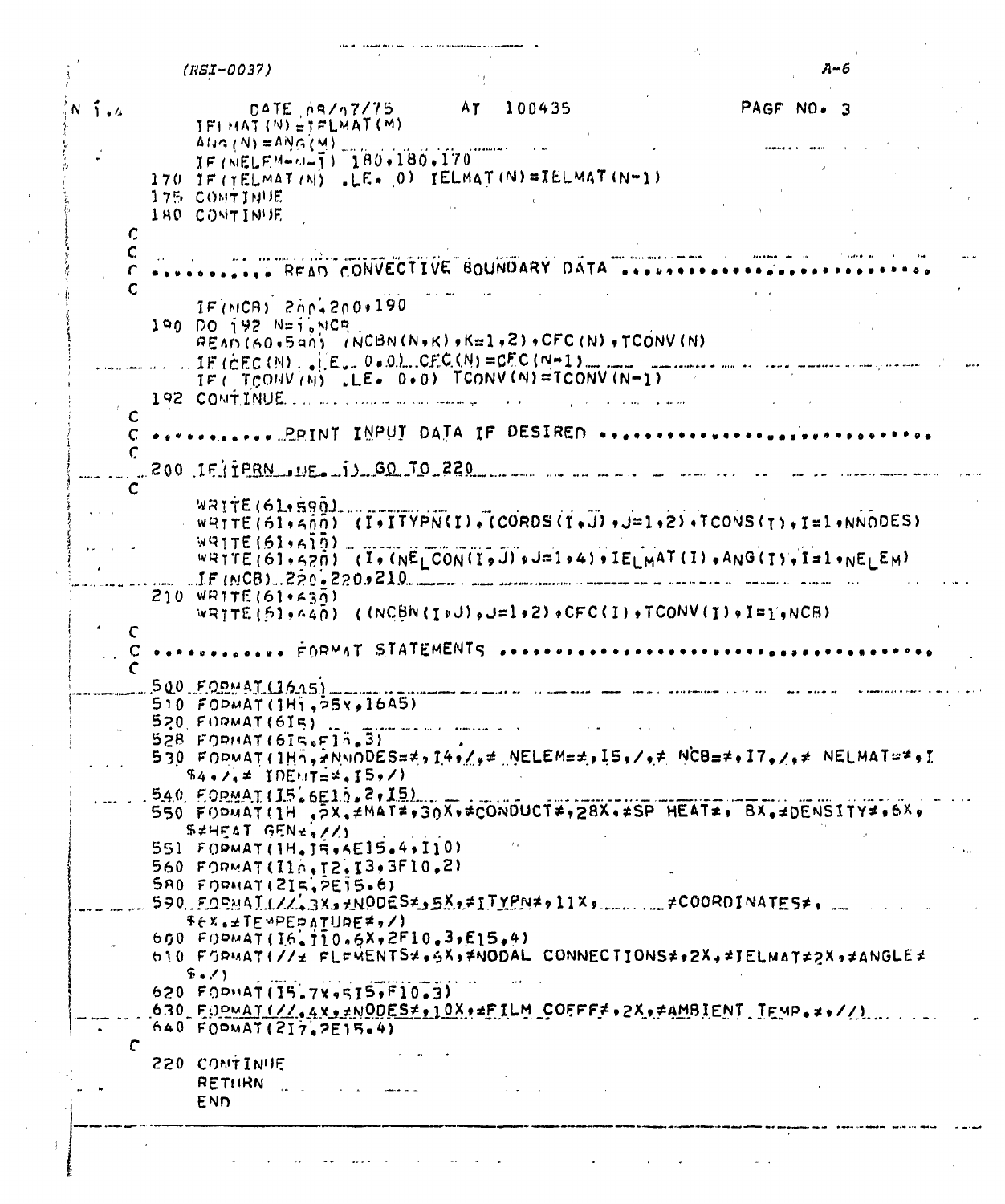|            | $(RSI - 0037)$                                                                                                                         |                                                              |                                         |                               |                                                                                | А-б        |  |
|------------|----------------------------------------------------------------------------------------------------------------------------------------|--------------------------------------------------------------|-----------------------------------------|-------------------------------|--------------------------------------------------------------------------------|------------|--|
| $N$ ). $4$ | $IFHMAT(N) = TFLMAT(M)$                                                                                                                | $D$ $\Delta$ TE $n$ $\Delta$ $\Delta$ $\Delta$ 7 $\Delta$ 75 | AT<br>100435                            |                               |                                                                                | PAGF NO. 3 |  |
|            | $\Delta I$ $\Delta (N) = \Delta N G(M)$<br>$IF(NELLEM = 1 - 1 - 180 + 180 + 170)$                                                      |                                                              |                                         |                               |                                                                                |            |  |
|            | 170 IF (TELMAT (N) .LE. 0) IELMAT (N)=IELMAT (N-1)                                                                                     |                                                              |                                         |                               |                                                                                |            |  |
|            | <b>175 COMTINUE</b>                                                                                                                    |                                                              |                                         |                               |                                                                                |            |  |
|            | <b>IBO CONTINUE</b>                                                                                                                    |                                                              |                                         |                               |                                                                                |            |  |
| C<br>C     |                                                                                                                                        |                                                              |                                         |                               |                                                                                |            |  |
|            |                                                                                                                                        |                                                              |                                         | READ CONVECTIVE BOUNDARY DATA |                                                                                |            |  |
|            | IF (MCB) 200-200-190                                                                                                                   |                                                              |                                         |                               |                                                                                |            |  |
|            | 190 DO 192 N=1, NCP                                                                                                                    |                                                              |                                         |                               |                                                                                |            |  |
|            | READ (60.5a0) (NCBN(N.K), K=1,2), CFC(N), TCONV(N)                                                                                     |                                                              |                                         |                               |                                                                                |            |  |
|            | $IE$ (CEC(N), $($ E <sub>4</sub> , 0 = 0), CFC(N) = CFC(N-1), , ,                                                                      |                                                              |                                         |                               |                                                                                |            |  |
|            | IF ( $TCOUV(N)$ , LE. 0.0) TCONV(N)=TCONV(N-1)<br>192 CONTINUE                                                                         |                                                              |                                         |                               |                                                                                |            |  |
|            |                                                                                                                                        |                                                              |                                         |                               |                                                                                |            |  |
|            | C *********** PRINT INPUT DATA IF DESIRED ***************                                                                              |                                                              |                                         |                               |                                                                                |            |  |
|            | 200 IF TPRN UE JJ GO TO 220                                                                                                            |                                                              |                                         |                               |                                                                                |            |  |
|            |                                                                                                                                        |                                                              |                                         |                               |                                                                                |            |  |
|            | $W$ $R$ $T$ $T$ $E$ $(61, 590)$                                                                                                        |                                                              |                                         |                               | $W$ PITE(61,500) (I,ITYPN(I),(CORDS(I,J), $\exists$ -1,2),TCONS(I),I=1,NNODES) |            |  |
|            | $W = T E (61, 610)$                                                                                                                    |                                                              |                                         |                               |                                                                                |            |  |
|            |                                                                                                                                        |                                                              |                                         |                               | WRTTE(61,520) (I, (NELCON(I, J), J=1,4), IELMAT(I), ANG(I), I=1,NE EM)         |            |  |
|            | $IF(MCB)$ . $220.220.210$                                                                                                              |                                                              |                                         |                               |                                                                                |            |  |
|            | $210$ WRTTE (61+630)                                                                                                                   |                                                              |                                         |                               | WRITE(51,640) (INCBN(I+U),J=1+2)+CFC(I)+TCONV(I)+I=1+NCB)                      |            |  |
|            |                                                                                                                                        |                                                              |                                         |                               |                                                                                |            |  |
|            |                                                                                                                                        |                                                              | FORMAT STATEMENTS                       |                               |                                                                                |            |  |
|            |                                                                                                                                        |                                                              |                                         |                               |                                                                                |            |  |
|            | $500$ FORMAT (1645)<br>$510$ FOPMAT(IHi, $55x, 16A5$ )                                                                                 |                                                              |                                         |                               |                                                                                |            |  |
|            | $520.$ FORMAT(615).                                                                                                                    |                                                              | أوالمناصر ووودهم المرادي القاطية فقطعاء |                               |                                                                                |            |  |
|            | $528$ FORMAT(6IS.F13.3)                                                                                                                |                                                              |                                         |                               |                                                                                |            |  |
|            | $530$ FODMAT(IHn, ANNODES=#, I4, $\ell_9$ # NELEM=#, I5, $\ell_9$ # NCB=#, I7, $\ell_9$ # NELMAT=#, I<br>$54.7.7 = 10E$ . $T = 4.15.7$ |                                                              |                                         |                               |                                                                                |            |  |
|            | $540$ FORMAT(I5.6E10.2,15)                                                                                                             |                                                              |                                         |                               |                                                                                |            |  |
|            | 550 FORMAT(1H , 5X, #MAT#, 30X, #CONDUCT#, 28X, #SP HEAT#, BX, #DENSITY#, 6X,                                                          |                                                              |                                         |                               |                                                                                |            |  |
|            | S#HEAT GEN# //)                                                                                                                        |                                                              |                                         |                               |                                                                                |            |  |
|            | 551 FORMAT(1H. JR. 4E15.4, I10)<br>560 FORMAT(IIn.T2.I3,3F10.2)                                                                        |                                                              |                                         |                               |                                                                                |            |  |
|            | $580$ FORMAT(215, 2515.6)                                                                                                              |                                                              |                                         |                               |                                                                                |            |  |
|            | 590 FORMATI// 3X3 +NODES * 5X, * ITYPN * , 11X,  #COORDINATES *.                                                                       |                                                              |                                         |                               |                                                                                |            |  |
|            | $Fex_{0}$ $\pm$ TEMPED ATURE $\neq$ $\neq$ /)<br>600 $F0PMAT(16,110,6X,2F10,3,E15,4)$                                                  |                                                              |                                         |                               |                                                                                |            |  |
|            | b10 FGRMAT(//± FLFMENTS4,6X,*MODAL CONNECTIONS#,2X,#JELMAT#2X,#ANGLE#                                                                  |                                                              |                                         |                               |                                                                                |            |  |
|            | $E = 11$                                                                                                                               |                                                              |                                         |                               |                                                                                |            |  |
|            | $620$ $F0$ PHAT(I5.7X,515,F10.3)                                                                                                       |                                                              |                                         |                               |                                                                                |            |  |
|            | 630 FODMAT(// 4x + +NODES + + 10X + + FILM COFFF + + 2X + + AMBIENT TEMP + + + //)<br>640 $F0PMAT(217, 2E15.4)$                        |                                                              |                                         |                               |                                                                                |            |  |
| C          |                                                                                                                                        |                                                              |                                         |                               |                                                                                |            |  |
|            | 220 CONTINUE                                                                                                                           |                                                              |                                         |                               |                                                                                |            |  |
|            | <b>RETHRN</b>                                                                                                                          |                                                              |                                         |                               |                                                                                |            |  |
|            | END.                                                                                                                                   |                                                              |                                         |                               |                                                                                |            |  |
|            |                                                                                                                                        |                                                              |                                         |                               |                                                                                |            |  |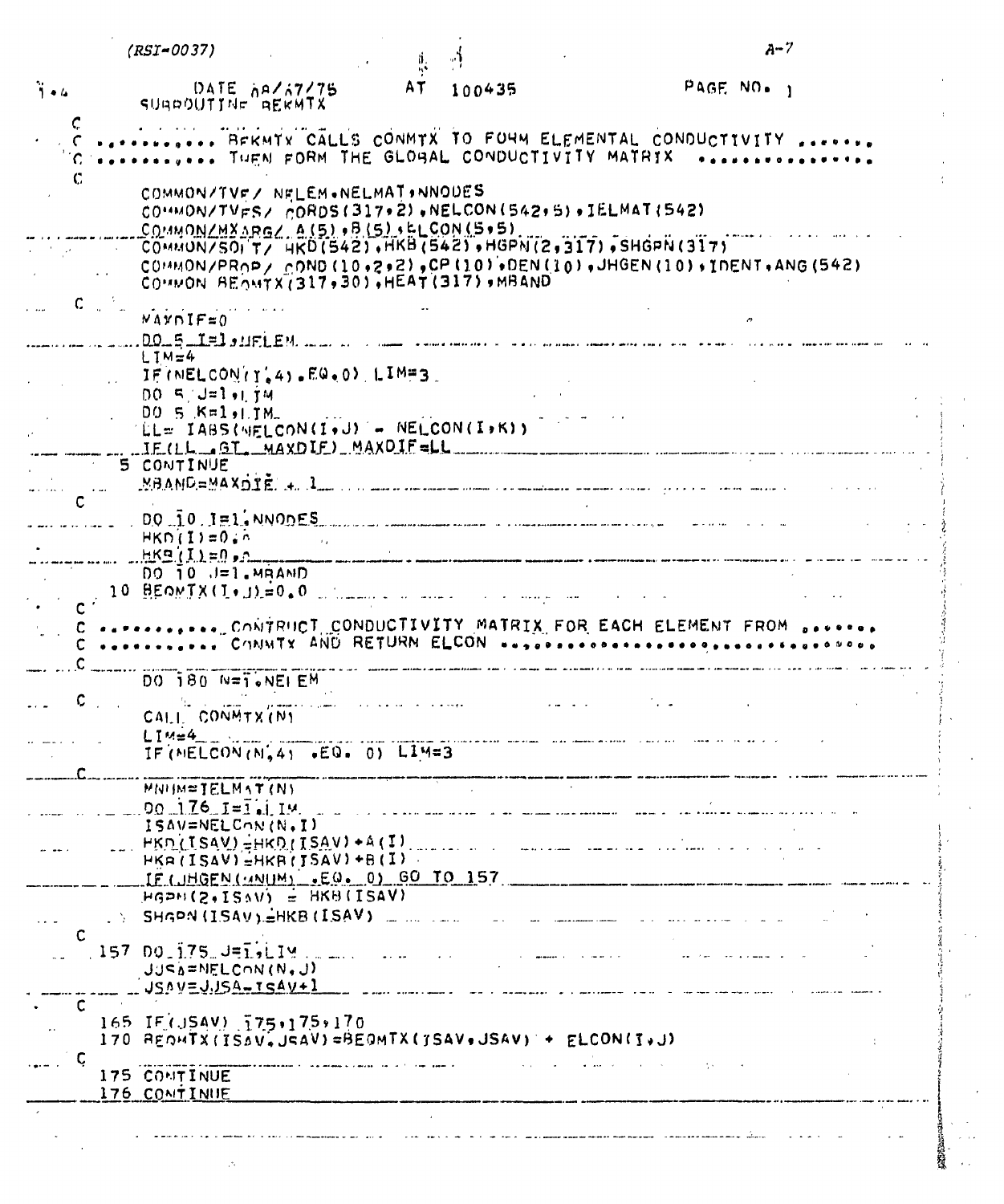|                           | $(RST - 0037)$                                                                                                                                                                             |                                            |                                                                                                                                                                                                                                                                                             | $A - 7$ |
|---------------------------|--------------------------------------------------------------------------------------------------------------------------------------------------------------------------------------------|--------------------------------------------|---------------------------------------------------------------------------------------------------------------------------------------------------------------------------------------------------------------------------------------------------------------------------------------------|---------|
| $\ddot{1}$ and $\ddot{1}$ | DATE $\frac{1}{2}$ $\frac{1}{2}$ $\frac{1}{2}$<br>SUBDOUTINE REKMTX                                                                                                                        | AT 100435                                  | PAGE NO. 1                                                                                                                                                                                                                                                                                  |         |
|                           | THEN FORM THE GLOBAL CONDUCTIVITY MATRIX                                                                                                                                                   |                                            | BEKMYY CALLS CONMTX TO FORM ELEMENTAL CONDUCTIVITY                                                                                                                                                                                                                                          |         |
|                           | COMMON/TVF/ NELEM.NELMAT.NNOUES<br>CO''MON/TVFS/ CORDS(317+2).NELCON(542+5).IELMAT(542)<br>COMMON/MYARG/ A(5),B(5),ELCON(5,5)                                                              |                                            |                                                                                                                                                                                                                                                                                             |         |
|                           | COMMON BEOMYX(317,30), HEAT (317), MBAND                                                                                                                                                   |                                            | "COMMON/SOI'T/ HKD(542), HKB(542), HGPN(2,317), SHGPN(317)<br>$COMMON/PROP / COND (10.2.2) .CP (10) .DER (10) . JHGEN (10). IDENT. ANG (542)$                                                                                                                                               |         |
| $c_{-}$                   | $NAYNIF=0$                                                                                                                                                                                 |                                            |                                                                                                                                                                                                                                                                                             |         |
|                           | $00.5$ I=1, uFLEM.<br>$LIM=4$<br>IF (NELCON (Y.4) .EQ.0) LIMES                                                                                                                             |                                            |                                                                                                                                                                                                                                                                                             |         |
|                           | $00.5 \text{ J} = 1 + 1.74$<br>DO 5 K=1, 1M.<br>TELE IABS(MELCON(I+J) - NELCON(I+K))<br>IFILL GT MAXDIF) MAXDIF=LL                                                                         |                                            |                                                                                                                                                                                                                                                                                             |         |
|                           | 5 CONTINUE                                                                                                                                                                                 |                                            | $MBAMD=MAXDTE$ , $A_{\mu\nu}$ , $A_{\mu\nu}$ , $A_{\mu\nu}$ , $A_{\mu\nu}$ , $A_{\mu\nu}$ , $A_{\mu\nu}$ , $A_{\mu\nu}$ , $A_{\mu\nu}$ , $A_{\mu\nu}$ , $A_{\mu\nu}$ , $A_{\mu\nu}$ , $A_{\mu\nu}$ , $A_{\mu\nu}$ , $A_{\mu\nu}$ , $A_{\mu\nu}$ , $A_{\mu\nu}$ , $A_{\mu\nu}$ , $A_{\mu\nu$ |         |
|                           |                                                                                                                                                                                            |                                            |                                                                                                                                                                                                                                                                                             |         |
|                           | $\ldots$ $\ldots$ $\ldots$ $\ldots$ $\ldots$ $\ldots$ $\ldots$ $\ldots$ $\ldots$ $\ldots$ $\ldots$ $\ldots$ $\ldots$ $\ldots$ $\ldots$ $\ldots$ $\ldots$ $\ldots$ $\ldots$<br>$HKD(I)=0.7$ |                                            |                                                                                                                                                                                                                                                                                             |         |
|                           | $HKB(I)=0$<br>$DO$ $10$ $J=1$ . MRAND<br>$10$ BEOMIX(I.J)=0.0 mm                                                                                                                           |                                            | .<br>Historica de autorizado e automorphonographe extensional competito a conservación estructura estructura estruc                                                                                                                                                                         |         |
|                           |                                                                                                                                                                                            |                                            | C CONTRUCT CONDUCTIVITY MATRIX FOR EACH ELEMENT FROM                                                                                                                                                                                                                                        |         |
|                           | $DO$ $180$ $N = 7$ . $NE$ $EM$                                                                                                                                                             |                                            |                                                                                                                                                                                                                                                                                             |         |
|                           | CALL CONMITX (N)<br>$L1M=4$<br>IF (MELCON(N, 4) .EQ. 0) LIM=3                                                                                                                              | <u>a a mara casar an an suna c</u>         |                                                                                                                                                                                                                                                                                             |         |
| $\mathbf{r}$              | MNIM=IELMAT(N)                                                                                                                                                                             |                                            | $00.176$ $I = \tilde{i}$ $I$ $\mu$ , $I$ $\mu$ $I$ $\mu$ $I$ $\mu$ $I$ $\mu$ $I$ $\mu$ $I$ $\mu$ $I$ $\mu$ $I$ $\mu$ $I$ $\mu$ $I$ $\mu$ $I$ $\mu$ $I$ $\mu$ $I$ $\mu$ $I$ $\mu$ $I$ $\mu$ $I$ $\mu$ $I$ $\mu$ $I$ $\mu$ $I$ $\mu$ $I$ $\mu$ $I$ $\mu$ $I$                                  |         |
|                           | ISAV=NELCON(N.I)<br>$HKR(ISAV) = HKR(ISAV) + B(I)$                                                                                                                                         |                                            | $HKN(ISAV) = HRD(ISAV) + A(T)$                                                                                                                                                                                                                                                              |         |
|                           | HGPH(2,ISAV) = HKB(ISAV)<br>$\rightarrow$ SHGPN (ISAV) $\pm$ HKB (ISAV) $\pm$                                                                                                              |                                            | $IF$ (JHGEN( $M$ NUM) $=$ $EQ = 0$ ) GO TO 157<br><u> 2000 - Jan Bernama, man</u>                                                                                                                                                                                                           |         |
| C                         | $157.001175. J = 1.19$<br>$JJSE$ = NELCON (N, J)<br>$JSMV=JJSSA-TSAV+I$                                                                                                                    | $\mathbf{r}$ , $\mathbf{r}$ , $\mathbf{r}$ |                                                                                                                                                                                                                                                                                             |         |
| C                         | 165 IF(JSAV) 175,175,170<br>170 REQUIX(ISAV, JSAV)=BEQMTX(JSAV, JSAV) + ELCON(I, J)                                                                                                        |                                            |                                                                                                                                                                                                                                                                                             |         |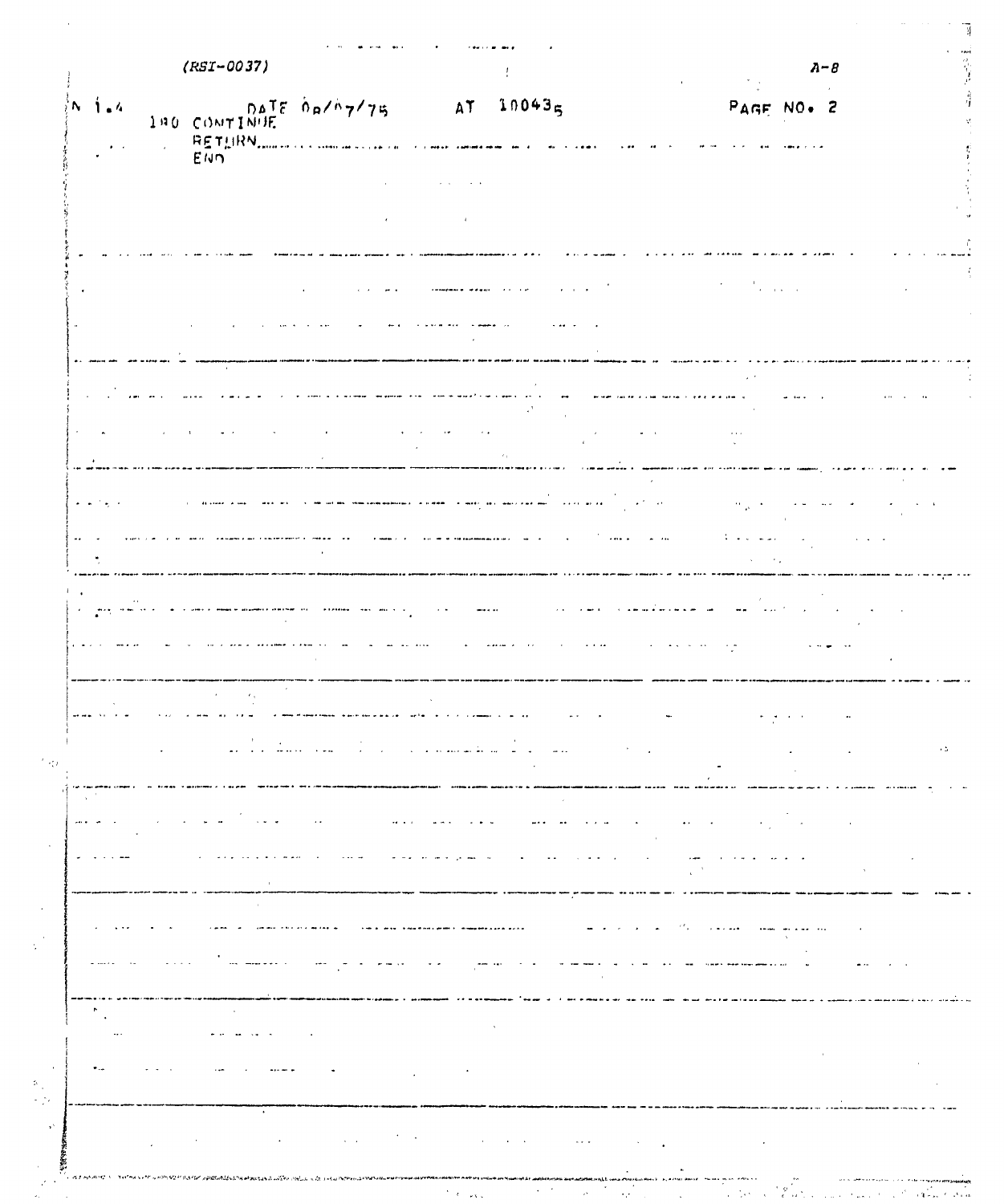|                                                           | $(KST-0037)$                                    |                                                           |                                              |                                                                                                                                       | $A - B$                                                                        |        |
|-----------------------------------------------------------|-------------------------------------------------|-----------------------------------------------------------|----------------------------------------------|---------------------------------------------------------------------------------------------------------------------------------------|--------------------------------------------------------------------------------|--------|
| $\frac{1}{2}N - \frac{1}{2} = 4$<br>$\bullet$ . $\bullet$ | 140 CONTINUE DATE DAYA774                       |                                                           | AT                                           | 100435                                                                                                                                | PAGE NO. 2                                                                     |        |
|                                                           | RETHRN                                          |                                                           |                                              |                                                                                                                                       |                                                                                |        |
|                                                           |                                                 |                                                           |                                              |                                                                                                                                       |                                                                                |        |
|                                                           |                                                 |                                                           |                                              |                                                                                                                                       |                                                                                |        |
|                                                           |                                                 |                                                           |                                              |                                                                                                                                       |                                                                                |        |
|                                                           |                                                 |                                                           |                                              |                                                                                                                                       | $\sigma_{\rm{eff}}$<br>$\mathbf{z} = \mathbf{z} \cdot \mathbf{z} = \mathbf{z}$ |        |
|                                                           |                                                 |                                                           |                                              |                                                                                                                                       |                                                                                |        |
|                                                           |                                                 |                                                           |                                              |                                                                                                                                       |                                                                                |        |
|                                                           |                                                 |                                                           |                                              |                                                                                                                                       |                                                                                |        |
|                                                           |                                                 |                                                           |                                              |                                                                                                                                       |                                                                                |        |
|                                                           |                                                 |                                                           |                                              |                                                                                                                                       |                                                                                |        |
|                                                           |                                                 |                                                           |                                              |                                                                                                                                       |                                                                                |        |
| $\sim$ $\sim$<br>$\sigma_{\rm c}$ , $\sigma$              |                                                 |                                                           |                                              |                                                                                                                                       |                                                                                |        |
|                                                           |                                                 |                                                           |                                              |                                                                                                                                       |                                                                                |        |
|                                                           |                                                 |                                                           |                                              |                                                                                                                                       |                                                                                |        |
|                                                           |                                                 |                                                           |                                              | $\sim$ $\sim$                                                                                                                         |                                                                                |        |
|                                                           |                                                 |                                                           |                                              |                                                                                                                                       |                                                                                |        |
|                                                           |                                                 |                                                           |                                              |                                                                                                                                       |                                                                                |        |
| $\epsilon$                                                |                                                 |                                                           |                                              |                                                                                                                                       |                                                                                |        |
|                                                           |                                                 |                                                           |                                              |                                                                                                                                       |                                                                                |        |
|                                                           |                                                 |                                                           |                                              |                                                                                                                                       |                                                                                |        |
|                                                           | $\sim$ $\sim$<br>$\omega\omega$ and $\omega$ is | $\sim 100$ km $^{-1}$                                     | المتالية للقائلية المتالية التراثية          | $\mathcal{H}^{\mathcal{A}}$ and $\mathcal{H}^{\mathcal{A}}$<br>$\sim 100$<br>$\sim$                                                   |                                                                                |        |
|                                                           |                                                 |                                                           | <b>Andrew Allen</b>                          |                                                                                                                                       |                                                                                |        |
|                                                           | $\sim$ $\sim$ $ \star$<br>$\omega$ , $\omega$   | $\cdot$ .<br>$\mathbf{a} \cdot \mathbf{a}$ . $\mathbf{a}$ | $\alpha$ , and $\alpha$<br>$\sim$ 100 $\sim$ | array are a signal<br>$\blacksquare$                                                                                                  | $\bullet$ $\leftarrow$<br>$\sim$ 10 $\pm$                                      |        |
| $\bullet$                                                 |                                                 | $\sim$ 44 $\sim$ 44                                       | <b>Continued State</b>                       | $\alpha$ , and $\alpha$<br>$\sim$ $\sim$<br>$\bullet$                                                                                 | $\sim$ $\sim$ $\sim$                                                           | $\sim$ |
|                                                           |                                                 |                                                           |                                              |                                                                                                                                       |                                                                                |        |
|                                                           |                                                 |                                                           |                                              |                                                                                                                                       |                                                                                |        |
|                                                           |                                                 |                                                           |                                              | $\mathbf{m} = \mathbf{m} \times \mathbf{m}$<br>--------                                                                               | بالمعارضة                                                                      |        |
| a service.                                                | $\omega$ , $\omega$ , $\omega$                  | $\sigma$ and $\sigma$ and                                 | $\sim$ $\sim$<br>$\sim$ $\sim$               | $\sim$ $ \sim$<br>$\sim$ $\sim$<br>$\mathbf{r}$                                                                                       | $\sim$<br>$\bullet$ $\bullet$ .<br><b>Summer</b><br>$\bullet$                  |        |
| $\tilde{\phantom{a}}$                                     | $\ddot{\phantom{a}}$                            |                                                           |                                              |                                                                                                                                       |                                                                                |        |
| $\sim$                                                    |                                                 |                                                           |                                              |                                                                                                                                       |                                                                                |        |
|                                                           |                                                 |                                                           |                                              |                                                                                                                                       |                                                                                |        |
|                                                           |                                                 |                                                           |                                              |                                                                                                                                       |                                                                                |        |
|                                                           | $\bullet$                                       |                                                           |                                              | $\mathcal{L}^{\text{max}}_{\text{max}}$ , where $\mathcal{L}^{\text{max}}_{\text{max}}$<br>$\mathbf{r} = \mathbf{r} \cdot \mathbf{r}$ | $\sim 100$ km s $^{-1}$                                                        |        |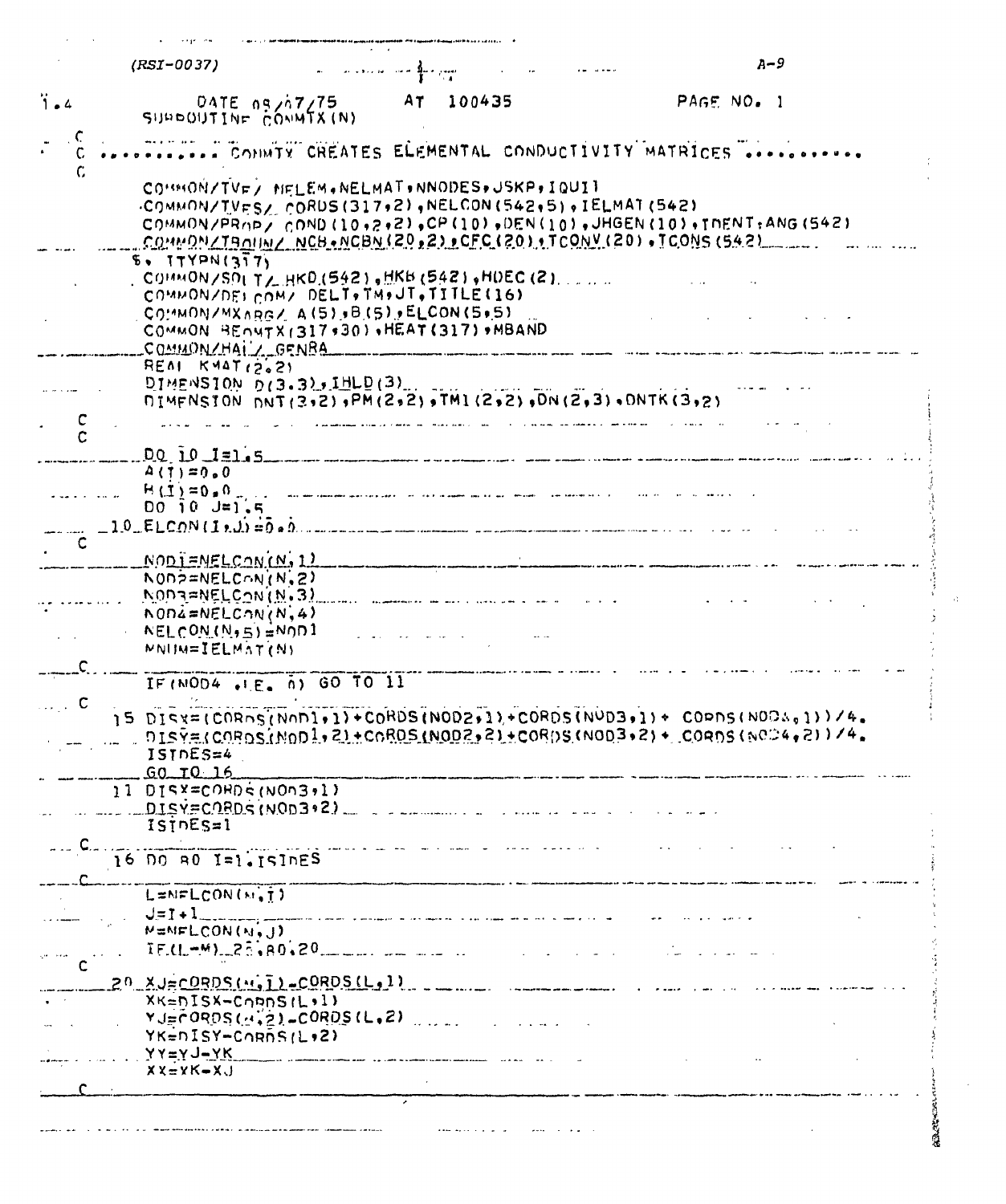|            | (RSI-0037)                                                                            | التبيح لاسؤلا الاستراء ودارده والمرادات اللا                                                                                                                                                                                      |                                                           | $A-9$                                                                                                                                    |  |
|------------|---------------------------------------------------------------------------------------|-----------------------------------------------------------------------------------------------------------------------------------------------------------------------------------------------------------------------------------|-----------------------------------------------------------|------------------------------------------------------------------------------------------------------------------------------------------|--|
| <b>i</b> . | DATE 09/07/75<br>SUPPOUTINE CONMIX(N)                                                 | AT<br>100435                                                                                                                                                                                                                      |                                                           | PAGE NO. 1                                                                                                                               |  |
|            |                                                                                       |                                                                                                                                                                                                                                   |                                                           | CONNTY CREATES ELEMENTAL CONDUCTIVITY MATRICES                                                                                           |  |
| C.         |                                                                                       | COMMON/TVE/ NELEM.NELMAT.NNODES.JSKP, IQUIT                                                                                                                                                                                       | .COMMON/TVES/ CORDS(317,2), NELCON(542,5), IELMAT(542)    | COMMON/PROP/ COND (10,2,2), CP (10), DEN(10), JHGEN(10), INENT: ANG (542)<br>COMMON/TROUN/ NCB.NCBN(20,2) CFC(20) .TCONV(20), ICONS(542) |  |
|            | 5.17YPN(377)<br>, COMMON/SOLT/ HKD (542), HKB (542), HDEC (2), $\ldots$               |                                                                                                                                                                                                                                   |                                                           |                                                                                                                                          |  |
|            |                                                                                       | COMMON/DELCOM/ DELT. TM.JT.TITLE(16)                                                                                                                                                                                              |                                                           |                                                                                                                                          |  |
|            | COMMONZMXARGZ A(5), B(5), ELCON(5, 5)                                                 | COMMON BENNTX1317,30), HEAT(317), MBAND                                                                                                                                                                                           |                                                           |                                                                                                                                          |  |
|            | COMMON/HAI CENBA                                                                      |                                                                                                                                                                                                                                   |                                                           |                                                                                                                                          |  |
|            | $REAI$ $KYAT/2621$                                                                    |                                                                                                                                                                                                                                   |                                                           |                                                                                                                                          |  |
|            |                                                                                       | DIMENSTON D(3.3), JHLD(3),                                                                                                                                                                                                        | NIMFNSION NNT(3,2), PM(2,2), TMI(2,2), DN(2,3), ONTK(3,2) |                                                                                                                                          |  |
|            |                                                                                       | a parameterining a distinct parameter and construction of the contract of the second and a model of the and th<br>In the contract of the contract of the contract of the contract of the contract of the contract of the contract |                                                           |                                                                                                                                          |  |
|            |                                                                                       |                                                                                                                                                                                                                                   |                                                           |                                                                                                                                          |  |
|            | $DQ$ $10$ $1=1.5$                                                                     |                                                                                                                                                                                                                                   |                                                           |                                                                                                                                          |  |
|            | $A(1) = 0.0$<br>$H(1)=0.0$ .                                                          | also date communities quantitatic property and the Fire property special and the property of any special service of                                                                                                               |                                                           |                                                                                                                                          |  |
|            | $DQ \cap Q \cup = 1.5$                                                                |                                                                                                                                                                                                                                   |                                                           |                                                                                                                                          |  |
|            |                                                                                       |                                                                                                                                                                                                                                   |                                                           |                                                                                                                                          |  |
|            | <u>NODI=NELCON(N, 1)</u>                                                              |                                                                                                                                                                                                                                   |                                                           |                                                                                                                                          |  |
|            | $N$ 0N $\geq$ =NELCON $(N, 2)$                                                        |                                                                                                                                                                                                                                   |                                                           |                                                                                                                                          |  |
|            | $N0D3 = NELCON(N.3)$                                                                  | <u>a managara na masa sa sala sa na sa</u> na mara sa n                                                                                                                                                                           |                                                           |                                                                                                                                          |  |
|            | $N$ 004=NELC $N(N, 4)$                                                                |                                                                                                                                                                                                                                   |                                                           |                                                                                                                                          |  |
|            | $NELCOM(N, 5) = N001$<br>MNIM=IELMAT(N)                                               |                                                                                                                                                                                                                                   |                                                           |                                                                                                                                          |  |
|            |                                                                                       |                                                                                                                                                                                                                                   |                                                           |                                                                                                                                          |  |
|            | IF (NOD4 .I.E. 0) GO TO 11                                                            |                                                                                                                                                                                                                                   |                                                           |                                                                                                                                          |  |
|            | 15 DISX=(CORDS(NOD1+1)+CORDS(NOD2+1)+CORDS(NOD3+1)+ COPDS(NOD4+1))/4.<br>$ISTDES = 4$ |                                                                                                                                                                                                                                   |                                                           | $0.15\%$ (CORDS (NOD 1, Z) + CORDS (NOD 2, Z) + CORDS (NOD 3, Z) + CORDS (NOD 4, Z))/4.                                                  |  |
|            | $60 - 10 - 16$                                                                        |                                                                                                                                                                                                                                   |                                                           |                                                                                                                                          |  |
|            | 11 DISY=CORDS (NOn3,1)                                                                | $DISY=CDRDS(NOD3.2)$ $\qquad \qquad$                                                                                                                                                                                              |                                                           |                                                                                                                                          |  |
|            | isine                                                                                 |                                                                                                                                                                                                                                   |                                                           |                                                                                                                                          |  |
|            | 16 DO 80 I=1. ISIDES                                                                  |                                                                                                                                                                                                                                   |                                                           |                                                                                                                                          |  |
|            | L=NFLCON(M.T)                                                                         |                                                                                                                                                                                                                                   |                                                           |                                                                                                                                          |  |
|            |                                                                                       |                                                                                                                                                                                                                                   | $J = I + I$                                               |                                                                                                                                          |  |
|            | MENFLCON(N.J)                                                                         | $IF.(1. - M). 25, 80, 20$                                                                                                                                                                                                         |                                                           |                                                                                                                                          |  |
|            |                                                                                       |                                                                                                                                                                                                                                   |                                                           |                                                                                                                                          |  |
|            | $20 \text{ XJ} \approx 0$ RDS $(u, \overline{1}) \approx C$ ORDS $(L, 1)$             |                                                                                                                                                                                                                                   |                                                           |                                                                                                                                          |  |
|            | $XK = NISX - C0$ pnS(L,1)                                                             | $YJ = \overline{C}$ ORDS $(A, \overline{2})$ = CORDS (L, 2)                                                                                                                                                                       |                                                           |                                                                                                                                          |  |
|            | YK=nISY-CORDS(L+2)                                                                    |                                                                                                                                                                                                                                   |                                                           |                                                                                                                                          |  |
|            | $YY = YJ - YK$                                                                        |                                                                                                                                                                                                                                   |                                                           |                                                                                                                                          |  |
|            | $XX = YK - XJ$                                                                        |                                                                                                                                                                                                                                   |                                                           |                                                                                                                                          |  |
|            |                                                                                       |                                                                                                                                                                                                                                   |                                                           |                                                                                                                                          |  |

 $\hat{\mathcal{A}}$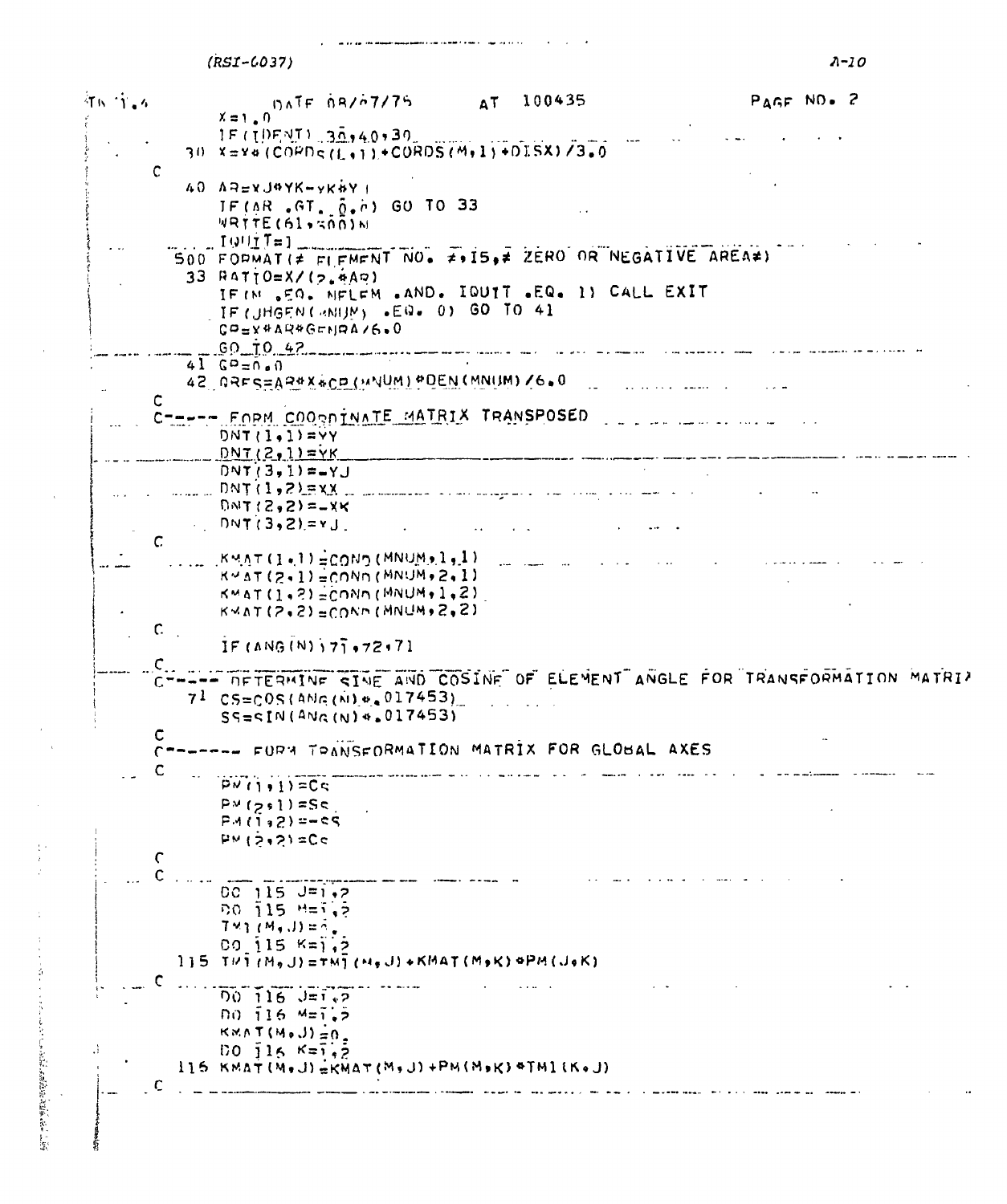<span id="page-17-0"></span> $(RST - 6037)$  $A-10$ 行民 守主人 DATE OR/07/75 100435 PAGE NO. 2  $AT$  $X = 1.0$ 1F (10FNT) 30,40,30 30 X=Y#(COPDS(L+1)+CORDS(M+1)+DISX)/3.0  $\mathsf{C}$  $40$   $A = 2$   $J$ <sup> $A$ </sup> $Y$  $K$  $-V$  $K$  $N$  $I$  $IF(AR, GT, \tilde{0}, h)$  GO TO 33  $W$ RTTE(61,500)N  $19!!$   $T=1$ SOO FORMATI# FIFMENT NO. # 15,# ZERO OR NEGATIVE AREA#)  $33$  RATTO=X/(2.4A0) IF (N .50. NFLEM .AND. IQUIT .EQ. 1) CALL EXIT IF (JHGEN CRNIJM) .EQ. 0) GO TO 41 CO=X4AR4GENRA/6.0  $.60 - 10.42$  $41$   $69 = n \cdot n$ 42 DRES=AR#X&CD (MNUM) POEN (MNUM) /6.0 and the second company of the second company of the second company of the second company of the second company of the second company of the second company of the second company of the second company of the second company o  $\mathbf c$ CTREES FORM COORDINATE MATRIX TRANSPOSED  $DNT(1,1)=VY$  $DNT(2,1) = YK$  $DNT(3,1)=-YJ$  $DMT(2,2) = -XK$  $DNT(3,2)=YJ$ and the company of the company of  $\mathsf{C}$  $KMAT(I, I) = COMD(MNUM, I, I)$  $K \sim \Delta T$  (2.1) = COND (MNUM, 2.1)  $KMAT(1,2) =$ CONN(MNUM, 1,2)  $K \vee \Lambda T (2, 2) = CONN (MNUM, 2, 2)$  $c_{\perp}$ IF  $(ANG(N)$   $77.72.71$  $\mathsf{C}_{\star}$ -- **DETERMINE SINE AND COSINE OF ELEMENT ANGLE FOR TRANSFORMATION MATRIZ**  $7^{1}$  CS=COS(ANG(A)+ 017453)  $SS = \frac{1}{N}$ (ANG(N)  $\frac{4}{5}$  017453)  $\mathbf c$ --- FURN TOANSFORMATION MATRIX FOR GLOBAL AXES  $\mathsf{C}$ C  $PW(1,1)=Cc$  $P^y(z,1)=S_5$  $PML1, 2) = -C5$  $P M (2, 2) = Cc$  $\mathsf{C}$  $00$  115  $J=1.2$  $00, 115, 15, 5$  $T \times 1$  (M, J) =  $\tilde{\wedge}$ ,  $00$  115  $K = 1.5$  $115$  THI(MgJ)=TMI(MgJ)+KMAT(MgK)4PM(JeK) C  $700 - 116 - 3 = 1.2$  $00, 16, 45, 5$  $KNAT(M, J) = 0$  $00 \t{16}$   $K = 7.2$  $116$  KMAT(M,J)=KMAT(M,J)+PM(M,K)+TM1(K,J) مستهدا والمتعالمة الالالام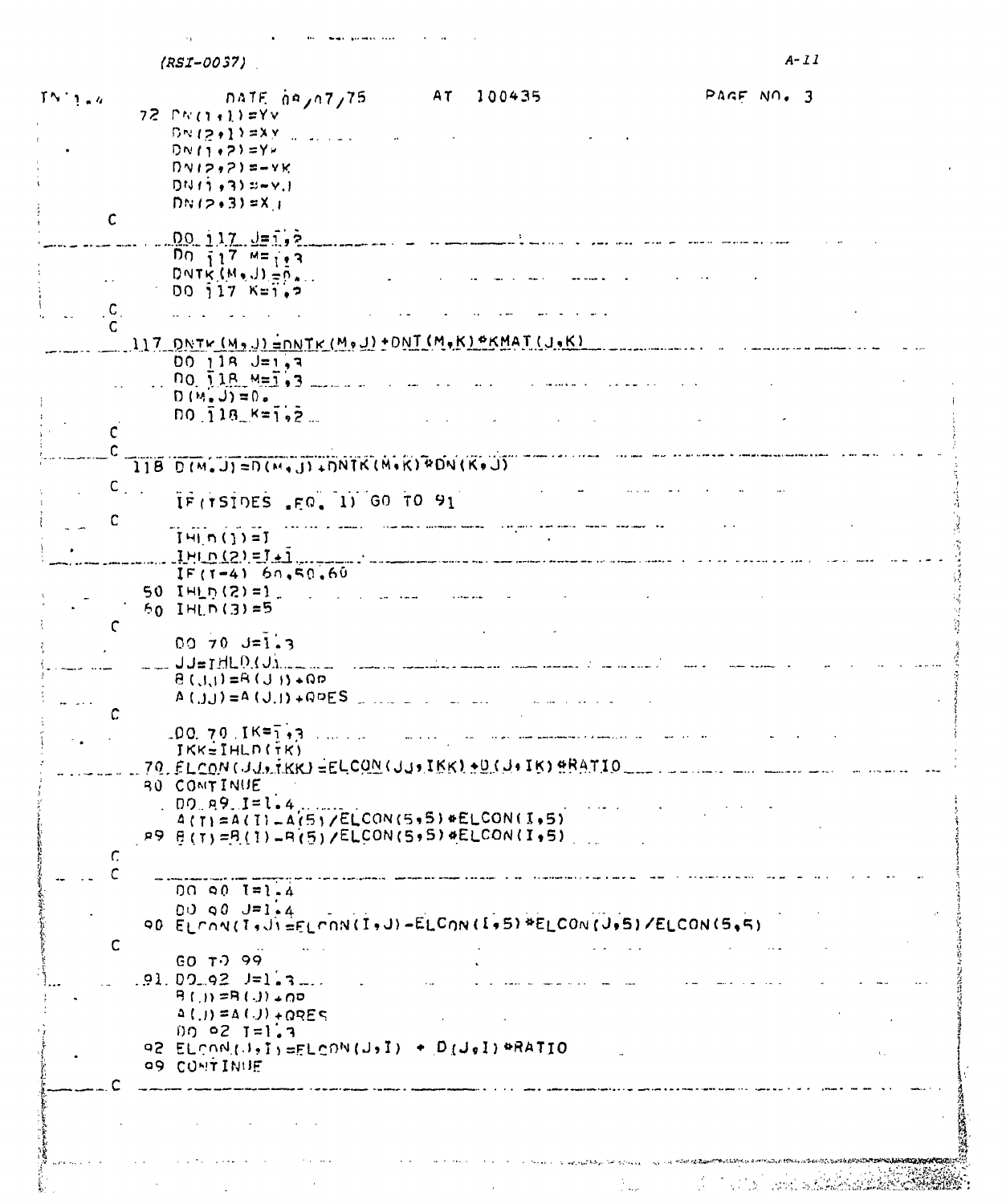$(RST-0037)$ 

<span id="page-18-0"></span>

| $TN-1$ , $a$  | AT 100435<br>PAGE NO. 3<br>$n$ ATF $n \times n$ 7/75           |
|---------------|----------------------------------------------------------------|
|               | $72$ $N(1+1)$ =Yv                                              |
|               | $DW(z,1)$ = $XY$                                               |
|               | $D N (1+2) = Y -$                                              |
|               | $DVI2,71=-YK$                                                  |
|               | $D N (1, 3) 3 + 4$                                             |
|               |                                                                |
|               | $DNT2.31 = X_1$                                                |
| $\mathbf{C}$  |                                                                |
|               | $00.117. J = 1.2$                                              |
|               | Do $717$ $M = 113$                                             |
|               | DNTK $(M, J) = 0$ .                                            |
|               | $00$ $17$ $K=1.7$                                              |
|               |                                                                |
|               |                                                                |
|               | 117 ONTH (M9J) = ONTK (M9J) + ONT (M9K) * KMAT (J9K)           |
|               |                                                                |
|               | $00118 J = 1.7$                                                |
|               | $00.118. M = 1.3$                                              |
|               | $D(M, J) = 0.$                                                 |
|               | $D0 \bar{1}18$ $K=1.2$                                         |
|               |                                                                |
|               |                                                                |
|               | $118$ D(M.J)=D(M.J).IDNTK(M.K) PDN(K.J)                        |
|               |                                                                |
| $c_{\perp}$ . |                                                                |
|               | IF (TSIDES .FO, 1) GO TO 91                                    |
| C             |                                                                |
|               | $I = (1) - I$                                                  |
|               | $1H \cap (2) = I + 1$                                          |
|               | $IF(1-4) 60, 50.60$                                            |
|               | 50 IHLD (2) = 1                                                |
|               | $60$ IHLD(3)=5                                                 |
| C             |                                                                |
|               | $0070 J = 1.3$                                                 |
|               |                                                                |
|               | $JJ = JH L D J J_{\text{max}}$                                 |
|               | $Q_4$ (1 U) $P_4 = (1, 1)$ $Q_5$                               |
|               | $A(j,j) = A(j,j) + QDES$                                       |
| C             |                                                                |
|               | $100.70.1$ K=1,3<br>الموارد والمتعادية                         |
|               | $IKK = IHL$ n $(TK)$                                           |
|               | 70. ELCON (JJ. TKK) = ELCON (JJ. IKK) + D(J. IK) + RATIO       |
|               |                                                                |
|               | <b>BU COMTINUE</b>                                             |
|               | $00.89.1 = 1.4$                                                |
|               | $A(T) = A(T) - A(5)/E$ <sub>L</sub> CON(5,5) *ELCON(1,5)       |
|               | P9 B(T)=B(I)=B(S)/ELCON(S+S)#ELCON(I+5)                        |
| Г.            |                                                                |
|               |                                                                |
|               | $00 \le 0$ $I = 1.4$                                           |
|               | $00$ 90 $J=1.4$                                                |
|               | 90 ELCON(T, JIEFLCON(I, J)-ELCON(I, 5) *ELCON(J, 5)/ELCON(5,5) |
|               |                                                                |
| C             |                                                                |
|               | GO T399                                                        |
|               | $.91.09.92$ $J=1.3$                                            |
|               | $P(1) = P(1) + QD$                                             |
|               | $\Delta$ ( ) = $\Delta$ ( ) + $\Omega$ RES                     |
|               | $00021=1.3$                                                    |
|               | 92 ELCON(J, I) = ELCON(J, I) + D(J, I) +RATIO<br>v.            |
|               | <b>99 CONTINUE</b>                                             |
|               |                                                                |
|               |                                                                |
|               |                                                                |
|               |                                                                |
|               |                                                                |
|               |                                                                |
|               |                                                                |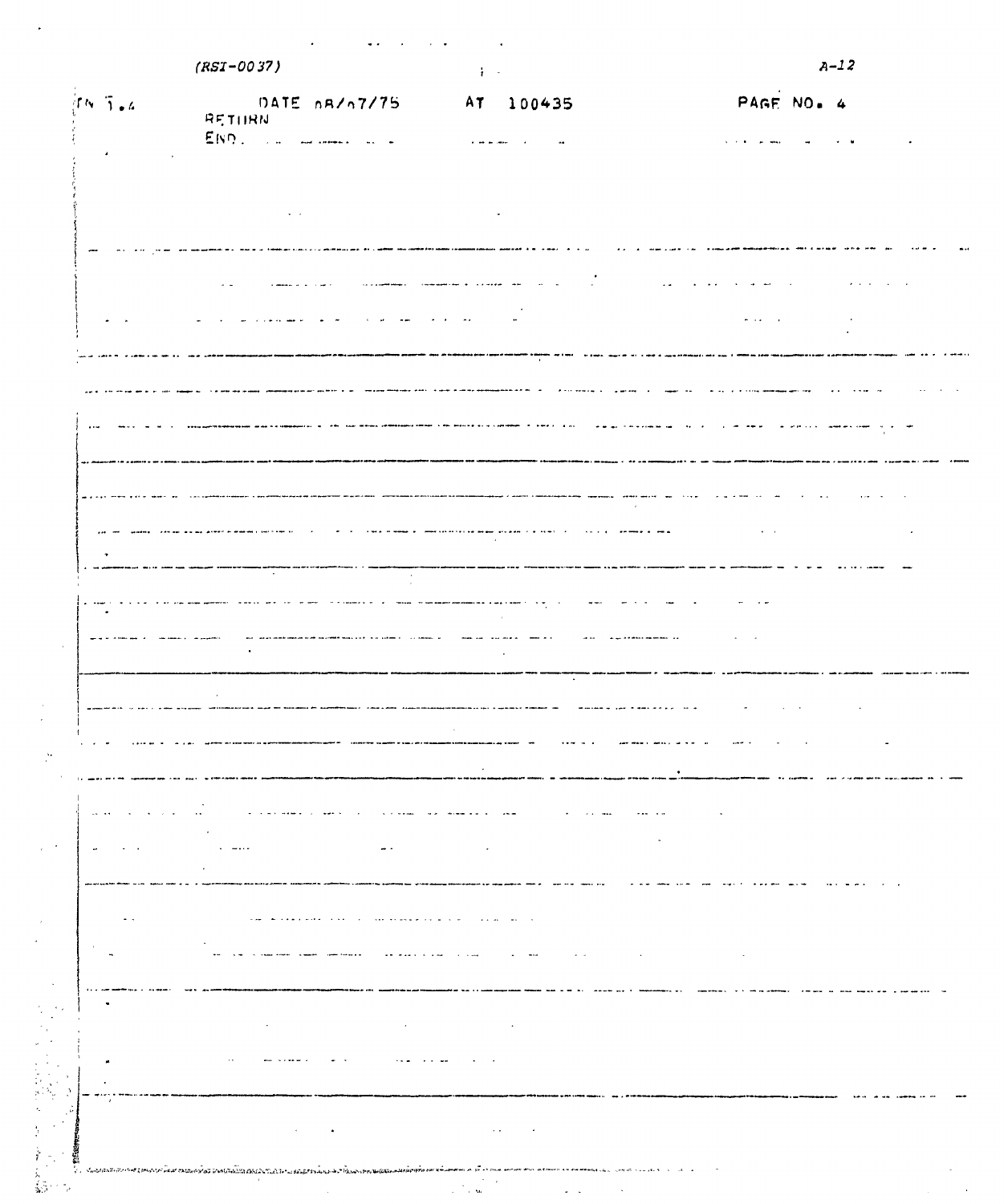|  |  | the contract of the contract of the contract of the contract of the contract of the contract of the contract of |  |
|--|--|-----------------------------------------------------------------------------------------------------------------|--|
|  |  |                                                                                                                 |  |

| $\int f \wedge \sqrt{3} \cdot 4$ | DATE 08/07/75 AT 100435                                                                                                                                                                                                                                                    |                                                                                                                                | PAGE NO. 4                                  |
|----------------------------------|----------------------------------------------------------------------------------------------------------------------------------------------------------------------------------------------------------------------------------------------------------------------------|--------------------------------------------------------------------------------------------------------------------------------|---------------------------------------------|
|                                  | RETHRN                                                                                                                                                                                                                                                                     |                                                                                                                                |                                             |
|                                  |                                                                                                                                                                                                                                                                            |                                                                                                                                |                                             |
|                                  |                                                                                                                                                                                                                                                                            |                                                                                                                                |                                             |
|                                  |                                                                                                                                                                                                                                                                            |                                                                                                                                |                                             |
|                                  |                                                                                                                                                                                                                                                                            |                                                                                                                                |                                             |
|                                  |                                                                                                                                                                                                                                                                            |                                                                                                                                |                                             |
|                                  |                                                                                                                                                                                                                                                                            |                                                                                                                                |                                             |
|                                  | similar and care<br>$\lambda$ . $\omega$                                                                                                                                                                                                                                   | scopiaminas. Companies e consent ma<br>$\sim$ 100 $\sim$                                                                       | $\sim 100$ km s $^{-1}$<br>$\sim 10^{-1}$   |
|                                  |                                                                                                                                                                                                                                                                            |                                                                                                                                |                                             |
|                                  |                                                                                                                                                                                                                                                                            | $\mathbf{z} = \mathbf{z}$ , where $\mathbf{z}$                                                                                 | $\omega_{\rm{max}}$ and $\omega_{\rm{max}}$ |
|                                  |                                                                                                                                                                                                                                                                            |                                                                                                                                |                                             |
|                                  |                                                                                                                                                                                                                                                                            |                                                                                                                                |                                             |
|                                  |                                                                                                                                                                                                                                                                            | and the contract of the                                                                                                        | and a stream<br>$\sim$                      |
|                                  |                                                                                                                                                                                                                                                                            | <u>Can move are common to sheer and</u><br>ستسترع مداديها عاطا                                                                 |                                             |
|                                  |                                                                                                                                                                                                                                                                            |                                                                                                                                |                                             |
|                                  |                                                                                                                                                                                                                                                                            |                                                                                                                                |                                             |
|                                  |                                                                                                                                                                                                                                                                            |                                                                                                                                | المعاون المسترا المتنفذ<br>$\sim$ $\sim$    |
|                                  |                                                                                                                                                                                                                                                                            |                                                                                                                                |                                             |
|                                  |                                                                                                                                                                                                                                                                            | a ser e segon a comercialmente de la provincia de la ciudad de la                                                              |                                             |
|                                  | $\sim$                                                                                                                                                                                                                                                                     |                                                                                                                                |                                             |
|                                  |                                                                                                                                                                                                                                                                            |                                                                                                                                |                                             |
|                                  |                                                                                                                                                                                                                                                                            | المنابيب                                                                                                                       | $\sim$                                      |
|                                  |                                                                                                                                                                                                                                                                            | $\sim$<br>and a                                                                                                                |                                             |
|                                  | $\ddot{\phantom{a}}$                                                                                                                                                                                                                                                       |                                                                                                                                |                                             |
|                                  |                                                                                                                                                                                                                                                                            |                                                                                                                                |                                             |
|                                  |                                                                                                                                                                                                                                                                            |                                                                                                                                | المالمان                                    |
|                                  |                                                                                                                                                                                                                                                                            |                                                                                                                                |                                             |
|                                  |                                                                                                                                                                                                                                                                            |                                                                                                                                |                                             |
|                                  |                                                                                                                                                                                                                                                                            |                                                                                                                                |                                             |
| $\alpha \in \mathcal{A}$ and     | $\mathbf{v}$ . The state of $\mathbf{v}$                                                                                                                                                                                                                                   | المتحدث الداريد والمسابقة<br>$\mathcal{A}^{\mathcal{A}}$ , and $\mathcal{A}^{\mathcal{A}}$ , where $\mathcal{A}^{\mathcal{A}}$ | $\sim$ and $\sim$ $\sim$ $\sim$<br>$\sim$   |
|                                  | $\cdot$                                                                                                                                                                                                                                                                    |                                                                                                                                |                                             |
|                                  | $\dots$<br>$\sim$ $\sim$                                                                                                                                                                                                                                                   | $\bullet$                                                                                                                      | $\sim$ $\sim$                               |
|                                  | $\sim$                                                                                                                                                                                                                                                                     |                                                                                                                                |                                             |
|                                  |                                                                                                                                                                                                                                                                            |                                                                                                                                |                                             |
| $\sim$ $\sim$                    | the company of the company of the company<br>the company's and the company's security of the company's security and the company's security and the company of the company of the company of the company of the company of the company of the company of the company of the | the contract of the contract of the                                                                                            |                                             |
| $\sim$                           |                                                                                                                                                                                                                                                                            | $\omega_{\rm{eff}}=0.02$<br>$\sim$ $\sim$<br><b>Contract</b>                                                                   | and the control of the control of           |
|                                  |                                                                                                                                                                                                                                                                            |                                                                                                                                |                                             |
| $\cdots$                         |                                                                                                                                                                                                                                                                            |                                                                                                                                |                                             |
|                                  | $\cdot$<br>$\epsilon$                                                                                                                                                                                                                                                      | $\sim$                                                                                                                         |                                             |
|                                  |                                                                                                                                                                                                                                                                            |                                                                                                                                |                                             |
|                                  | $\sim$<br>and contained a                                                                                                                                                                                                                                                  | and a state of the state.<br>$\sim$ $\sim$                                                                                     |                                             |
|                                  |                                                                                                                                                                                                                                                                            |                                                                                                                                |                                             |
|                                  |                                                                                                                                                                                                                                                                            |                                                                                                                                |                                             |
|                                  | $\sim 10^{-11}$<br>$\bullet$                                                                                                                                                                                                                                               | $\sim$ $\sim$<br><b>Contractor</b>                                                                                             |                                             |
|                                  |                                                                                                                                                                                                                                                                            |                                                                                                                                |                                             |

 $\label{eq:2.1} \frac{1}{2} \sum_{i=1}^n \frac{1}{2} \sum_{j=1}^n \frac{1}{2} \sum_{j=1}^n \frac{1}{2} \sum_{j=1}^n \frac{1}{2} \sum_{j=1}^n \frac{1}{2} \sum_{j=1}^n \frac{1}{2} \sum_{j=1}^n \frac{1}{2} \sum_{j=1}^n \frac{1}{2} \sum_{j=1}^n \frac{1}{2} \sum_{j=1}^n \frac{1}{2} \sum_{j=1}^n \frac{1}{2} \sum_{j=1}^n \frac{1}{2} \sum_{j=1}^n \frac{$ 

 $\sim 10^{-10}$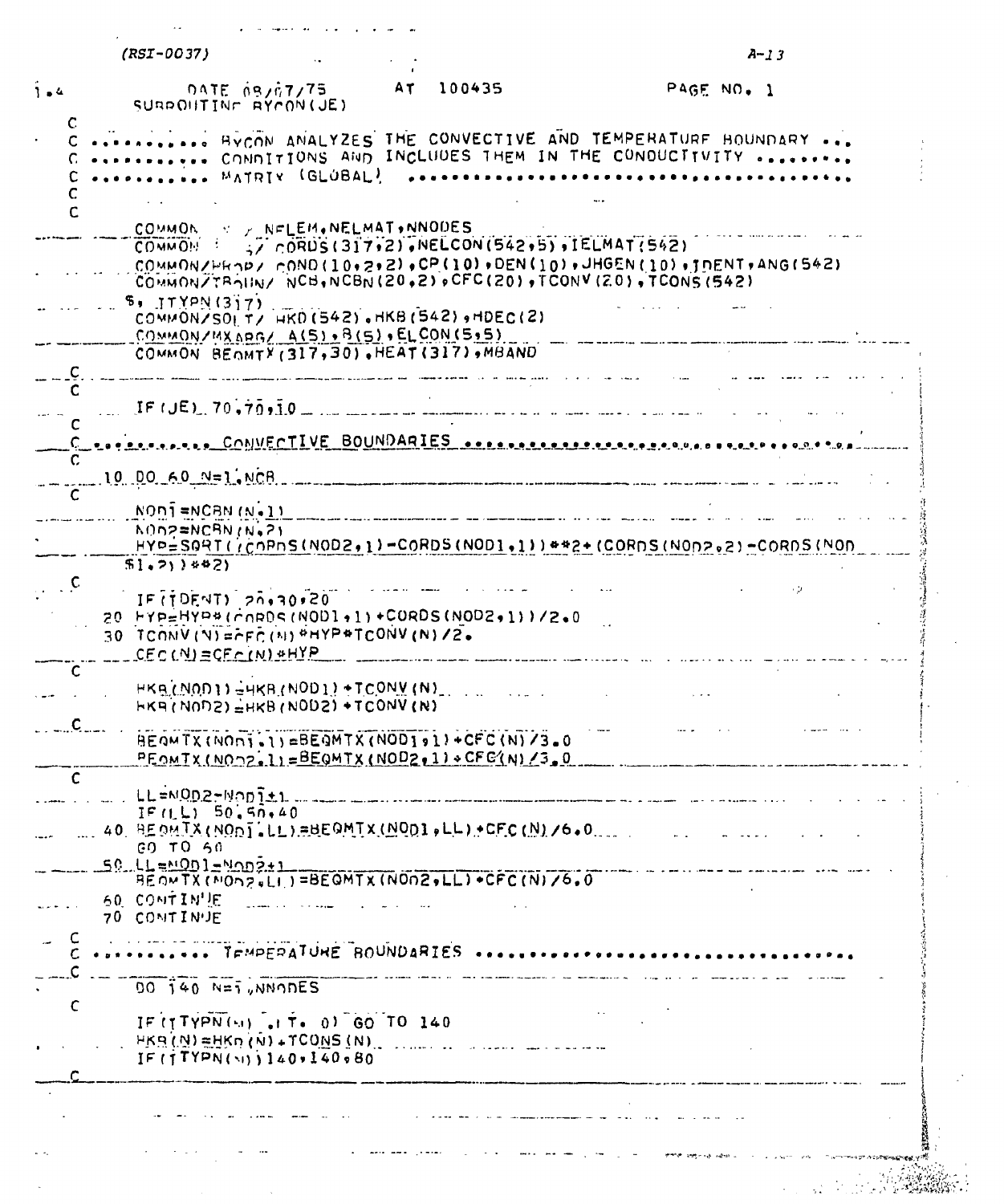|              | $(RST-OO37)$                                  |                                                                                                                                      |           |                                                                                                                                                                               | $A - 13$   |  |
|--------------|-----------------------------------------------|--------------------------------------------------------------------------------------------------------------------------------------|-----------|-------------------------------------------------------------------------------------------------------------------------------------------------------------------------------|------------|--|
|              |                                               |                                                                                                                                      | AT 100435 |                                                                                                                                                                               | PAGE NO. 1 |  |
| $1 - 4$<br>C |                                               | <b>DATE AS/A7/75</b><br>SURPOITINE RYCON(JE)                                                                                         |           |                                                                                                                                                                               |            |  |
|              |                                               | MATRIY (GLÚBAL)                                                                                                                      |           | BYCON ANALYZES THE CONVECTIVE AND TEMPERATURE HOUNDARY<br>CONDITIONS AND INCLUDES THEM IN THE CONDUCTIVITY                                                                    |            |  |
| C            |                                               |                                                                                                                                      |           |                                                                                                                                                                               |            |  |
|              |                                               | COMMON V / NELEM.NELMAT.NNODES<br>COMMON $\rightarrow$ 2 CORDS (317,2), NELCON (542,5), IELMAT (542)                                 |           | $COMMON/FK 2$ , $CONO(10,2,2)$ , $CP(10)$ , $DEN(10)$ , $JHGEN(10)$ , $JHCH(10)$ , $IDENT$ , $ANG(542)$<br>COMMONZTRAIN/ NCB, NCBN (20,2) OFC (20) , TCONV (20) , TCONS (542) |            |  |
|              | 5. JTYPN(317)                                 | COMMON/SOL T/ HKD (542), HKB (542), HDEC(2)<br>$COMMONYMXApq/ A(S) \cdot B(S) \cdot ELCON(S,5)$                                      |           |                                                                                                                                                                               |            |  |
|              |                                               | COMMON BEOMTY (317,30), HEAT (317), MBAND                                                                                            |           |                                                                                                                                                                               |            |  |
|              |                                               |                                                                                                                                      |           | $IF (JE), 70, 70, 10$ $-10$ $-10$ $-10$ $-10$ $-10$ $-10$ $-10$ $-10$ $-10$ $-10$ $-10$                                                                                       |            |  |
|              |                                               |                                                                                                                                      |           | . CONVECTIVE BOUNDARIES <b>ARRAIGED ARRAIGED ACTIVE A PARAL A PARAL</b>                                                                                                       |            |  |
|              | $10$ DO $60$ $N=1$ , NCB                      |                                                                                                                                      |           |                                                                                                                                                                               |            |  |
|              | $N$ ON $\overline{1}$ =NCBN $(N-1)$           |                                                                                                                                      |           |                                                                                                                                                                               |            |  |
|              | MON2=NCBN (N.2)                               |                                                                                                                                      |           | $HYP =$ SQRT( $i$ COPDS(NOD2,1)-CORDS(NOD1,1)) **2+(CORDS(NOD2,2)-CORDS(NOD                                                                                                   |            |  |
|              | $$1, 2)$ $*$ $2)$                             |                                                                                                                                      |           |                                                                                                                                                                               |            |  |
| $\mathsf{C}$ |                                               | $IF(TDENT)$ $20.30120$<br>20 HYP=HYP*(CORDS(NOD1+1)+CORDS(NOD2+1))/2.0<br>$30$ TCONV (V) = $F$ FC(N) <sup>\$</sup> HYP*TCONV (N) /2. |           |                                                                                                                                                                               |            |  |
| C            | $CEC(N) = CEC(N) * HYP$                       |                                                                                                                                      |           |                                                                                                                                                                               |            |  |
|              |                                               | $HKB(0,0)$ ) $HKB(0,0)$ + TCONV(N)<br>$HKA(N0D2) = HKB(N0D2) + TCONV(N)$                                                             |           |                                                                                                                                                                               |            |  |
|              |                                               | BEOMTX(NOni.1)=BEOMTX(NOD191)+CFC(N)/3.0<br>PEOMIX(NOOZ.1)=BEQMTX(NODZ.1)+CFC(N)/3,0                                                 |           |                                                                                                                                                                               |            |  |
| C            | LL=NOD2-Nopit1                                |                                                                                                                                      |           |                                                                                                                                                                               |            |  |
|              | IF(I, L) 50, 50, 40                           | 40 REOMIX(NODILLIEBEQMIX(NODI,LL)+CFC(N)/6.0                                                                                         |           |                                                                                                                                                                               |            |  |
|              | GO TO 50<br>$50.11 = 0001 = 0002 \pm 1$       |                                                                                                                                      |           |                                                                                                                                                                               |            |  |
|              | 60 CONTIN'LE<br>70 CONTINUE                   | BEOWTX (MOn2+LI)=BEOMTX (NON2+LL) +CFC (N) /6.0                                                                                      |           |                                                                                                                                                                               |            |  |
|              |                                               | TEMPERATURE BOUNDARIES                                                                                                               |           |                                                                                                                                                                               |            |  |
|              | $00 \overline{1}40$ $N=\overline{1}$ , NNODES |                                                                                                                                      |           |                                                                                                                                                                               |            |  |
| C            |                                               | IF (TTYPN(51) at T. 0) GO TO 140<br>$HKB(N) = HKB(0) + TCONS(N)$                                                                     |           |                                                                                                                                                                               |            |  |
|              |                                               | IF(TTPN(N)140.140.80                                                                                                                 |           |                                                                                                                                                                               |            |  |
|              |                                               |                                                                                                                                      |           |                                                                                                                                                                               |            |  |
|              |                                               |                                                                                                                                      |           |                                                                                                                                                                               |            |  |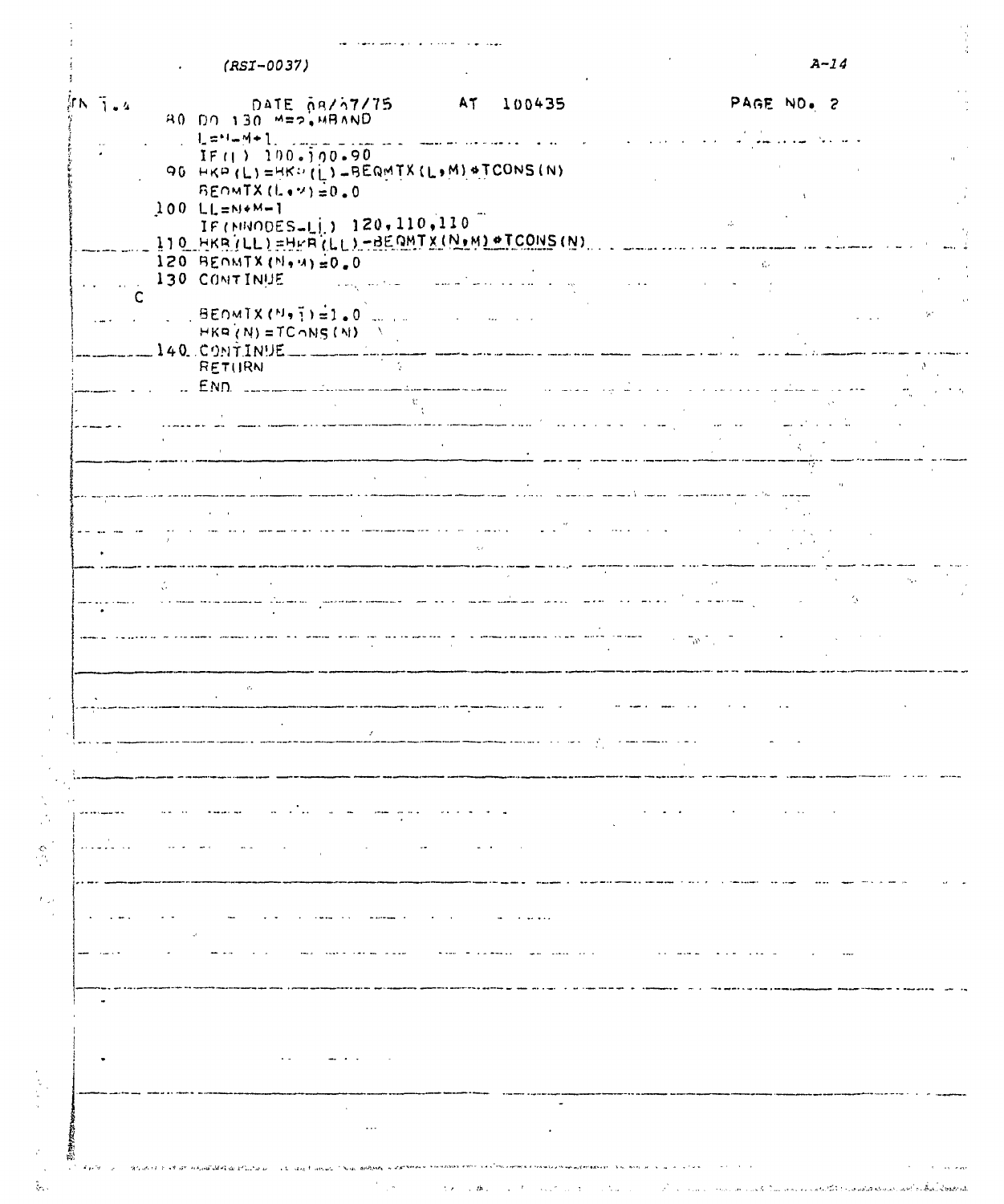| $\sqrt{N}$ $\sqrt{1}$ $\sqrt{4}$ | DATE ARZA7/75<br>AO DO 130 M=2,MBAND<br>IF(1) 100.700.90                                                                                                                                                                                                                               |                                                                                                                                                                                                                                   | AT<br>100435                                  |                                                                                                                                                        | PAGE NO. 2                                                                                                                                                                                                                                                                                    |    |
|----------------------------------|----------------------------------------------------------------------------------------------------------------------------------------------------------------------------------------------------------------------------------------------------------------------------------------|-----------------------------------------------------------------------------------------------------------------------------------------------------------------------------------------------------------------------------------|-----------------------------------------------|--------------------------------------------------------------------------------------------------------------------------------------------------------|-----------------------------------------------------------------------------------------------------------------------------------------------------------------------------------------------------------------------------------------------------------------------------------------------|----|
|                                  |                                                                                                                                                                                                                                                                                        |                                                                                                                                                                                                                                   |                                               |                                                                                                                                                        |                                                                                                                                                                                                                                                                                               |    |
|                                  | $BENMTX(L*Y) = 0.0$                                                                                                                                                                                                                                                                    | 90 HKP (L)=HKP (L)=BEQMTX (L,M) +TCONS (N)                                                                                                                                                                                        |                                               |                                                                                                                                                        |                                                                                                                                                                                                                                                                                               |    |
|                                  | $100 L1 = N+M-1$<br>IF (NUODES-LI) 120, 110, 110<br>ITO HKRILLI=HEACLLI-BEQMTX(N.M) #TCONS(N)                                                                                                                                                                                          |                                                                                                                                                                                                                                   |                                               |                                                                                                                                                        | $\mathcal{L}_{\mathcal{C}}$                                                                                                                                                                                                                                                                   |    |
|                                  | $120$ BENMTX (N. 4)=0.0<br>130 CONTINUE                                                                                                                                                                                                                                                | أعدادها أرهبن                                                                                                                                                                                                                     | التواصل الماركين أكساسيت                      |                                                                                                                                                        | Ge.                                                                                                                                                                                                                                                                                           |    |
|                                  | $\frac{1}{2}$ BEDMIX (M, $\frac{1}{2}$ ) = 1.0 . The state of the state of the state of the state of the state of the state of the state of the state of the state of the state of the state of the state of the state of the state of<br>$HKR(N) = TCoNS(N)$<br>$140.$ CONTINUE _____ |                                                                                                                                                                                                                                   |                                               |                                                                                                                                                        |                                                                                                                                                                                                                                                                                               |    |
|                                  | <b>RETURN</b>                                                                                                                                                                                                                                                                          | सा दें।<br>जन्म                                                                                                                                                                                                                   | $\sim$ and the continuous continuous to a set | منادات المتعادمين العبار                                                                                                                               | <u>management of the second contract of the second contract of the second contract of the second contract of the second contract of the second contract of the second contract of the second contract of the second contract of </u><br>$\mathbf{r}$ . The state of the state of $\mathbf{r}$ |    |
|                                  |                                                                                                                                                                                                                                                                                        | $\frac{1}{\sqrt{2}}\mathbf{g}^{\prime}$<br>.<br>And an all the spinster theories are the compatible of the first product section spinster manufacturers are substitu                                                              |                                               |                                                                                                                                                        |                                                                                                                                                                                                                                                                                               |    |
|                                  |                                                                                                                                                                                                                                                                                        |                                                                                                                                                                                                                                   |                                               |                                                                                                                                                        |                                                                                                                                                                                                                                                                                               |    |
|                                  |                                                                                                                                                                                                                                                                                        | and the methods are an analyzing and provided a control of the control of the control of the control of the control of the control of the control of the control of the control of the control of the control of the control o    | $\sim$ $\sim$                                 | i<br>ana seosana ora kirimoanamaan maana ah mengan kala ilikuwa maa katika maana maa katika katika maana katika m<br>and the control of the control of |                                                                                                                                                                                                                                                                                               |    |
|                                  |                                                                                                                                                                                                                                                                                        |                                                                                                                                                                                                                                   |                                               |                                                                                                                                                        |                                                                                                                                                                                                                                                                                               |    |
|                                  |                                                                                                                                                                                                                                                                                        | al service and the component of the service of the component of the service of the service of the service of t<br>- The component of the service of the service of the component of the component of the service of the service o |                                               |                                                                                                                                                        |                                                                                                                                                                                                                                                                                               | A. |
|                                  |                                                                                                                                                                                                                                                                                        |                                                                                                                                                                                                                                   |                                               |                                                                                                                                                        |                                                                                                                                                                                                                                                                                               |    |
|                                  |                                                                                                                                                                                                                                                                                        |                                                                                                                                                                                                                                   |                                               |                                                                                                                                                        |                                                                                                                                                                                                                                                                                               |    |
|                                  |                                                                                                                                                                                                                                                                                        |                                                                                                                                                                                                                                   |                                               |                                                                                                                                                        |                                                                                                                                                                                                                                                                                               |    |
|                                  |                                                                                                                                                                                                                                                                                        |                                                                                                                                                                                                                                   |                                               |                                                                                                                                                        |                                                                                                                                                                                                                                                                                               |    |
|                                  |                                                                                                                                                                                                                                                                                        |                                                                                                                                                                                                                                   |                                               |                                                                                                                                                        |                                                                                                                                                                                                                                                                                               |    |
|                                  |                                                                                                                                                                                                                                                                                        |                                                                                                                                                                                                                                   |                                               |                                                                                                                                                        |                                                                                                                                                                                                                                                                                               |    |
|                                  | $\mathcal{A}$ .                                                                                                                                                                                                                                                                        |                                                                                                                                                                                                                                   |                                               |                                                                                                                                                        |                                                                                                                                                                                                                                                                                               |    |
|                                  |                                                                                                                                                                                                                                                                                        |                                                                                                                                                                                                                                   |                                               |                                                                                                                                                        |                                                                                                                                                                                                                                                                                               |    |
|                                  |                                                                                                                                                                                                                                                                                        |                                                                                                                                                                                                                                   |                                               |                                                                                                                                                        |                                                                                                                                                                                                                                                                                               |    |
|                                  |                                                                                                                                                                                                                                                                                        | $\sim$ $\sim$ $\sim$                                                                                                                                                                                                              | $\bullet$                                     |                                                                                                                                                        |                                                                                                                                                                                                                                                                                               |    |

 $\frac{1}{2}$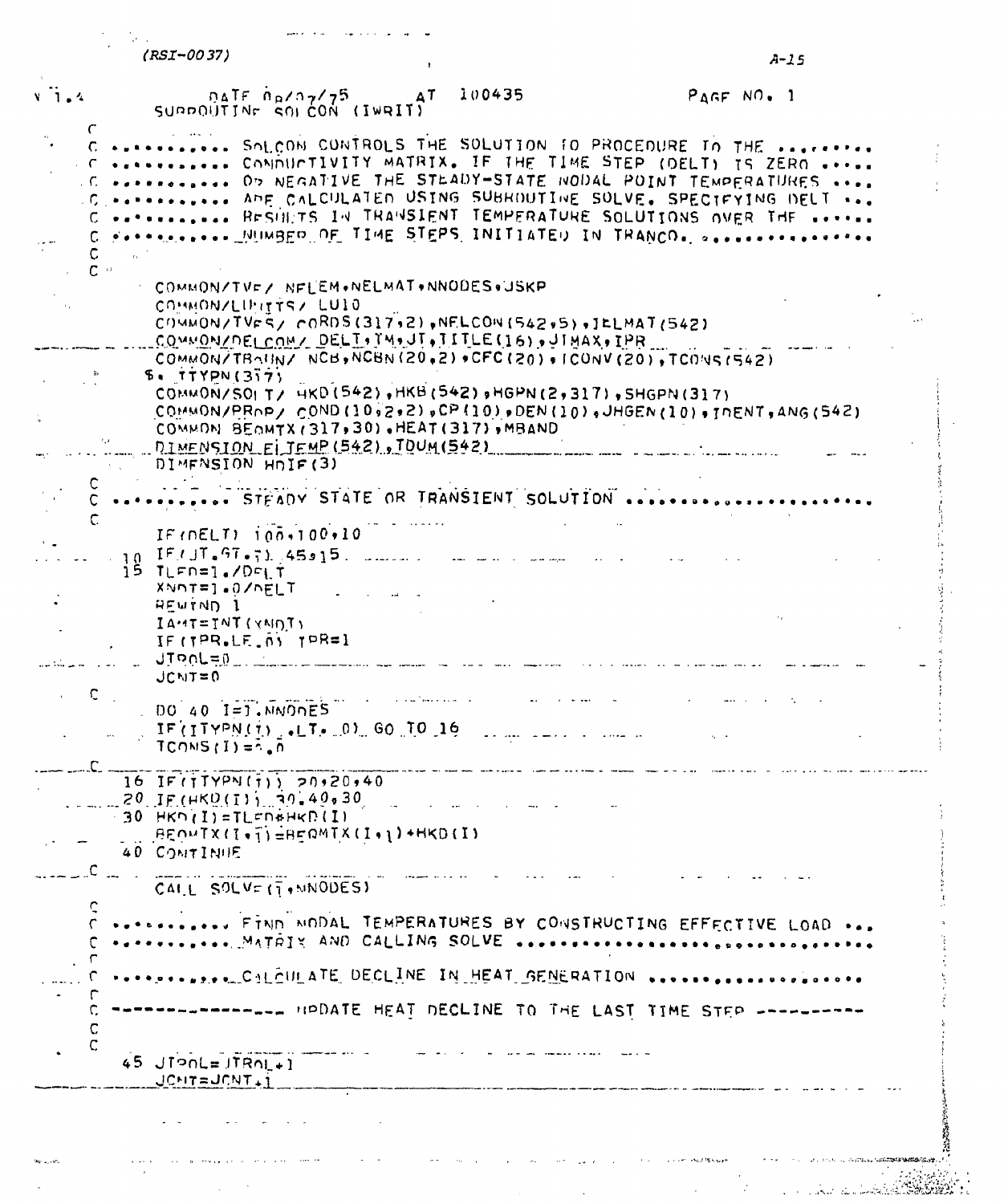$(RSI - 0037)$ 

 $A-15$ 

| $V$ $\overline{1}$ $\overline{4}$ | $0ATF \theta_B/27/75$<br>SUPPOUTINE SOLCON (IWRIT)                            | 100435<br>AT - | $P_AGFNO.1$                                                                                                                                                                                                                                                                                                                                                                  |  |
|-----------------------------------|-------------------------------------------------------------------------------|----------------|------------------------------------------------------------------------------------------------------------------------------------------------------------------------------------------------------------------------------------------------------------------------------------------------------------------------------------------------------------------------------|--|
|                                   |                                                                               |                | SOLCON CUNTROLS THE SOLUTION TO PROCEDURE IN THE<br>. C  CONDUCTIVITY MATRIX. IF THE TIME STEP (DELT) IS ZERO<br>.C.  On NEGATIVE THE STEADY-STATE NODAL POINT TEMPERATURES<br>.C.  APE CALCULATED USING SUBROUTINE SOLVE. SPECTFYING DELT<br>C  RESULTS IN TRANSIENT TEMPERATURE SOLUTIONS OVER THE<br>FOR THE MUNIST OF TIME STEPS INITIATED IN TRANCO. Second-transporter |  |
| $\mathbf{C}$ $\rightarrow$        | COMMON/TVF/ NFLEM.NELMAT.NNODES.USKP                                          |                |                                                                                                                                                                                                                                                                                                                                                                              |  |
|                                   | COMMONZELPITTSZ LUIO<br>COWMON/TVES/ CORDS(317,2), NELCON(542,5), JELMAT(542) |                |                                                                                                                                                                                                                                                                                                                                                                              |  |
|                                   | COMMON/DELCOM/ DELT, IM, JT, TITLE (16), JTMAX, IPR                           |                | COMMON/TRAIN/ NCB, NCBN (20,2) +CFC (20) + ICONV (20), TCONS (542)                                                                                                                                                                                                                                                                                                           |  |
|                                   | 5.1779N(377)<br>COMMON/SOLT/ HKD (542), HKB (542), HGPN (2,317), SHGPN (317)  |                |                                                                                                                                                                                                                                                                                                                                                                              |  |
|                                   | COMMON BEOMTX (317,30), HEAT (317), MBAND                                     |                | COMMON/PROP/ COND (10,2,2), CP (10), DEN (10), JHGEN (10), INENT, ANG (542)                                                                                                                                                                                                                                                                                                  |  |
|                                   | DIMENSION ELJEMP (542), TOUM (542)<br>DIMENSION HOIF(3)                       |                |                                                                                                                                                                                                                                                                                                                                                                              |  |
| C.                                |                                                                               |                | STEADY STATE OR TRANSIENT SOLUTION                                                                                                                                                                                                                                                                                                                                           |  |
| C.                                | IF ( $nELT$ ) $100,100,10$                                                    |                |                                                                                                                                                                                                                                                                                                                                                                              |  |
|                                   | $IF/JT = GT - 71.45915.$<br>15 TLFN=1./DFLT                                   |                |                                                                                                                                                                                                                                                                                                                                                                              |  |
|                                   | XNnT=1.0/nELT<br><b>HEWIND 1</b>                                              |                |                                                                                                                                                                                                                                                                                                                                                                              |  |
|                                   | $I A \cdot 1T = I N T (Y N I) T Y$<br>$IF(TPR,LF,ny)$ $TPR=1$                 |                |                                                                                                                                                                                                                                                                                                                                                                              |  |
|                                   | JIROL=0<br>$JCMT = 0$                                                         |                |                                                                                                                                                                                                                                                                                                                                                                              |  |
| C.                                | $DO 40 I=J. NINDDES$                                                          |                |                                                                                                                                                                                                                                                                                                                                                                              |  |
|                                   | IF(ITPN(i), I.T. 0) 60 10 16<br>$TCOMS(I) = \overline{A} \cdot \overline{B}$  |                |                                                                                                                                                                                                                                                                                                                                                                              |  |
|                                   | $16$ IF $(17Y$ PN $(1)$ $20.20.40$                                            |                |                                                                                                                                                                                                                                                                                                                                                                              |  |
|                                   | $Z^0$ , IF(HK0(I), 30.40.30<br>$-30$ HKD $(1)$ = TLFD #HKD (I)                |                |                                                                                                                                                                                                                                                                                                                                                                              |  |
|                                   | $B$ EOWTX(I+1)=BEOMTX(I+1)+HKD(I)<br>40 CONTINUE                              |                |                                                                                                                                                                                                                                                                                                                                                                              |  |
|                                   | $C_{\text{max}}$<br>CALL SOLVE (T. MNODES)                                    |                |                                                                                                                                                                                                                                                                                                                                                                              |  |
| Ç                                 | V.L.A. MATRIX AND CALLING SOLVE                                               |                | FIND MODAL TEMPERATURES BY CONSTRUCTING EFFECTIVE LOAD                                                                                                                                                                                                                                                                                                                       |  |
|                                   |                                                                               |                | <b>TERMINE AND STRUCT AND THE ATT SENERATION SERVERSES ASSESSESSES</b>                                                                                                                                                                                                                                                                                                       |  |
| $\mathbb{C}$<br>$\mathsf C$       |                                                                               |                | ------- HPDATE HEAT DECLINE TO THE LAST TIME STEP ------                                                                                                                                                                                                                                                                                                                     |  |
| $\mathsf C$                       | $45$ JIPNL= JIRNL+1<br>JONT=JONT+1                                            |                |                                                                                                                                                                                                                                                                                                                                                                              |  |
|                                   |                                                                               |                |                                                                                                                                                                                                                                                                                                                                                                              |  |
|                                   |                                                                               |                |                                                                                                                                                                                                                                                                                                                                                                              |  |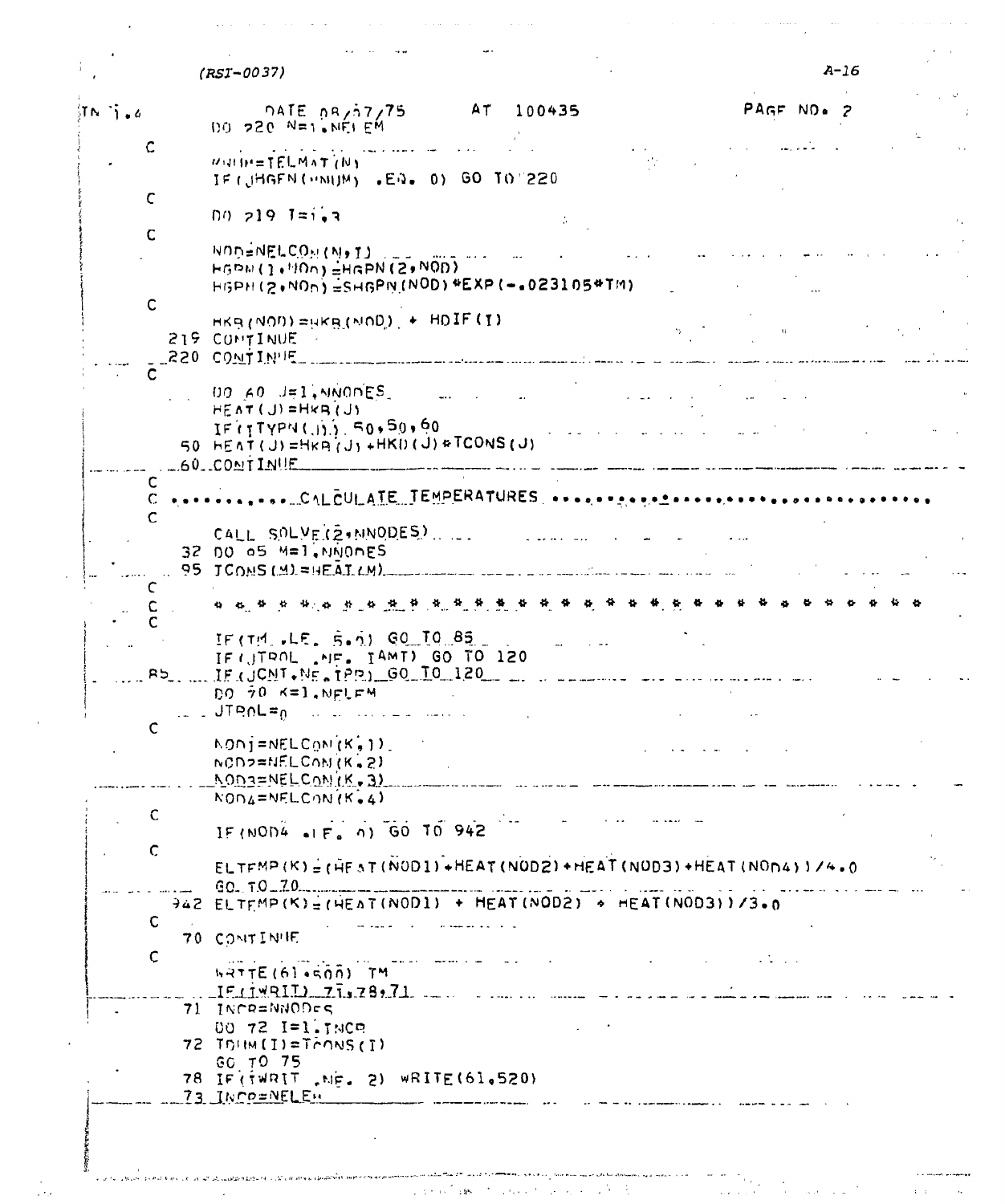| $\left\langle \mathbf{I} \cap \mathbf{A} \right\rangle$ , $\mathbf{A}$ | <b>DATE 08/57/75</b> AT 100435<br>$100 - 220$ N=1. NEI EM                                                                                                                                                                                                                                            | PAGE NO. 2        |
|------------------------------------------------------------------------|------------------------------------------------------------------------------------------------------------------------------------------------------------------------------------------------------------------------------------------------------------------------------------------------------|-------------------|
|                                                                        | WHIM-TELMAT (N)<br>IF (JHGEN (UNIUM) .EN. 0) GO TO 220                                                                                                                                                                                                                                               |                   |
| C                                                                      | $00, 219$ $1 = 1.7$                                                                                                                                                                                                                                                                                  |                   |
| C                                                                      |                                                                                                                                                                                                                                                                                                      |                   |
|                                                                        | NOD=NELCOM (N) I)<br>$\cdots$ $\cdots$ $\cdots$ $\cdots$<br>$HGDM(1+HOn)$ $HGPN(2+NOD)$<br>HGPH(2,NOn)=SHGPN(NOD)*EXP(-.023105*TM)                                                                                                                                                                   |                   |
| $\mathsf{C}$                                                           | $HKB(NOD) = HKB(NOD) + HDIF(T)$<br>219 CONTINUE                                                                                                                                                                                                                                                      | <b>Contractor</b> |
|                                                                        | 220 CONTINUE<br><u>, and a proportion of the computer serves and contracts and the server and the server of the server of the server</u>                                                                                                                                                             |                   |
|                                                                        | $00 \times 0 \text{ J} = 1 \times 1000 \text{ E}$<br>$HEAT(J)=HkR(J)$                                                                                                                                                                                                                                |                   |
|                                                                        | $IF(TYPN(.))$ , 50, 50, 60<br>المعاون التي التي تعالى المعارض المعارض المعارض المعارض المعارض المعارض المعارض المعارض المعارض المعارض المعار<br>المعارض المعارض المعارض المعارض المعارض المعارض المعارض المعارض المعارض المعارض المعارض المعارض المعارض المعار<br>50 HEAT (U)=HKA(U)+HKD(U)+TCONS(U) |                   |
| C                                                                      | $.60.00$ NTINUE<br>.<br>In 1980 an Albertaine and City and Constitution and Albertain and the contract of the following and constitution                                                                                                                                                             |                   |
|                                                                        |                                                                                                                                                                                                                                                                                                      |                   |
|                                                                        | CALL SOLVE(2, NNODES)<br>المستحدث والمتعادية والمتعادية والمستحدث<br>$32$ $00$ $05$ $M=1$ .NNONES                                                                                                                                                                                                    |                   |
|                                                                        | 95 JCONS (M) = HEAT (M)                                                                                                                                                                                                                                                                              |                   |
|                                                                        |                                                                                                                                                                                                                                                                                                      |                   |
|                                                                        | IF (TH. LE. S.A) GO TO 85<br>العابيات المواد<br>IF (JTROL . MF. IAMT) GO TO 120<br>R5. F(JCNT.NE.1PP) 60 10 120                                                                                                                                                                                      |                   |
|                                                                        | DO 70 K=1, NFLFM<br>us s JTROL=a su de conservancia                                                                                                                                                                                                                                                  |                   |
| $\mathsf{C}$                                                           | $NON$ $j = NELCQN/(K, 1)$<br>$NCD2 = NELCOM(K, 2)$                                                                                                                                                                                                                                                   |                   |
|                                                                        | <u> NOD3=NELCONIK.3)</u><br>$N0D4 = NELCDN(K, 4)$                                                                                                                                                                                                                                                    |                   |
| C                                                                      |                                                                                                                                                                                                                                                                                                      |                   |
| $\mathsf{C}$                                                           | IF (NOD4 $\bullet$ 1 F, 0) GO TO 942                                                                                                                                                                                                                                                                 |                   |
|                                                                        | $ELTFMP(K) = (HFST(NOD1) + HEAT(NOD2) + HEAT(NOD3) + HEAT(NODA))$ //4.0<br>$60.70 - 70$                                                                                                                                                                                                              |                   |
|                                                                        | $942$ ELTEMP(K)=(HEAT(NOD1) + HEAT(NOD2) + HEAT(NOD3))/3.0                                                                                                                                                                                                                                           |                   |
| $\mathbf C$                                                            | 70 CONTINUE                                                                                                                                                                                                                                                                                          |                   |
| $\mathsf{C}$                                                           | speed to the common signs.<br>$hRTTE(6)$ $hG(0)$ TM                                                                                                                                                                                                                                                  |                   |
|                                                                        | $IF$ (1491I) 77,78,71                                                                                                                                                                                                                                                                                |                   |
|                                                                        | 71 INCR=NNODES<br>00 72 I=1. INCR                                                                                                                                                                                                                                                                    |                   |
|                                                                        | 72 TOIM (I)=TOONS (I)<br>GO TO 75                                                                                                                                                                                                                                                                    |                   |
|                                                                        | 78 IF (TWRIT , NE. 2) WRITE (61.520)<br>73 INCO=NELEN                                                                                                                                                                                                                                                |                   |
|                                                                        |                                                                                                                                                                                                                                                                                                      |                   |

ה<br>היה מה מוכנית היה השפייה משמעות הבינה היה היה היה היה היה מוכנית הראשונית ובצעירה של מכירות היה היא משותפים המ<br>היה מה מוכנית היה השפייה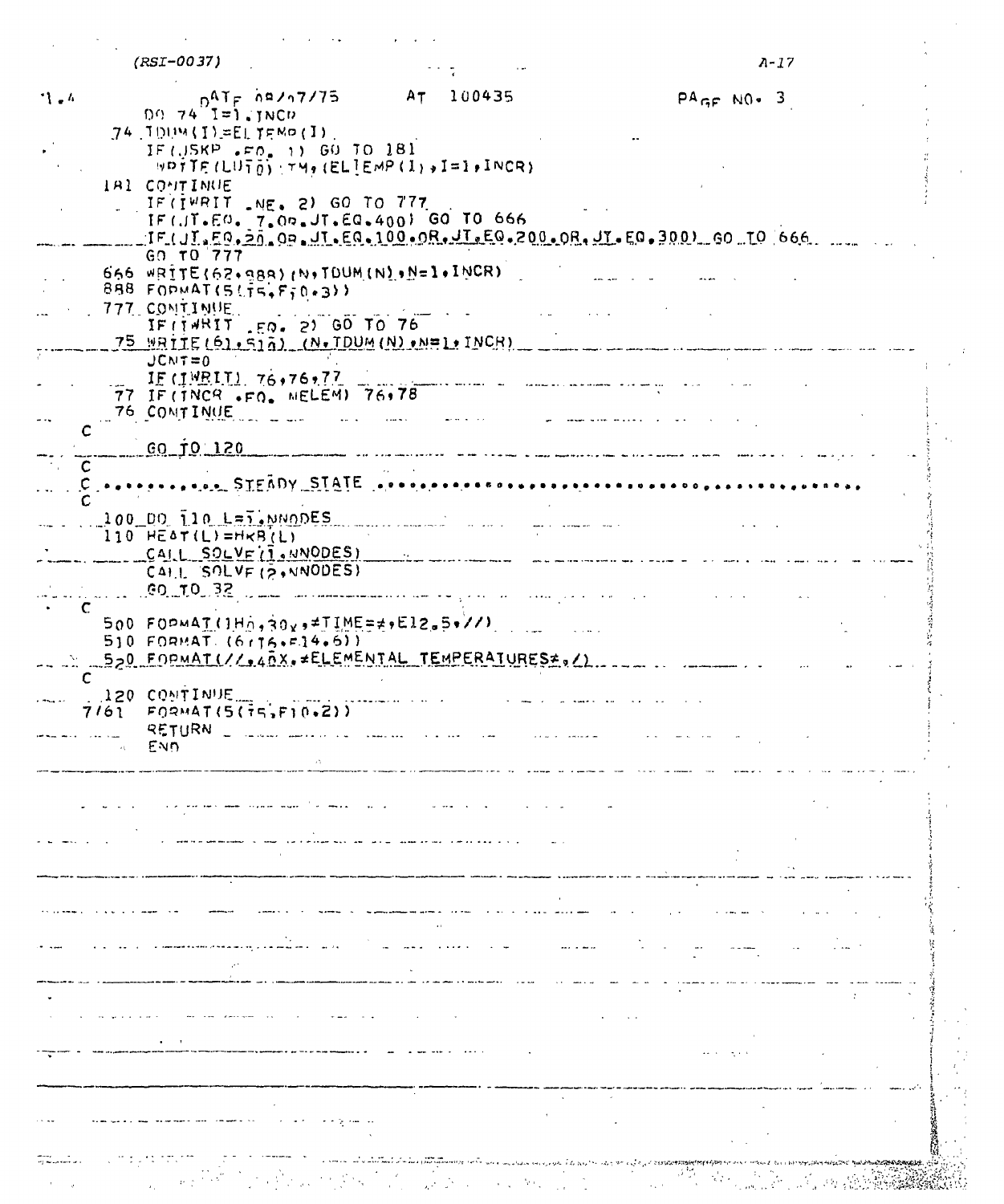| (RSI-0037)                       | <b><i><u>ALLES</u></i></b> |  |
|----------------------------------|----------------------------|--|
| $09.74 \frac{0^{AT}F}{1}$ (JNCD) | AT 100435                  |  |

 $\langle \cdot, \cdot \rangle$  ,  $\langle \cdot, \cdot \rangle$ 

 $\sim$ 

 $\hat{\mathcal{A}}$ 

| $09.74$ $I=1.3NCD$<br>$74.1004(1)$ = EL TEMP (I).<br>IF (USKP .FO. 1) GO TO 181<br>WDTTE $(LU\overline{T}_0)$ (TH, (EL]EMP (I), I=1, INCR)<br><b>IBI CONTINUE</b><br>IF (IWRIT $NE = 2$ ) GO TO 777<br>IF(JT.EO. 7.00.JT.EQ.400) GO TO 666<br>IF(JI, FO, 20, OR, JI, EQ, 100, OR, JI, EQ, 200, OR, JI, EQ, 300) GO TO 666.<br>GO TO 777<br>666 $WRITE(62,989)$ (N.TDUM(N) $M=1.1$ NCR)<br>$888$ FORMAT(5) $\frac{1}{2}$ $\frac{1}{2}$ $\frac{1}{2}$ $\frac{1}{2}$ $\frac{1}{2}$<br>777 COMTIMUE<br>IF (14RIT .EQ. 2) GO TO 76<br>$75$ WRITE $(6)$ , 512) (N. TDUM (N) $M=1$ , INCR)<br>$JCNT = 0$<br>$IF$ (1MRIT) 76,76,77<br>$\overline{1}$<br>77 IF (TNCR .FQ. MELEM) 76,78<br>76 CONTINUE<br>and a series of the series of the series of the series of the series of the series of the series of the series<br><u>GO TO 120</u><br><u>A Community of the Chambers of the Community of the Chambers of the Chambers of the Chambers of the Chambers of the Chambers of the Chambers of the Chambers of the Chambers of the Chambers of the Chambers of the Chambers </u><br>C.<br>$100$ DO $110$ L=1. NNODES<br>المناول المتار<br>$110$ HEAT(L)=HKB(L)<br>CAIL SOLVEII.NNODES)<br>CALL SOLVE (2, NNODES)<br><b>CO TO 33</b><br>$500 F0$ $P$ $4T(1)$ $A_0$ , $30x$ , $\neq$ $T1$ $ME = \neq$ , $E12.5$ , $T/1$<br>$510$ FORMAT (6 $176.734.61$ )<br>520 FORMAT(//, ARX, +ELEMENTAL TEMPERATURES=, /)<br>$\mathsf{C}$<br><b>120 CONTINUE</b><br>$7/61$ FORMAT(5( $75.710.21$ )<br>$\sim$ END. | 1.4 | $DATF$ $\hbar$ <sup>2</sup> /17/75 | AT 100435 | $PAGF N0 - 3$ |  |
|-----------------------------------------------------------------------------------------------------------------------------------------------------------------------------------------------------------------------------------------------------------------------------------------------------------------------------------------------------------------------------------------------------------------------------------------------------------------------------------------------------------------------------------------------------------------------------------------------------------------------------------------------------------------------------------------------------------------------------------------------------------------------------------------------------------------------------------------------------------------------------------------------------------------------------------------------------------------------------------------------------------------------------------------------------------------------------------------------------------------------------------------------------------------------------------------------------------------------------------------------------------------------------------------------------------------------------------------------------------------------------------------------------------------------------------------------------------------------------------------------|-----|------------------------------------|-----------|---------------|--|
|                                                                                                                                                                                                                                                                                                                                                                                                                                                                                                                                                                                                                                                                                                                                                                                                                                                                                                                                                                                                                                                                                                                                                                                                                                                                                                                                                                                                                                                                                               |     |                                    |           |               |  |
|                                                                                                                                                                                                                                                                                                                                                                                                                                                                                                                                                                                                                                                                                                                                                                                                                                                                                                                                                                                                                                                                                                                                                                                                                                                                                                                                                                                                                                                                                               |     |                                    |           |               |  |
|                                                                                                                                                                                                                                                                                                                                                                                                                                                                                                                                                                                                                                                                                                                                                                                                                                                                                                                                                                                                                                                                                                                                                                                                                                                                                                                                                                                                                                                                                               |     |                                    |           |               |  |
|                                                                                                                                                                                                                                                                                                                                                                                                                                                                                                                                                                                                                                                                                                                                                                                                                                                                                                                                                                                                                                                                                                                                                                                                                                                                                                                                                                                                                                                                                               |     |                                    |           |               |  |
|                                                                                                                                                                                                                                                                                                                                                                                                                                                                                                                                                                                                                                                                                                                                                                                                                                                                                                                                                                                                                                                                                                                                                                                                                                                                                                                                                                                                                                                                                               |     |                                    |           |               |  |
|                                                                                                                                                                                                                                                                                                                                                                                                                                                                                                                                                                                                                                                                                                                                                                                                                                                                                                                                                                                                                                                                                                                                                                                                                                                                                                                                                                                                                                                                                               |     |                                    |           |               |  |
|                                                                                                                                                                                                                                                                                                                                                                                                                                                                                                                                                                                                                                                                                                                                                                                                                                                                                                                                                                                                                                                                                                                                                                                                                                                                                                                                                                                                                                                                                               |     |                                    |           |               |  |
|                                                                                                                                                                                                                                                                                                                                                                                                                                                                                                                                                                                                                                                                                                                                                                                                                                                                                                                                                                                                                                                                                                                                                                                                                                                                                                                                                                                                                                                                                               |     |                                    |           |               |  |
|                                                                                                                                                                                                                                                                                                                                                                                                                                                                                                                                                                                                                                                                                                                                                                                                                                                                                                                                                                                                                                                                                                                                                                                                                                                                                                                                                                                                                                                                                               |     |                                    |           |               |  |
|                                                                                                                                                                                                                                                                                                                                                                                                                                                                                                                                                                                                                                                                                                                                                                                                                                                                                                                                                                                                                                                                                                                                                                                                                                                                                                                                                                                                                                                                                               |     |                                    |           |               |  |
|                                                                                                                                                                                                                                                                                                                                                                                                                                                                                                                                                                                                                                                                                                                                                                                                                                                                                                                                                                                                                                                                                                                                                                                                                                                                                                                                                                                                                                                                                               |     |                                    |           |               |  |
|                                                                                                                                                                                                                                                                                                                                                                                                                                                                                                                                                                                                                                                                                                                                                                                                                                                                                                                                                                                                                                                                                                                                                                                                                                                                                                                                                                                                                                                                                               |     |                                    |           |               |  |
|                                                                                                                                                                                                                                                                                                                                                                                                                                                                                                                                                                                                                                                                                                                                                                                                                                                                                                                                                                                                                                                                                                                                                                                                                                                                                                                                                                                                                                                                                               |     |                                    |           |               |  |
|                                                                                                                                                                                                                                                                                                                                                                                                                                                                                                                                                                                                                                                                                                                                                                                                                                                                                                                                                                                                                                                                                                                                                                                                                                                                                                                                                                                                                                                                                               |     |                                    |           |               |  |
|                                                                                                                                                                                                                                                                                                                                                                                                                                                                                                                                                                                                                                                                                                                                                                                                                                                                                                                                                                                                                                                                                                                                                                                                                                                                                                                                                                                                                                                                                               |     |                                    |           |               |  |
|                                                                                                                                                                                                                                                                                                                                                                                                                                                                                                                                                                                                                                                                                                                                                                                                                                                                                                                                                                                                                                                                                                                                                                                                                                                                                                                                                                                                                                                                                               |     |                                    |           |               |  |
|                                                                                                                                                                                                                                                                                                                                                                                                                                                                                                                                                                                                                                                                                                                                                                                                                                                                                                                                                                                                                                                                                                                                                                                                                                                                                                                                                                                                                                                                                               |     |                                    |           |               |  |
|                                                                                                                                                                                                                                                                                                                                                                                                                                                                                                                                                                                                                                                                                                                                                                                                                                                                                                                                                                                                                                                                                                                                                                                                                                                                                                                                                                                                                                                                                               |     |                                    |           |               |  |
|                                                                                                                                                                                                                                                                                                                                                                                                                                                                                                                                                                                                                                                                                                                                                                                                                                                                                                                                                                                                                                                                                                                                                                                                                                                                                                                                                                                                                                                                                               |     |                                    |           |               |  |
|                                                                                                                                                                                                                                                                                                                                                                                                                                                                                                                                                                                                                                                                                                                                                                                                                                                                                                                                                                                                                                                                                                                                                                                                                                                                                                                                                                                                                                                                                               |     |                                    |           |               |  |
|                                                                                                                                                                                                                                                                                                                                                                                                                                                                                                                                                                                                                                                                                                                                                                                                                                                                                                                                                                                                                                                                                                                                                                                                                                                                                                                                                                                                                                                                                               |     |                                    |           |               |  |
|                                                                                                                                                                                                                                                                                                                                                                                                                                                                                                                                                                                                                                                                                                                                                                                                                                                                                                                                                                                                                                                                                                                                                                                                                                                                                                                                                                                                                                                                                               |     |                                    |           |               |  |
|                                                                                                                                                                                                                                                                                                                                                                                                                                                                                                                                                                                                                                                                                                                                                                                                                                                                                                                                                                                                                                                                                                                                                                                                                                                                                                                                                                                                                                                                                               |     |                                    |           |               |  |
|                                                                                                                                                                                                                                                                                                                                                                                                                                                                                                                                                                                                                                                                                                                                                                                                                                                                                                                                                                                                                                                                                                                                                                                                                                                                                                                                                                                                                                                                                               |     |                                    |           |               |  |
|                                                                                                                                                                                                                                                                                                                                                                                                                                                                                                                                                                                                                                                                                                                                                                                                                                                                                                                                                                                                                                                                                                                                                                                                                                                                                                                                                                                                                                                                                               |     |                                    |           |               |  |
|                                                                                                                                                                                                                                                                                                                                                                                                                                                                                                                                                                                                                                                                                                                                                                                                                                                                                                                                                                                                                                                                                                                                                                                                                                                                                                                                                                                                                                                                                               |     |                                    |           |               |  |
|                                                                                                                                                                                                                                                                                                                                                                                                                                                                                                                                                                                                                                                                                                                                                                                                                                                                                                                                                                                                                                                                                                                                                                                                                                                                                                                                                                                                                                                                                               |     |                                    |           |               |  |
|                                                                                                                                                                                                                                                                                                                                                                                                                                                                                                                                                                                                                                                                                                                                                                                                                                                                                                                                                                                                                                                                                                                                                                                                                                                                                                                                                                                                                                                                                               |     |                                    |           |               |  |
|                                                                                                                                                                                                                                                                                                                                                                                                                                                                                                                                                                                                                                                                                                                                                                                                                                                                                                                                                                                                                                                                                                                                                                                                                                                                                                                                                                                                                                                                                               |     |                                    |           |               |  |
|                                                                                                                                                                                                                                                                                                                                                                                                                                                                                                                                                                                                                                                                                                                                                                                                                                                                                                                                                                                                                                                                                                                                                                                                                                                                                                                                                                                                                                                                                               |     |                                    |           |               |  |
|                                                                                                                                                                                                                                                                                                                                                                                                                                                                                                                                                                                                                                                                                                                                                                                                                                                                                                                                                                                                                                                                                                                                                                                                                                                                                                                                                                                                                                                                                               |     |                                    |           |               |  |
|                                                                                                                                                                                                                                                                                                                                                                                                                                                                                                                                                                                                                                                                                                                                                                                                                                                                                                                                                                                                                                                                                                                                                                                                                                                                                                                                                                                                                                                                                               |     |                                    |           |               |  |
|                                                                                                                                                                                                                                                                                                                                                                                                                                                                                                                                                                                                                                                                                                                                                                                                                                                                                                                                                                                                                                                                                                                                                                                                                                                                                                                                                                                                                                                                                               |     |                                    |           |               |  |
|                                                                                                                                                                                                                                                                                                                                                                                                                                                                                                                                                                                                                                                                                                                                                                                                                                                                                                                                                                                                                                                                                                                                                                                                                                                                                                                                                                                                                                                                                               |     |                                    |           |               |  |
|                                                                                                                                                                                                                                                                                                                                                                                                                                                                                                                                                                                                                                                                                                                                                                                                                                                                                                                                                                                                                                                                                                                                                                                                                                                                                                                                                                                                                                                                                               |     |                                    |           |               |  |
|                                                                                                                                                                                                                                                                                                                                                                                                                                                                                                                                                                                                                                                                                                                                                                                                                                                                                                                                                                                                                                                                                                                                                                                                                                                                                                                                                                                                                                                                                               |     |                                    |           |               |  |
|                                                                                                                                                                                                                                                                                                                                                                                                                                                                                                                                                                                                                                                                                                                                                                                                                                                                                                                                                                                                                                                                                                                                                                                                                                                                                                                                                                                                                                                                                               |     |                                    |           |               |  |
|                                                                                                                                                                                                                                                                                                                                                                                                                                                                                                                                                                                                                                                                                                                                                                                                                                                                                                                                                                                                                                                                                                                                                                                                                                                                                                                                                                                                                                                                                               |     |                                    |           |               |  |
|                                                                                                                                                                                                                                                                                                                                                                                                                                                                                                                                                                                                                                                                                                                                                                                                                                                                                                                                                                                                                                                                                                                                                                                                                                                                                                                                                                                                                                                                                               |     |                                    |           |               |  |
|                                                                                                                                                                                                                                                                                                                                                                                                                                                                                                                                                                                                                                                                                                                                                                                                                                                                                                                                                                                                                                                                                                                                                                                                                                                                                                                                                                                                                                                                                               |     |                                    |           |               |  |
|                                                                                                                                                                                                                                                                                                                                                                                                                                                                                                                                                                                                                                                                                                                                                                                                                                                                                                                                                                                                                                                                                                                                                                                                                                                                                                                                                                                                                                                                                               |     |                                    |           |               |  |
|                                                                                                                                                                                                                                                                                                                                                                                                                                                                                                                                                                                                                                                                                                                                                                                                                                                                                                                                                                                                                                                                                                                                                                                                                                                                                                                                                                                                                                                                                               |     |                                    |           |               |  |
|                                                                                                                                                                                                                                                                                                                                                                                                                                                                                                                                                                                                                                                                                                                                                                                                                                                                                                                                                                                                                                                                                                                                                                                                                                                                                                                                                                                                                                                                                               |     |                                    |           |               |  |
|                                                                                                                                                                                                                                                                                                                                                                                                                                                                                                                                                                                                                                                                                                                                                                                                                                                                                                                                                                                                                                                                                                                                                                                                                                                                                                                                                                                                                                                                                               |     |                                    |           |               |  |
|                                                                                                                                                                                                                                                                                                                                                                                                                                                                                                                                                                                                                                                                                                                                                                                                                                                                                                                                                                                                                                                                                                                                                                                                                                                                                                                                                                                                                                                                                               |     |                                    |           |               |  |
|                                                                                                                                                                                                                                                                                                                                                                                                                                                                                                                                                                                                                                                                                                                                                                                                                                                                                                                                                                                                                                                                                                                                                                                                                                                                                                                                                                                                                                                                                               |     |                                    |           |               |  |
|                                                                                                                                                                                                                                                                                                                                                                                                                                                                                                                                                                                                                                                                                                                                                                                                                                                                                                                                                                                                                                                                                                                                                                                                                                                                                                                                                                                                                                                                                               |     |                                    |           |               |  |
|                                                                                                                                                                                                                                                                                                                                                                                                                                                                                                                                                                                                                                                                                                                                                                                                                                                                                                                                                                                                                                                                                                                                                                                                                                                                                                                                                                                                                                                                                               |     |                                    |           |               |  |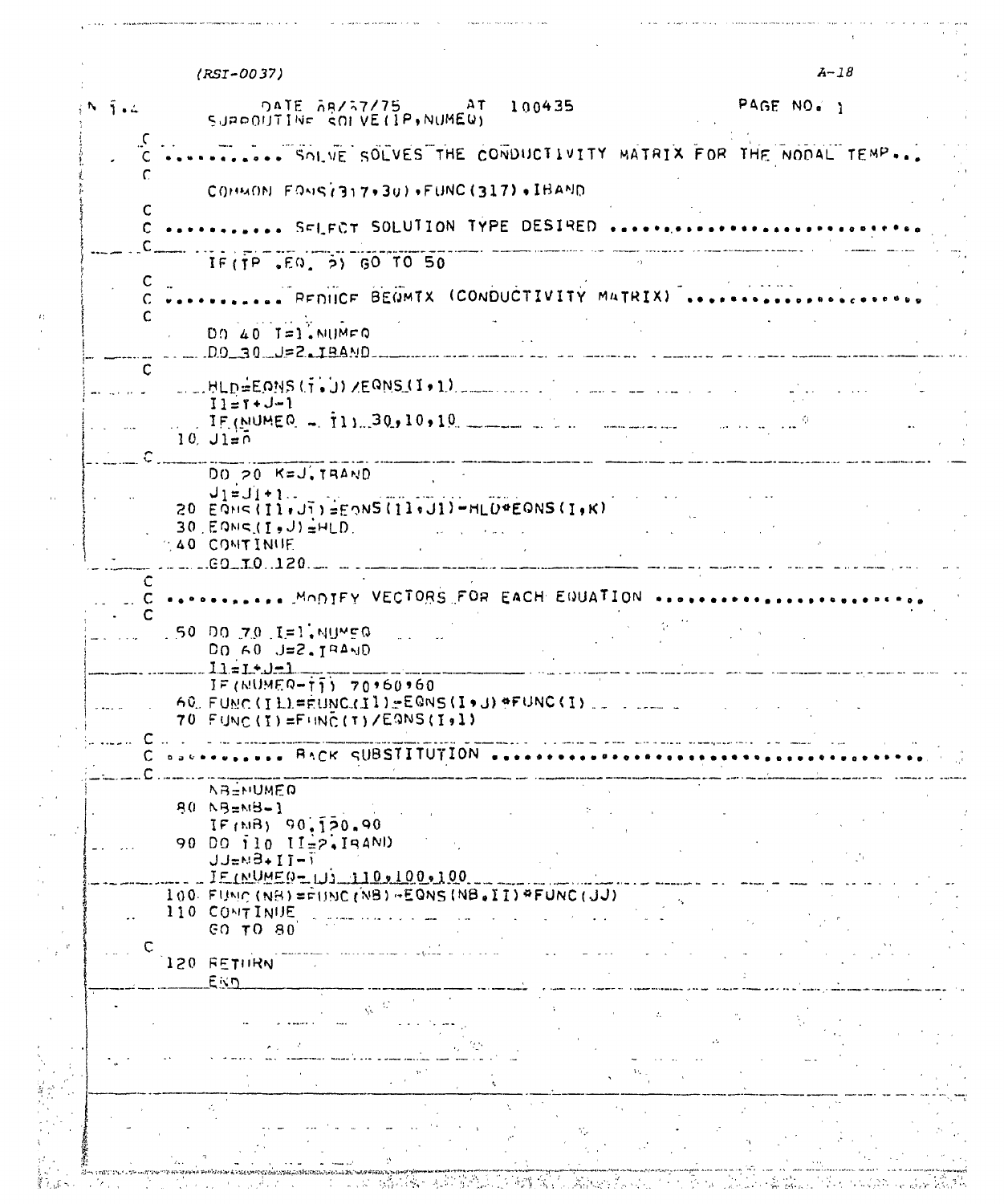<span id="page-25-0"></span>

|                    | $(RST-0037)$                                                                                                                    | $A-1B$                                                                                                                                                                                                                                                                                                                                                                                                                                                                     |
|--------------------|---------------------------------------------------------------------------------------------------------------------------------|----------------------------------------------------------------------------------------------------------------------------------------------------------------------------------------------------------------------------------------------------------------------------------------------------------------------------------------------------------------------------------------------------------------------------------------------------------------------------|
| $\bar{1}$ . $\sim$ | DATE 58/37/75 AT 100435<br>SUPPOUTINE SOFVEIIP, NUMER)                                                                          | PAGE NO. 1                                                                                                                                                                                                                                                                                                                                                                                                                                                                 |
|                    | SOLVE SOLVES THE CONDUCTIVITY MATRIX FOR THE NODAL TEMP                                                                         |                                                                                                                                                                                                                                                                                                                                                                                                                                                                            |
|                    | COHMON FONS(317+30)+FUNC(317)+IBAND                                                                                             |                                                                                                                                                                                                                                                                                                                                                                                                                                                                            |
| C                  | SFIFCT SOLUTION TYPE DESIRED                                                                                                    |                                                                                                                                                                                                                                                                                                                                                                                                                                                                            |
|                    | $IF(TP, EQ, 5)$ GO TO 50                                                                                                        |                                                                                                                                                                                                                                                                                                                                                                                                                                                                            |
|                    | PEDIICE BEGMTX (CONDUCTIVITY MATRIX)                                                                                            |                                                                                                                                                                                                                                                                                                                                                                                                                                                                            |
|                    | $DD 40 I=1.$ NUMFQ<br>$D9 - 39 - 12.18$ AND                                                                                     |                                                                                                                                                                                                                                                                                                                                                                                                                                                                            |
| $\mathbf{C}$       | BLD=EONS(T.J)/EQNS(I.1)                                                                                                         |                                                                                                                                                                                                                                                                                                                                                                                                                                                                            |
|                    | $11 = 1 + J - 1$<br>$\therefore$ IF (NUMEQ = 11) 30, 10, 10                                                                     |                                                                                                                                                                                                                                                                                                                                                                                                                                                                            |
|                    | $10, J1 = 0$                                                                                                                    |                                                                                                                                                                                                                                                                                                                                                                                                                                                                            |
|                    | DO 20 K=J. TRAND                                                                                                                |                                                                                                                                                                                                                                                                                                                                                                                                                                                                            |
|                    | $J_1=J_1+1$ .<br>20 EQNS(I1+J1)=EQNS(I1+J1)-HLD*EQNS(I+K)<br>$30$ , $E$ QNS $(I, J) = HLD$<br>and the company of the company of |                                                                                                                                                                                                                                                                                                                                                                                                                                                                            |
|                    | <b>40 CONTINUE</b><br>$ 60 - 10$ . 120 $ 1$<br>and the property of the second the                                               | $\frac{1}{2} \left( \frac{1}{2} \right) \left( \frac{1}{2} \right) \left( \frac{1}{2} \right) \left( \frac{1}{2} \right) \left( \frac{1}{2} \right) \left( \frac{1}{2} \right) \left( \frac{1}{2} \right) \left( \frac{1}{2} \right) \left( \frac{1}{2} \right) \left( \frac{1}{2} \right) \left( \frac{1}{2} \right) \left( \frac{1}{2} \right) \left( \frac{1}{2} \right) \left( \frac{1}{2} \right) \left( \frac{1}{2} \right) \left( \frac{1}{2} \right) \left( \frac$ |
| C                  | <b>CONFIDENCIAL CONTRY VECTORS FOR EACH EQUATION ACODEMINATION ACTIVITY</b>                                                     |                                                                                                                                                                                                                                                                                                                                                                                                                                                                            |
|                    | .50 DO 70 I=1.NUMEG<br>$DQ$ 60 $J=2.7$ PAND<br>$11 = 1 + 1 = 1$                                                                 |                                                                                                                                                                                                                                                                                                                                                                                                                                                                            |
|                    | $IF(NUMEQ - T_1) 70*60*60$<br>60 FUNC(ILL=EUNC.(Il)=EQNS(I+J)+FUNC(I)<br>70 FUNC (I)=FUNC (T) /EQNS(I,1)                        |                                                                                                                                                                                                                                                                                                                                                                                                                                                                            |
|                    | BACK SUBSTITUTION                                                                                                               |                                                                                                                                                                                                                                                                                                                                                                                                                                                                            |
|                    | <b>NBENUMED</b>                                                                                                                 |                                                                                                                                                                                                                                                                                                                                                                                                                                                                            |
|                    | 80 NB=NB-1<br>IF(MB) 90.120.90                                                                                                  |                                                                                                                                                                                                                                                                                                                                                                                                                                                                            |
|                    | 90 DO 110 II=2, IRAND<br>$JJ = N-1 + I - I$                                                                                     |                                                                                                                                                                                                                                                                                                                                                                                                                                                                            |
|                    | $IF(NUME0 = 110, 110, 100, 100)$<br>$100.$ FUNC (NB) = $F(MB)$ + EQNS (NB . II) * FUNC (JJ)                                     |                                                                                                                                                                                                                                                                                                                                                                                                                                                                            |
|                    | 110 CONTINUE<br><b>GO TO 80</b>                                                                                                 |                                                                                                                                                                                                                                                                                                                                                                                                                                                                            |
|                    | 120 RETHIRN<br>Eisn                                                                                                             |                                                                                                                                                                                                                                                                                                                                                                                                                                                                            |
|                    |                                                                                                                                 |                                                                                                                                                                                                                                                                                                                                                                                                                                                                            |
|                    |                                                                                                                                 |                                                                                                                                                                                                                                                                                                                                                                                                                                                                            |
|                    |                                                                                                                                 |                                                                                                                                                                                                                                                                                                                                                                                                                                                                            |
|                    |                                                                                                                                 |                                                                                                                                                                                                                                                                                                                                                                                                                                                                            |
|                    |                                                                                                                                 |                                                                                                                                                                                                                                                                                                                                                                                                                                                                            |
|                    |                                                                                                                                 |                                                                                                                                                                                                                                                                                                                                                                                                                                                                            |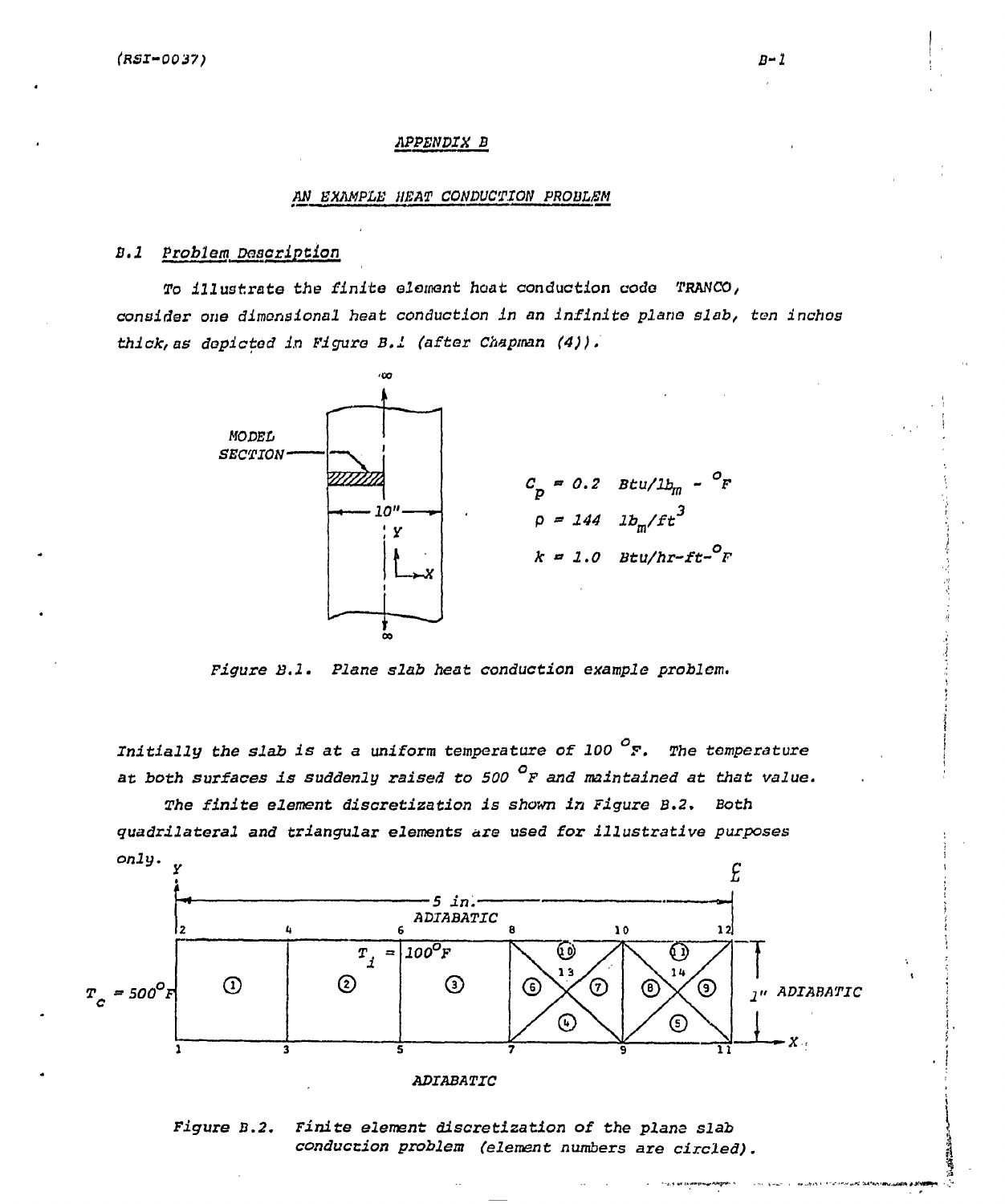# *APPENDIX B*

#### AN EXAMPLE HEAT CONDUCTION PROBLEM

# *B.l Problem Description*

*To illustrate the finite elemnt hoat* **conduction code THAN CO/**  *consider one dimensional heat conduction In an Infinite plane slab, ten inches thick, as depicted in Figure B.l (after Chapman (4)).* 



*Figure B.l. Plane slab heat conduction example problem.* 

*Initially the slab is at* **a uniform** *temperature of 100 °F. The temperature at both surfaces is suddenly raised to 500 °F and maintained at that value.* 

*The finite element discretization is shown in Figure B.2. Both quadrilateral and triangular elements are used for illustrative purposes*  only.



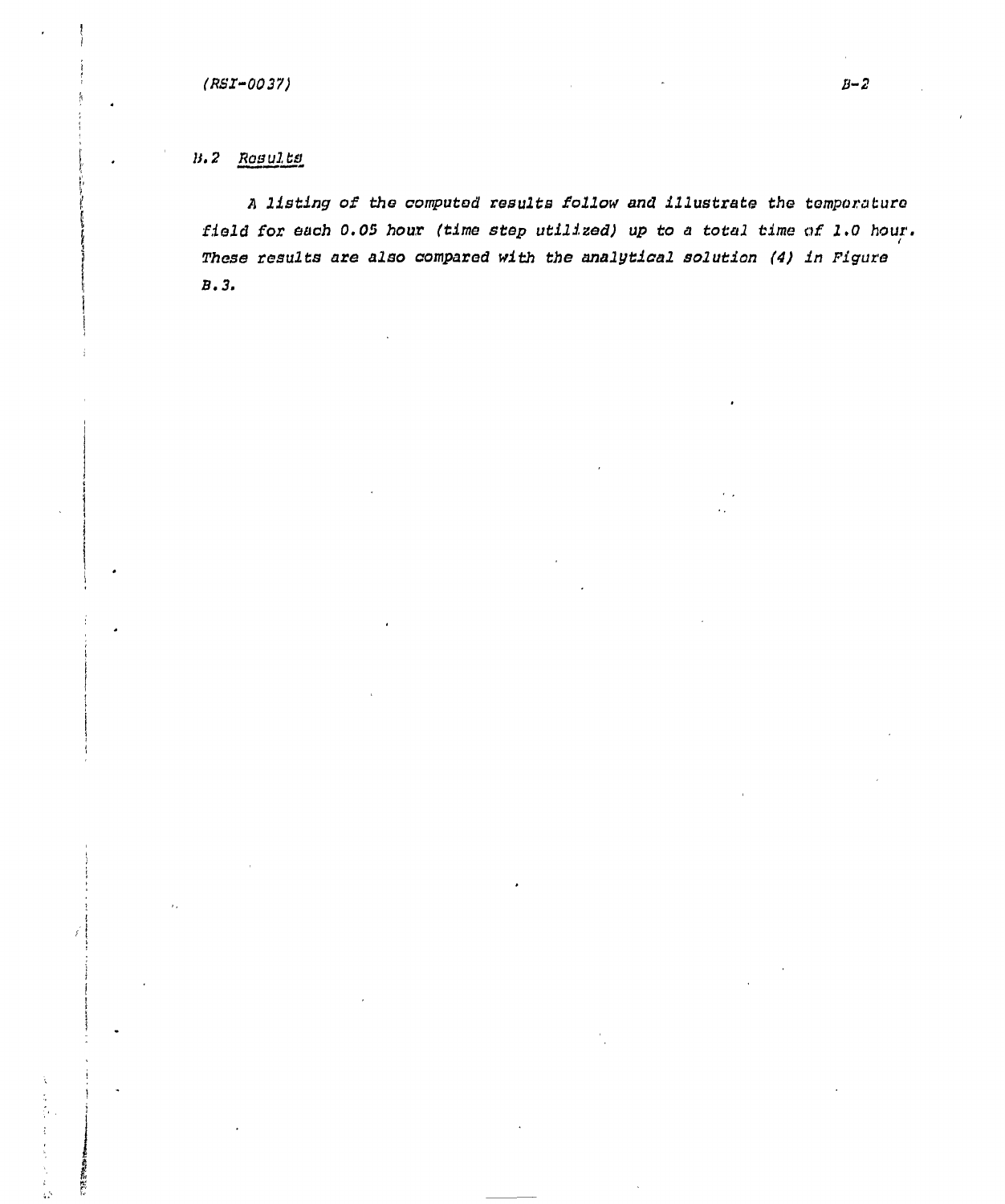计正型

 $\bar{\Omega}$ 

*A listing of the computed results follow and illustrate the temporaturo field for each 0.05 hour (time step utilized) up to a total time of 1.0 hour. These results are also compared with the analytical solution (4) in Figure B.3.*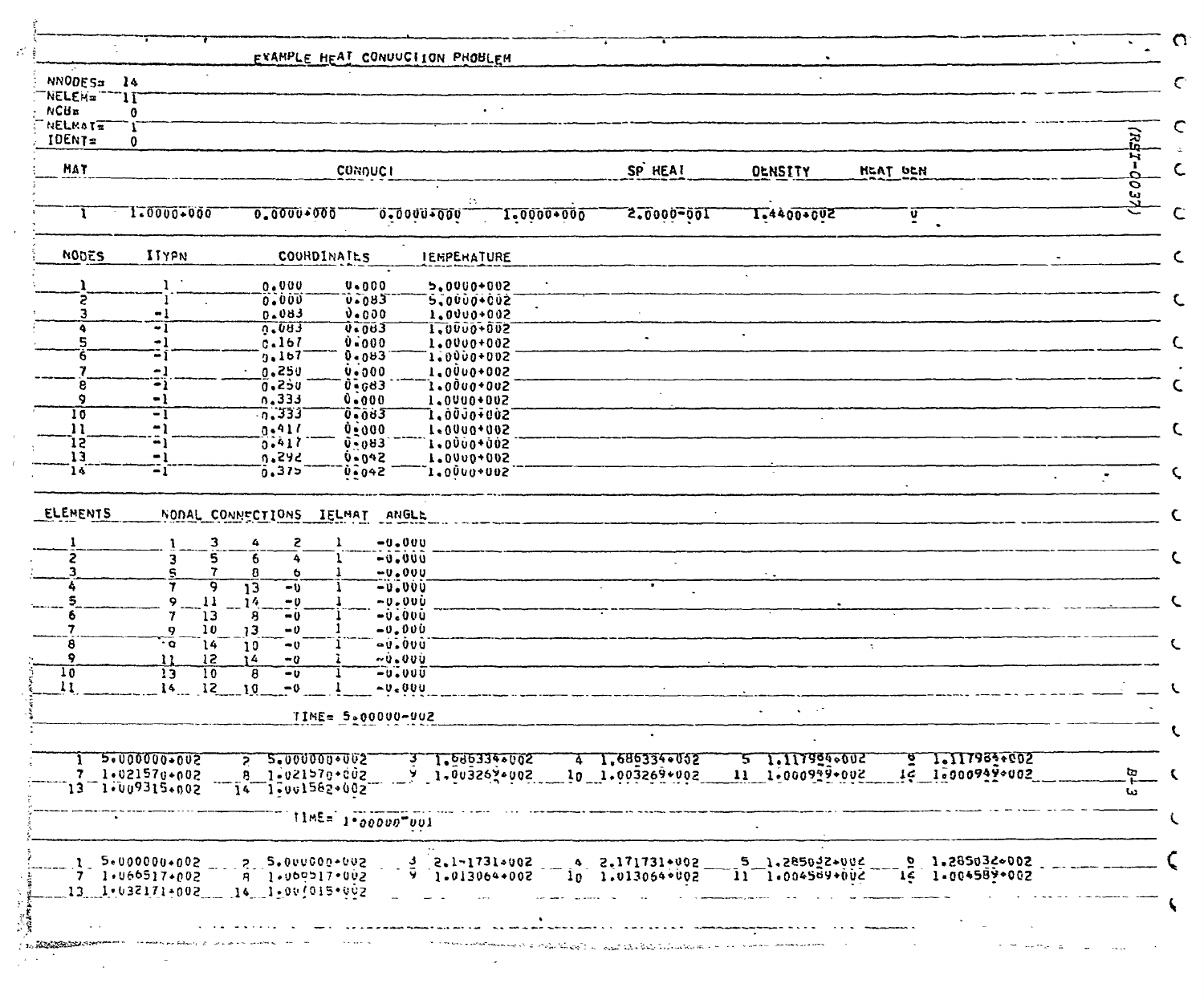| <b>NNODES¤</b><br><b>WELEN=</b>             | $\frac{14}{2}$<br>-11                                             |                                      |                                                           |                                |                           |                                 |                                   |                          |
|---------------------------------------------|-------------------------------------------------------------------|--------------------------------------|-----------------------------------------------------------|--------------------------------|---------------------------|---------------------------------|-----------------------------------|--------------------------|
| <b>NCUR</b><br><b>NELKATE</b>               | 0                                                                 |                                      |                                                           |                                |                           |                                 |                                   |                          |
| IDENT=                                      | 0                                                                 |                                      |                                                           |                                |                           |                                 |                                   | ਫ਼ੋ                      |
| MAT                                         |                                                                   |                                      | <b>CONDUCI</b>                                            |                                | SP HEAT                   | <b>OLNSITY</b>                  | HEAT UCH                          | N                        |
|                                             |                                                                   |                                      |                                                           |                                |                           |                                 |                                   | $\Omega$<br>O            |
|                                             | 1.0000+000                                                        | 0.0000+000                           |                                                           | 0.000000000<br>1-0000+000      | 100-00025                 | 1-4400+002                      | ソ<br>$\bullet$                    | یں<br>لگ                 |
| <b>NODES</b>                                | ITYPN                                                             | COORDINATES                          |                                                           | <b>IEMPERATURE</b>             |                           |                                 |                                   |                          |
|                                             |                                                                   | 0.000                                | $0 - 000$                                                 | 5,0000+002                     |                           |                                 |                                   |                          |
| 5                                           |                                                                   | 0.000                                | 0.083                                                     | `5,0000+002                    |                           |                                 |                                   |                          |
| З<br>٠                                      | $\bullet$<br>$\overline{\cdot}$ i                                 | 0.083<br>0.083                       | 0.000<br>$\overline{v}$ = $\overline{v}$ = $\overline{3}$ | 1.0000+002<br>1,0000+002       |                           |                                 |                                   |                          |
| 5                                           | -1                                                                | 0.167                                | 0.000                                                     | 1.0000+002                     |                           |                                 |                                   |                          |
| 6                                           | ΞĨ                                                                | 9.167                                | 0.083                                                     | 1.0000+002                     |                           |                                 |                                   |                          |
| 8                                           | $\Xi_1^1$                                                         | 0.250<br>0.250                       | 0.000                                                     | 1,0000+002                     |                           |                                 |                                   |                          |
| ۰                                           | - 1                                                               | 0.333                                | $0 - 663$<br>0.000                                        | `l.00u0+0u2<br>1,0000+002      |                           |                                 |                                   |                          |
| 10                                          | -1                                                                | 7.333                                | <b><i><u>0.083</u></i></b>                                | 1,ò0Jo∓0ù2                     |                           |                                 |                                   |                          |
| 11                                          | $\mathbf{L}$                                                      | 0.411                                | 0.000                                                     | 1.0000+002                     |                           |                                 |                                   |                          |
|                                             |                                                                   |                                      |                                                           |                                |                           |                                 |                                   |                          |
| 15.                                         | -1                                                                | 0.417                                | <b>0-083</b>                                              | 1,0000+002                     |                           |                                 |                                   |                          |
| 13<br>14                                    | $-1$<br>$-1$                                                      | 0.242<br>0.375<br>NODAL CONNECTIONS  | $0 - 042$<br>0.042<br>ANGLE<br>IELMAT                     | 1.0000+002<br>$1.0000*002$     |                           |                                 |                                   | $\overline{\mathcal{C}}$ |
| 2                                           | 3<br>5<br>3                                                       | S.<br>4<br>6<br>8<br>ь               | $-0.000$<br>$-0.000$<br>$-0.000$                          |                                |                           |                                 |                                   |                          |
|                                             | 9                                                                 | $\overline{13}$<br>$-0$              | -0.000                                                    |                                |                           |                                 |                                   |                          |
|                                             | 11<br>$\bullet$                                                   | 14<br>$-0$                           | $-0.000$                                                  |                                |                           |                                 |                                   |                          |
|                                             | ้าว<br>10<br>$\circ$                                              | 8<br>$-0$<br>13<br>$-0$              | $-0.000$<br>$-0.000$                                      |                                |                           |                                 |                                   |                          |
| 8                                           | $\cdot$ o<br>14                                                   | 10<br>۰v                             | $-0.000$                                                  |                                |                           |                                 | $\mathcal{L}$                     |                          |
| 9                                           | 12<br>11                                                          | ۱4<br>$-0$                           | $-0.000$                                                  |                                |                           |                                 |                                   |                          |
|                                             | $\overline{13}$<br>$\overline{10}$<br>12<br>14                    | 8<br>$-0$<br>10<br>$-0$              | <b>20.000</b><br>$\sim v_{\rm c}$ 000                     |                                |                           |                                 |                                   |                          |
|                                             |                                                                   |                                      | TIME= 5.00000-902                                         |                                |                           |                                 |                                   |                          |
|                                             | 2000000000000                                                     | 5.000000+002                         |                                                           |                                | 1.6863340052<br>4.        | $\mathbf{P}$                    | 1.1179830002                      |                          |
|                                             | $7 - 1.021570 + 002$                                              | 8 1-021570-002                       |                                                           | 1.090334+002<br>7 1.003267.002 | 10 1.003269+002           | 1.1179940012<br>11 1-000929+002 | 16 1-000949-002                   | œ                        |
|                                             | 13 1.009315.002                                                   | 14 1.001582+002                      |                                                           |                                |                           |                                 |                                   | سا                       |
|                                             |                                                                   |                                      | $11ME = 10000000001$                                      |                                |                           |                                 |                                   |                          |
|                                             | $1 - 5.000000 + 002$                                              |                                      |                                                           | $3 2.1 - 1731.002$             | $4 2.171731*002$          | $5.1.285022+002$                |                                   |                          |
| ELEMENTS<br>$\overline{10}$<br>$\mathbf{H}$ | 7 1.066517.002<br>$13 - 1 + 032171 + 002 - 14 - 1 - 00/015 + 002$ | 2 5.000000-002<br>$A = 1.000917.002$ |                                                           | $9 \t1.013064+002$             | $10 - 1.013054 \cdot 002$ | $11 - 1.004569 + 002$           | 2, 1.285036002<br>14 1-004589+002 |                          |

Ý

 $\alpha$ 

 $\mathbf{u}$  $\bar{t}$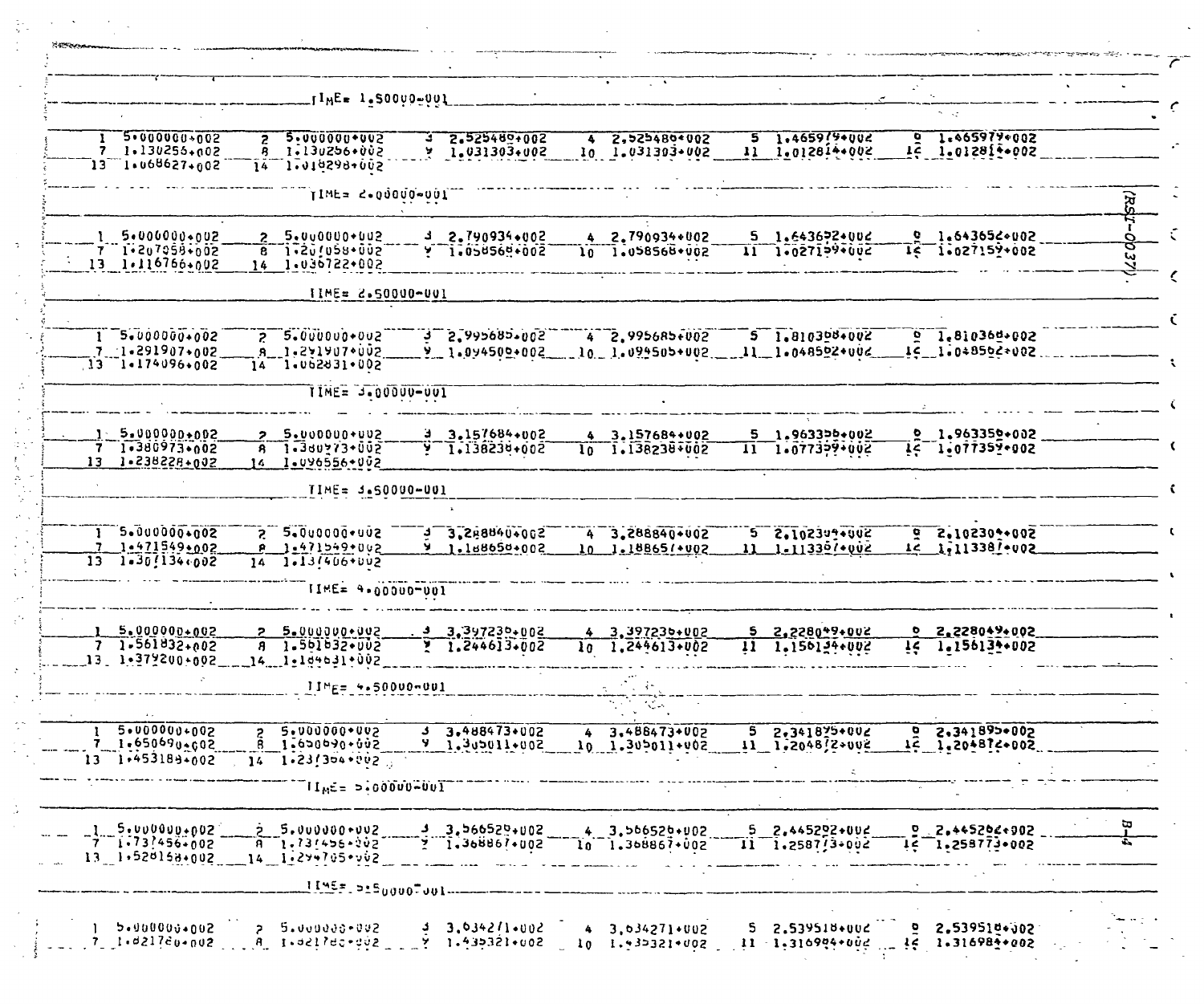|                                                                        |              | JIME≖ 1.SOOVO-001                                            |                                             | in Ar                                 |                                                     |                                          |   |
|------------------------------------------------------------------------|--------------|--------------------------------------------------------------|---------------------------------------------|---------------------------------------|-----------------------------------------------------|------------------------------------------|---|
|                                                                        |              |                                                              |                                             |                                       |                                                     |                                          |   |
| 5.00000000002<br>7 1.130255.002<br>13 1.068627.002                     | $\mathbf{z}$ | 5.0000000002<br>8 1.130256+002<br>14 1.010298-002            | 2.525489+002<br>÷<br>$Y = 1.031303+002$     | 2,525480+002<br>٠<br>10 1.031303+002  | $5 - 1.465999002$<br>11 1.012814+002                | $6 - 1 - 665979 + 002$<br>14 1.01281-002 |   |
|                                                                        |              | TIME= 2.00000-001                                            |                                             |                                       |                                                     |                                          |   |
| $1.5*000000*002$<br>7 1.207058.002<br>$13 \t1.116766 \cdot 002$        |              | 2 5.000000.002<br>$6 - 1.201058 + 002$<br>14 1.036722.002    | $32.790934+002$<br>1.058569+002             | 4 2.790934+002<br>10 1.058568+002     | $5 - 1.6436924002$<br>1.027199.002<br>$\mathbf{11}$ | 9.1.643656002<br>$15 - 1.027152*002$     | ω |
|                                                                        |              | IIME= 2.50000-001                                            |                                             |                                       |                                                     |                                          |   |
| $1 - 5.00000000002$<br>$7 - 1 - 291907 + 002$<br>$13 - 1.174096 + 002$ |              | $7 - 5.0000000002$<br>8 1-2719070002<br>$14 - 1.062831.002$  | $3 - 5.88999999995$<br>$9 - 1.094500 + 002$ | $4 2,995685 + 002$<br>10 1.099505+002 | $5 - 1.810308 + 002$<br>$11 - 1.048522 + 002$       | $9 - 1.810364 + 002$<br>16 1.048502+002  |   |
|                                                                        |              | TIME= 3.00000-001                                            |                                             |                                       |                                                     |                                          |   |
| $1 - 5.000000 + 002$<br>7 1.380973.002<br>$13 - 1.238228 + 002$        |              | 5.000000+002<br>$8 - 1 - 360273 + 002$<br>14 1.096556-002    | $3.157684+002$<br>$9 - 1.138230 + 0.02$     | 4 3.157684+002<br>1.138238+002<br>lo. | 5 1.963356+002<br>1.077379+002<br>$\mathbf{11}$     | $9.1.963352*002$<br>14 1.077351-002      |   |
|                                                                        |              | TIME= 3.50000-001                                            |                                             |                                       |                                                     |                                          |   |
| $1 - 5.00000000002$<br>7 1-471549+002<br>$13 - 1.30/134.002$           | 14           | $5 - 2 - 000000 - 005$<br>1.471549+002<br>$1.13(406+002)$    | $3.288840*002$<br>1.188650+002<br>y.        | 4 3.288840+002<br>10 1.18865/+002     | $5 - 2.102344.002$<br>11 1-11330/+002               | $9 - 2.102302 + 002$<br>1c 1,11338/+002  |   |
|                                                                        |              | TIME= 4.00000-001                                            |                                             |                                       |                                                     |                                          |   |
| 5.000000+002<br>$71.561832+002$<br>13 1.312200-002                     |              | $5 - 0000000002$<br>8 1.561632.002<br>14 1.104631.002        | $3.397230+002$<br>1.244613+002              | 4 3.397235+002<br>10 1.244613+002     | $5 \quad 2.228049 + 002$<br>11 1.156134.002         | 0 2,228049+002<br>14 1.156134.002        |   |
|                                                                        |              | JIME= 4.50000-001                                            |                                             | Aug 17                                |                                                     |                                          |   |
| 5.0000000002<br>7 1.650690.602<br>13 1.453189-002                      |              | 5.000000+002<br>1.650690+002<br>$14 - 1.23/304.002$          | 3.488473+002<br>200+110cv5.1 P              | 3.488473+002<br>4<br>10 1.305011+002  | 2.341875+002<br>5.<br>$11 \t1.2048$ $2*002$         | $9.341893*002$<br>14 1.20+874+002        |   |
|                                                                        |              | $\overline{11}_M$ c = 5.00000-001                            |                                             |                                       |                                                     |                                          |   |
| 5.0000000002<br>$7 - 1.73$ $1.56 + 0.02$<br>13.1.520158.002            |              | $5.000000$ $-002$<br>$A = 1.73/456 - 202$<br>14 1-294705+002 | $3.566529+002$<br>$2 \t1.368867*002$        | $4.3.566526*102$<br>10 1.368867+002   | $5 - 2.445292 + 002$<br>$11 - 1.2587/3.002$         | 2.445202+902<br>$16 - 1.258773.002$      |   |
|                                                                        |              | <u>  45</u> 5.915 <sub>0000</sub> 700                        |                                             |                                       |                                                     |                                          |   |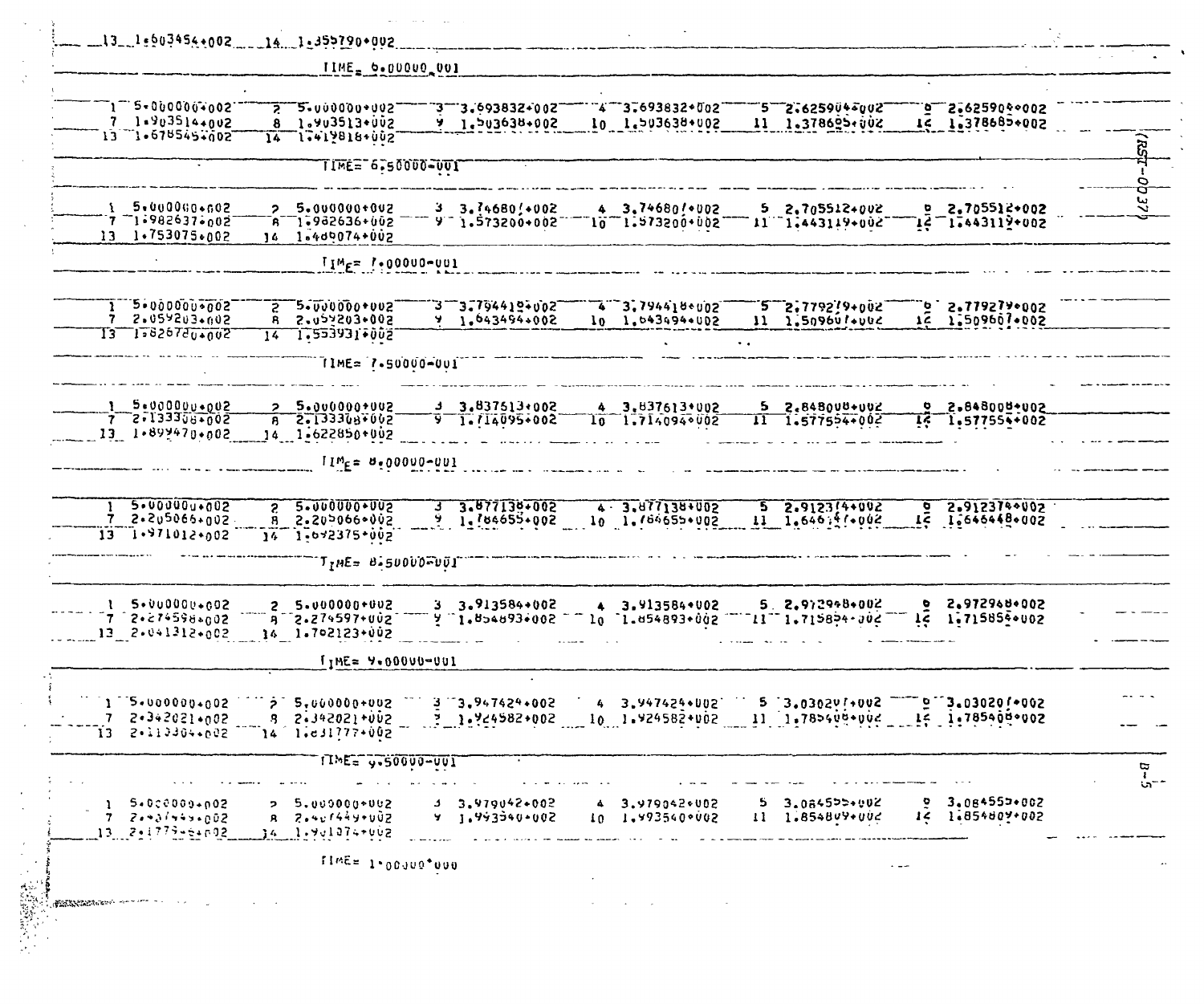|              | $13 - 1.603454.002$<br>$141.355790*002$                                                                                                                                                                                                                                                                                        |          |
|--------------|--------------------------------------------------------------------------------------------------------------------------------------------------------------------------------------------------------------------------------------------------------------------------------------------------------------------------------|----------|
|              | TIME = 0.00000 001                                                                                                                                                                                                                                                                                                             |          |
|              | $\mathbb{T}1$ $\mathbb{T}$ $\leq$ = 000000 $\mathbb{T}$ 002<br>$2 - 2 - 000000 + 005$<br>4 3.693832+002<br>3775:2259045002<br>$2.62590$ $900$<br><b>3.693832+002</b><br>$7 - 1.903514 + 0.02$<br>8 1.903513+002<br>1.503638.002<br>10 1.503638+002<br>11 1.378625.002<br>IC 1.378685+002<br>13 1.678545.002<br>14 1.419818+002 | š,       |
|              | TIME="6,50000-UUT                                                                                                                                                                                                                                                                                                              |          |
|              | 1 5.000000.002<br>2 5.000000+002<br>3.74680/102<br>4 3.74680/*002<br>5 2.705512+002<br>$5.2.705512*002$<br>ำคื 1∙982636+002<br>$9 - 1.573200 + 002$<br>11 1,443119+002<br>$15 - 12005$<br>$10 - 1$ :213200+002<br>13 1.753075.002<br>$14 - 1.409074 + 002$                                                                     | go<br>72 |
|              | $I_1 M_F = 1.00000 - 001$                                                                                                                                                                                                                                                                                                      |          |
|              | $1 - 2 - 00000000005$<br>$2 - 5 - 000000 + 002$<br>3-3.794419+002<br>$5.5$ 5°11851Å+005.<br>4 3.7944180002<br>$5 - 2.7792/9 + 0.02$<br>5097203005<br>5.022503+005<br>1.043494+002<br>16 1.509607.002<br>10 1.043494+002<br>11 1.50960 /*****<br>Y.<br>8.<br>13 15826780+002<br>1 <del>4</del> 1.553931+002                     |          |
|              | TIME= 7.50000-001                                                                                                                                                                                                                                                                                                              |          |
|              | 5.0000000002<br>$5.000000*002$<br>$3.837513+002$<br>4 3.837613*002<br>$5 \quad 2.848008 + 002$<br>2 2.848000+002<br>$7 2.1333308*002$<br>$B = 5 - 133308 + 002$<br>$9 - 1.714095 + 002$<br>$11 - 1.577554*002$<br>10 <sub>1</sub><br>1.7140940002<br>$15 1.577554 + 002$<br>13 1.899470.002<br>14 1-622850+002                 |          |
|              | $I1M_F = 8.00000 - 001$                                                                                                                                                                                                                                                                                                        |          |
|              | 5.00000u+002<br>5.0000000002<br>3.877130+002<br>4 - 3.877138+002<br>2.9123740002<br>$5\ 2.9123(4+0.02)$<br>$\mathbf{S}$<br>$\bullet$<br>$11 - 1.646 + 1.002$<br>12 1.646448.002<br>7 2.2u5066.gu2<br>$1.184655+002$<br>5.205066.005<br>У.<br>10 1.764655+002<br>8.<br>$13 - 1.971012.002$<br>$14 - 1.642375 + 0.02$            |          |
|              | T <sub>I</sub> ME= B.50000FU0I                                                                                                                                                                                                                                                                                                 |          |
|              | 2.972968+002<br>$3.913584*002$<br>4 3.913584+002<br>5. 2.972948+002<br>$1.5 \cdot 000000 \cdot 002$<br>۰<br>$25.000000+002$<br>1.715854002<br>7 2.274598.002<br>3 2.274597+002<br>jç.<br>1.854893.002<br>`l.⊍54893+ûù2<br>$11 - 1.715854.702$<br>$13.2 \cdot 041312 \cdot 002$<br>14 1.702123+002                              |          |
|              | $I_1$ ME= $9*00000=001$                                                                                                                                                                                                                                                                                                        |          |
|              | $1 - 5.0000000002$<br>$5.3.0302911002$ $9.3.030201002$<br>$5.844344400000 + 0.02$ 3.3.947424+002<br>4 3.947424+002<br>$7 - 2 \cdot 3 \cdot 2021 \cdot 002$<br>8 2.342021+002<br>$\frac{3}{2}$ 1.24582+002 10 1.924582+002 11 1.785409+002 15 1.785409+002<br>13 2.113304.002<br>$14 - 1.631777*002$                            |          |
|              | TIME= y.50000-001                                                                                                                                                                                                                                                                                                              | ចុ       |
|              | 3.084550+002<br>5.000000002<br>$3.979042+002$<br>3.979042+002<br>3.084555+002<br>2 5.000000+002<br>14 1:854809+002<br>11 1.854809+002<br>$7 - 2 + 31 + 4 + 602$<br>$B = 2.4x1444y+U0Z$<br>9, 1, 9933900002<br>10 1.993540+002<br>13 2.4779-64602<br>34   1∗9v1074≁002                                                          | $5 -$    |
|              | ITWE= 1.00000.000                                                                                                                                                                                                                                                                                                              |          |
| riya<br>Sayı | <b>CONSIDERATION AND ARTICLE</b>                                                                                                                                                                                                                                                                                               |          |

 $\sim$   $\sim$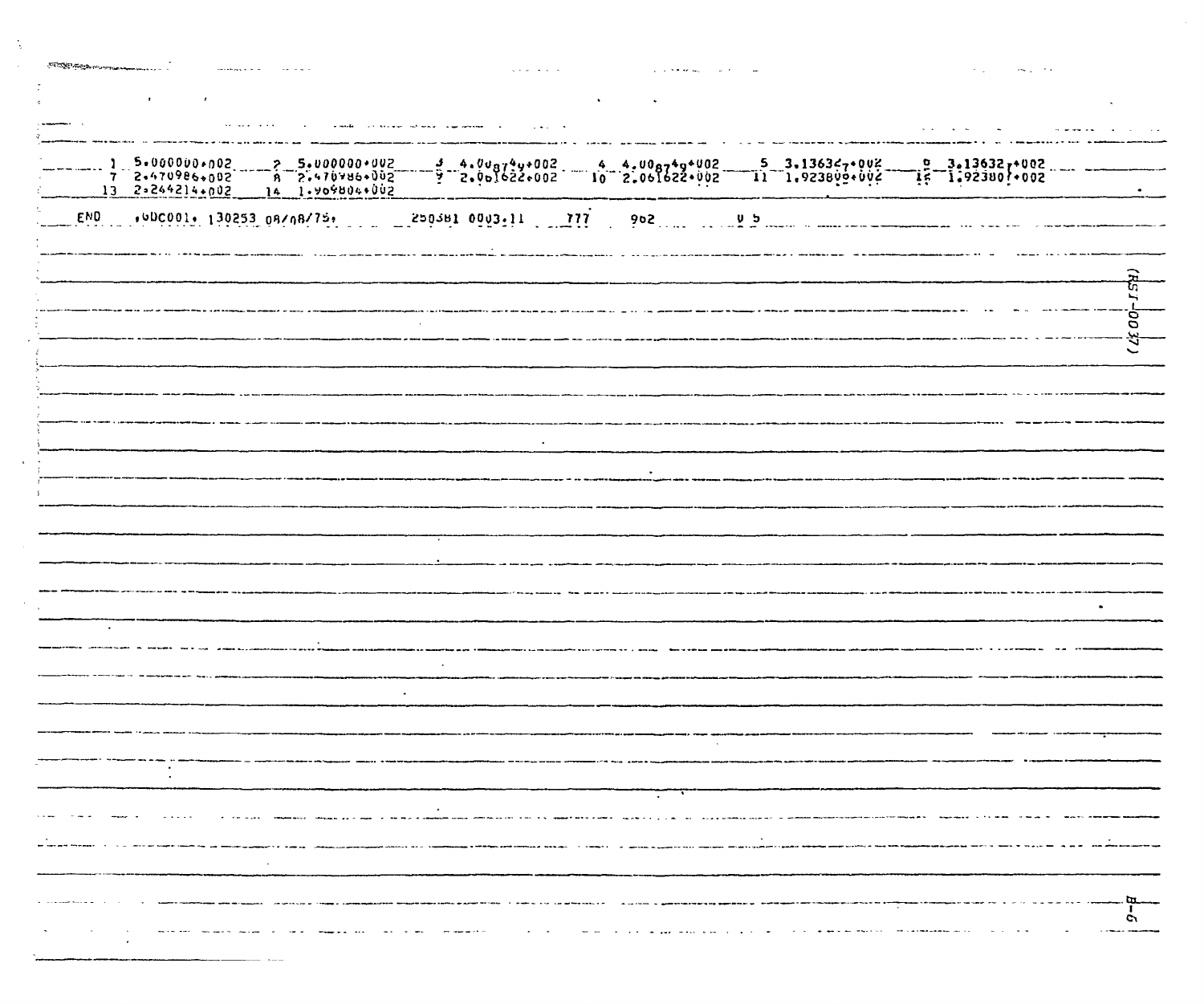| $\mathbf{r}$ .<br><b>Contract Contract</b> |                                                                                                                     |  | $\bullet$ |                                                                                                             |  |                                                                                                                                                                                                                                                                                                                                                                                                                                                                            |       |
|--------------------------------------------|---------------------------------------------------------------------------------------------------------------------|--|-----------|-------------------------------------------------------------------------------------------------------------|--|----------------------------------------------------------------------------------------------------------------------------------------------------------------------------------------------------------------------------------------------------------------------------------------------------------------------------------------------------------------------------------------------------------------------------------------------------------------------------|-------|
|                                            |                                                                                                                     |  |           |                                                                                                             |  | $\mathbf{v}$ , $\mathbf{v}$ , $\mathbf{v}$ , $\mathbf{v}$ , $\mathbf{v}$ ,                                                                                                                                                                                                                                                                                                                                                                                                 |       |
|                                            |                                                                                                                     |  |           |                                                                                                             |  |                                                                                                                                                                                                                                                                                                                                                                                                                                                                            |       |
|                                            |                                                                                                                     |  |           |                                                                                                             |  |                                                                                                                                                                                                                                                                                                                                                                                                                                                                            |       |
|                                            |                                                                                                                     |  |           |                                                                                                             |  |                                                                                                                                                                                                                                                                                                                                                                                                                                                                            |       |
|                                            |                                                                                                                     |  |           |                                                                                                             |  |                                                                                                                                                                                                                                                                                                                                                                                                                                                                            |       |
|                                            |                                                                                                                     |  |           |                                                                                                             |  | $\frac{1}{2} \left( \frac{1}{2} \right) \left( \frac{1}{2} \right) \left( \frac{1}{2} \right) \left( \frac{1}{2} \right) \left( \frac{1}{2} \right) \left( \frac{1}{2} \right) \left( \frac{1}{2} \right) \left( \frac{1}{2} \right) \left( \frac{1}{2} \right) \left( \frac{1}{2} \right) \left( \frac{1}{2} \right) \left( \frac{1}{2} \right) \left( \frac{1}{2} \right) \left( \frac{1}{2} \right) \left( \frac{1}{2} \right) \left( \frac{1}{2} \right) \left( \frac$ |       |
|                                            |                                                                                                                     |  |           |                                                                                                             |  |                                                                                                                                                                                                                                                                                                                                                                                                                                                                            |       |
|                                            |                                                                                                                     |  |           |                                                                                                             |  |                                                                                                                                                                                                                                                                                                                                                                                                                                                                            |       |
|                                            |                                                                                                                     |  |           |                                                                                                             |  |                                                                                                                                                                                                                                                                                                                                                                                                                                                                            | 00 37 |
|                                            |                                                                                                                     |  |           |                                                                                                             |  |                                                                                                                                                                                                                                                                                                                                                                                                                                                                            |       |
|                                            |                                                                                                                     |  |           |                                                                                                             |  |                                                                                                                                                                                                                                                                                                                                                                                                                                                                            |       |
|                                            |                                                                                                                     |  |           |                                                                                                             |  |                                                                                                                                                                                                                                                                                                                                                                                                                                                                            |       |
|                                            |                                                                                                                     |  |           |                                                                                                             |  |                                                                                                                                                                                                                                                                                                                                                                                                                                                                            |       |
|                                            |                                                                                                                     |  |           | $\bullet$                                                                                                   |  |                                                                                                                                                                                                                                                                                                                                                                                                                                                                            |       |
|                                            |                                                                                                                     |  |           |                                                                                                             |  |                                                                                                                                                                                                                                                                                                                                                                                                                                                                            |       |
|                                            |                                                                                                                     |  |           |                                                                                                             |  |                                                                                                                                                                                                                                                                                                                                                                                                                                                                            |       |
|                                            |                                                                                                                     |  |           |                                                                                                             |  |                                                                                                                                                                                                                                                                                                                                                                                                                                                                            |       |
|                                            |                                                                                                                     |  |           |                                                                                                             |  |                                                                                                                                                                                                                                                                                                                                                                                                                                                                            |       |
|                                            |                                                                                                                     |  |           |                                                                                                             |  |                                                                                                                                                                                                                                                                                                                                                                                                                                                                            |       |
|                                            |                                                                                                                     |  |           |                                                                                                             |  |                                                                                                                                                                                                                                                                                                                                                                                                                                                                            |       |
|                                            |                                                                                                                     |  |           |                                                                                                             |  |                                                                                                                                                                                                                                                                                                                                                                                                                                                                            |       |
|                                            |                                                                                                                     |  |           |                                                                                                             |  |                                                                                                                                                                                                                                                                                                                                                                                                                                                                            |       |
|                                            |                                                                                                                     |  |           |                                                                                                             |  |                                                                                                                                                                                                                                                                                                                                                                                                                                                                            |       |
|                                            |                                                                                                                     |  |           |                                                                                                             |  |                                                                                                                                                                                                                                                                                                                                                                                                                                                                            |       |
|                                            |                                                                                                                     |  |           |                                                                                                             |  |                                                                                                                                                                                                                                                                                                                                                                                                                                                                            |       |
|                                            |                                                                                                                     |  |           | $\sim 10^{-11}$                                                                                             |  |                                                                                                                                                                                                                                                                                                                                                                                                                                                                            |       |
|                                            | للمواقيد للمرتبط المهم فالمواس للمهموم المتعالم والمعارية والمرادي والمرادي والمتعارض والمتعارض والمتعارض والمتعارض |  |           | فتتعمل الدامين ووقعت والإوادة أرووا المتاري والانتقاديون الاقتناف والمتلق والمنافذ المداور المتابعة فتناقبه |  |                                                                                                                                                                                                                                                                                                                                                                                                                                                                            |       |
|                                            |                                                                                                                     |  |           | and a straingen each contract of the book. If I samply if the significant of government of the contract of  |  |                                                                                                                                                                                                                                                                                                                                                                                                                                                                            |       |
|                                            |                                                                                                                     |  |           |                                                                                                             |  |                                                                                                                                                                                                                                                                                                                                                                                                                                                                            |       |
|                                            |                                                                                                                     |  |           |                                                                                                             |  |                                                                                                                                                                                                                                                                                                                                                                                                                                                                            |       |